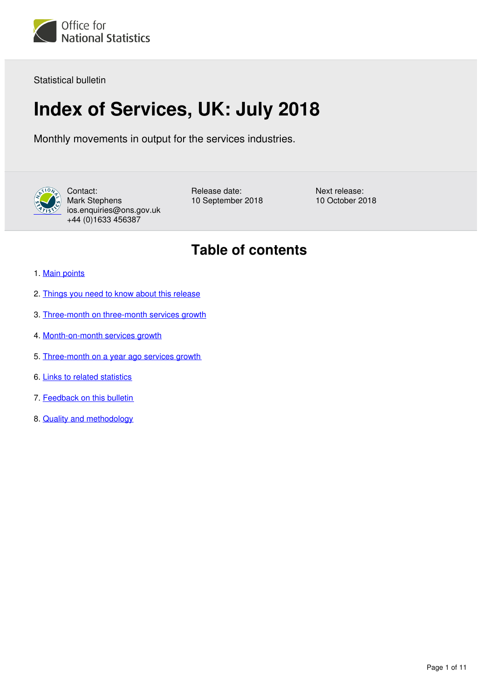

Statistical bulletin

# **Index of Services, UK: July 2018**

Monthly movements in output for the services industries.



Contact: Mark Stephens ios.enquiries@ons.gov.uk +44 (0)1633 456387

Release date: 10 September 2018

Next release: 10 October 2018

## **Table of contents**

- 1. [Main points](#page-1-0)
- 2. [Things you need to know about this release](#page-1-1)
- 3. [Three-month on three-month services growth](#page-2-0)
- 4. [Month-on-month services growth](#page-4-0)
- 5. [Three-month on a year ago services growth](#page-6-0)
- 6. [Links to related statistics](#page-7-0)
- 7. [Feedback on this bulletin](#page-8-0)
- 8. [Quality and methodology](#page-8-1)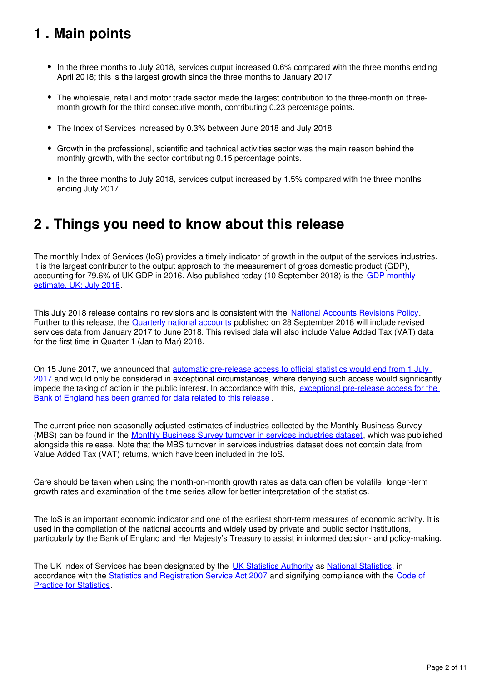## <span id="page-1-0"></span>**1 . Main points**

- In the three months to July 2018, services output increased 0.6% compared with the three months ending April 2018; this is the largest growth since the three months to January 2017.
- The wholesale, retail and motor trade sector made the largest contribution to the three-month on threemonth growth for the third consecutive month, contributing 0.23 percentage points.
- The Index of Services increased by 0.3% between June 2018 and July 2018.
- Growth in the professional, scientific and technical activities sector was the main reason behind the monthly growth, with the sector contributing 0.15 percentage points.
- In the three months to July 2018, services output increased by 1.5% compared with the three months ending July 2017.

## <span id="page-1-1"></span>**2 . Things you need to know about this release**

The monthly Index of Services (IoS) provides a timely indicator of growth in the output of the services industries. It is the largest contributor to the output approach to the measurement of gross domestic product (GDP). accounting for 79.6% of UK GDP in 2016. Also published today (10 September 2018) is the [GDP monthly](https://www.ons.gov.uk/economy/grossdomesticproductgdp/bulletins/gdpmonthlyestimateuk/previousReleases)  [estimate, UK: July 2018.](https://www.ons.gov.uk/economy/grossdomesticproductgdp/bulletins/gdpmonthlyestimateuk/previousReleases)

This July 2018 release contains no revisions and is consistent with the [National Accounts Revisions Policy](https://www.ons.gov.uk/methodology/methodologytopicsandstatisticalconcepts/revisions/revisionspoliciesforeconomicstatistics). Further to this release, the [Quarterly national accounts](https://www.ons.gov.uk/economy/grossdomesticproductgdp/bulletins/quarterlynationalaccounts/previousReleases) published on 28 September 2018 will include revised services data from January 2017 to June 2018. This revised data will also include Value Added Tax (VAT) data for the first time in Quarter 1 (Jan to Mar) 2018.

On 15 June 2017, we announced that automatic pre-release access to official statistics would end from 1 July [2017](https://www.statisticsauthority.gov.uk/correspondence/pre-release-access-to-ons-statistics/) and would only be considered in exceptional circumstances, where denying such access would significantly impede the taking of action in the public interest. In accordance with this, exceptional pre-release access for the [Bank of England has been granted for data related to this release](https://www.ons.gov.uk/news/statementsandletters/exchangeoflettersbetweenjonathanathowandbenbroadbentregardingexceptionalprereleaseaccess2018) .

The current price non-seasonally adjusted estimates of industries collected by the Monthly Business Survey (MBS) can be found in the [Monthly Business Survey turnover in services industries dataset,](https://www.ons.gov.uk/economy/economicoutputandproductivity/output/datasets/monthlybusinesssurveymbsturnoverofservicesindustries) which was published alongside this release. Note that the MBS turnover in services industries dataset does not contain data from Value Added Tax (VAT) returns, which have been included in the IoS.

Care should be taken when using the month-on-month growth rates as data can often be volatile; longer-term growth rates and examination of the time series allow for better interpretation of the statistics.

The IoS is an important economic indicator and one of the earliest short-term measures of economic activity. It is used in the compilation of the national accounts and widely used by private and public sector institutions, particularly by the Bank of England and Her Majesty's Treasury to assist in informed decision- and policy-making.

The UK Index of Services has been designated by the [UK Statistics Authority](https://www.statisticsauthority.gov.uk/) as National Statistics, in accordance with the [Statistics and Registration Service Act 2007](https://www.statisticsauthority.gov.uk/about-the-authority/uk-statistical-system/legislation/key-legislative-documents/) and signifying compliance with the [Code of](https://www.statisticsauthority.gov.uk/code-of-practice/)  [Practice for Statistics](https://www.statisticsauthority.gov.uk/code-of-practice/).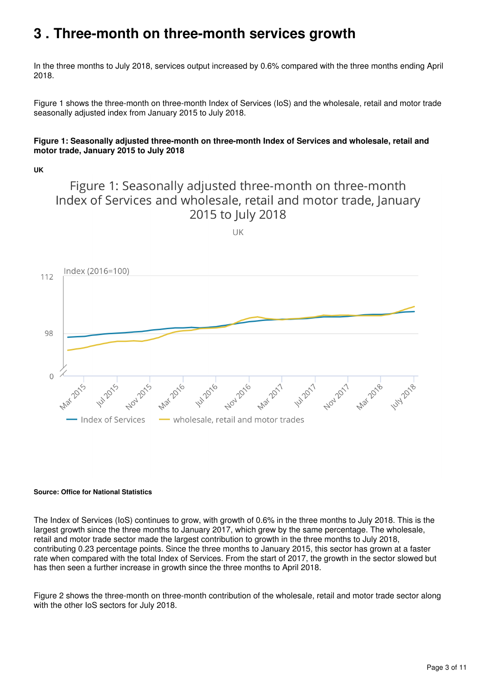## <span id="page-2-0"></span>**3 . Three-month on three-month services growth**

In the three months to July 2018, services output increased by 0.6% compared with the three months ending April 2018.

Figure 1 shows the three-month on three-month Index of Services (IoS) and the wholesale, retail and motor trade seasonally adjusted index from January 2015 to July 2018.

#### **Figure 1: Seasonally adjusted three-month on three-month Index of Services and wholesale, retail and motor trade, January 2015 to July 2018**

**UK**

## Figure 1: Seasonally adjusted three-month on three-month Index of Services and wholesale, retail and motor trade, January 2015 to July 2018





#### **Source: Office for National Statistics**

The Index of Services (IoS) continues to grow, with growth of 0.6% in the three months to July 2018. This is the largest growth since the three months to January 2017, which grew by the same percentage. The wholesale, retail and motor trade sector made the largest contribution to growth in the three months to July 2018, contributing 0.23 percentage points. Since the three months to January 2015, this sector has grown at a faster rate when compared with the total Index of Services. From the start of 2017, the growth in the sector slowed but has then seen a further increase in growth since the three months to April 2018.

Figure 2 shows the three-month on three-month contribution of the wholesale, retail and motor trade sector along with the other IoS sectors for July 2018.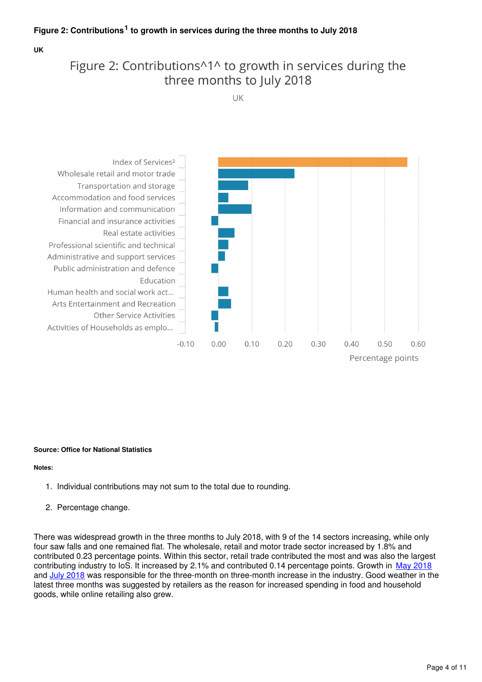#### Figure 2: Contributions<sup>1</sup> to growth in services during the three months to July 2018

**UK**

## Figure 2: Contributions<sup>11</sup> to growth in services during the three months to July 2018

UK



#### **Source: Office for National Statistics**

#### **Notes:**

- 1. Individual contributions may not sum to the total due to rounding.
- 2. Percentage change.

There was widespread growth in the three months to July 2018, with 9 of the 14 sectors increasing, while only four saw falls and one remained flat. The wholesale, retail and motor trade sector increased by 1.8% and contributed 0.23 percentage points. Within this sector, retail trade contributed the most and was also the largest contributing industry to IoS. It increased by 2.1% and contributed 0.14 percentage points. Growth in [May 2018](https://www.ons.gov.uk/businessindustryandtrade/retailindustry/bulletins/retailsales/may2018) and[July 2018](https://www.ons.gov.uk/businessindustryandtrade/retailindustry/bulletins/retailsales/july2018) was responsible for the three-month on three-month increase in the industry. Good weather in the latest three months was suggested by retailers as the reason for increased spending in food and household goods, while online retailing also grew.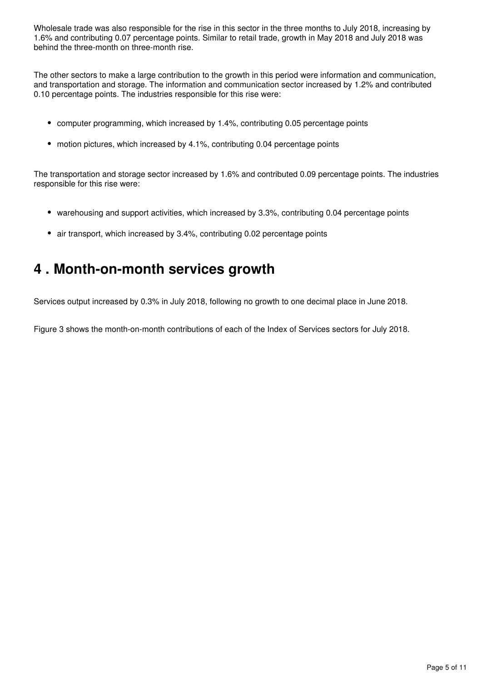Wholesale trade was also responsible for the rise in this sector in the three months to July 2018, increasing by 1.6% and contributing 0.07 percentage points. Similar to retail trade, growth in May 2018 and July 2018 was behind the three-month on three-month rise.

The other sectors to make a large contribution to the growth in this period were information and communication, and transportation and storage. The information and communication sector increased by 1.2% and contributed 0.10 percentage points. The industries responsible for this rise were:

- computer programming, which increased by 1.4%, contributing 0.05 percentage points
- motion pictures, which increased by 4.1%, contributing 0.04 percentage points

The transportation and storage sector increased by 1.6% and contributed 0.09 percentage points. The industries responsible for this rise were:

- warehousing and support activities, which increased by 3.3%, contributing 0.04 percentage points
- air transport, which increased by 3.4%, contributing 0.02 percentage points

## <span id="page-4-0"></span>**4 . Month-on-month services growth**

Services output increased by 0.3% in July 2018, following no growth to one decimal place in June 2018.

Figure 3 shows the month-on-month contributions of each of the Index of Services sectors for July 2018.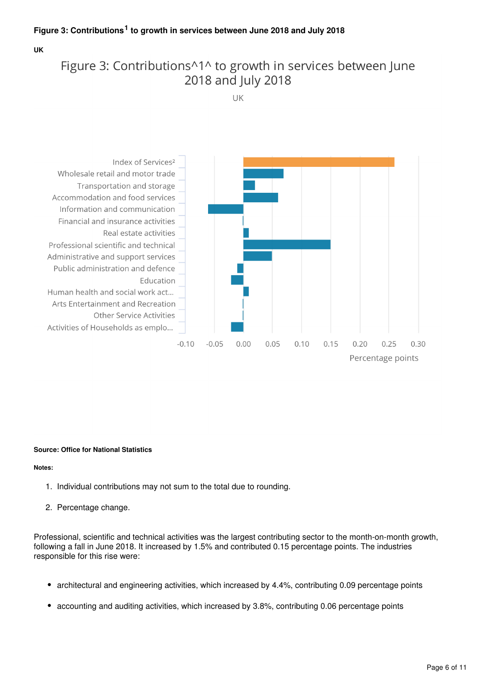#### Figure 3: Contributions<sup>1</sup> to growth in services between June 2018 and July 2018

#### **UK**

## Figure 3: Contributions<sup>11</sup> to growth in services between June 2018 and July 2018

UK



#### **Source: Office for National Statistics**

#### **Notes:**

- 1. Individual contributions may not sum to the total due to rounding.
- 2. Percentage change.

Professional, scientific and technical activities was the largest contributing sector to the month-on-month growth, following a fall in June 2018. It increased by 1.5% and contributed 0.15 percentage points. The industries responsible for this rise were:

- architectural and engineering activities, which increased by 4.4%, contributing 0.09 percentage points
- accounting and auditing activities, which increased by 3.8%, contributing 0.06 percentage points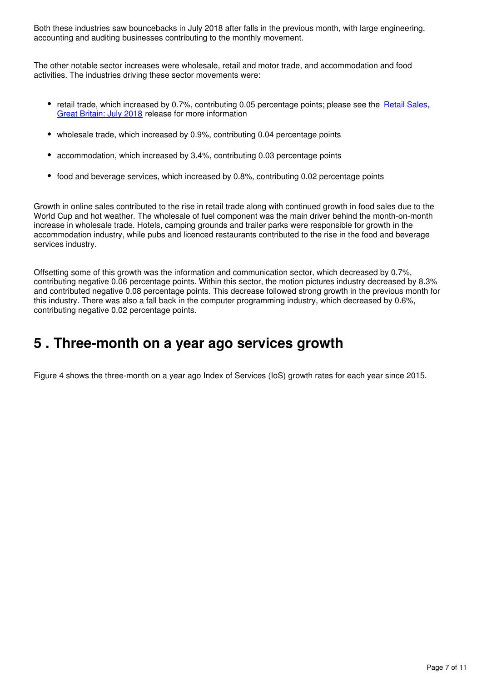Both these industries saw bouncebacks in July 2018 after falls in the previous month, with large engineering, accounting and auditing businesses contributing to the monthly movement.

The other notable sector increases were wholesale, retail and motor trade, and accommodation and food activities. The industries driving these sector movements were:

- retail trade, which increased by 0.7%, contributing 0.05 percentage points; please see the Retail Sales. [Great Britain: July 2018](https://www.ons.gov.uk/businessindustryandtrade/retailindustry/bulletins/retailsales/july2018) release for more information
- wholesale trade, which increased by 0.9%, contributing 0.04 percentage points
- accommodation, which increased by 3.4%, contributing 0.03 percentage points
- food and beverage services, which increased by 0.8%, contributing 0.02 percentage points

Growth in online sales contributed to the rise in retail trade along with continued growth in food sales due to the World Cup and hot weather. The wholesale of fuel component was the main driver behind the month-on-month increase in wholesale trade. Hotels, camping grounds and trailer parks were responsible for growth in the accommodation industry, while pubs and licenced restaurants contributed to the rise in the food and beverage services industry.

Offsetting some of this growth was the information and communication sector, which decreased by 0.7%, contributing negative 0.06 percentage points. Within this sector, the motion pictures industry decreased by 8.3% and contributed negative 0.08 percentage points. This decrease followed strong growth in the previous month for this industry. There was also a fall back in the computer programming industry, which decreased by 0.6%, contributing negative 0.02 percentage points.

## <span id="page-6-0"></span>**5 . Three-month on a year ago services growth**

Figure 4 shows the three-month on a year ago Index of Services (IoS) growth rates for each year since 2015.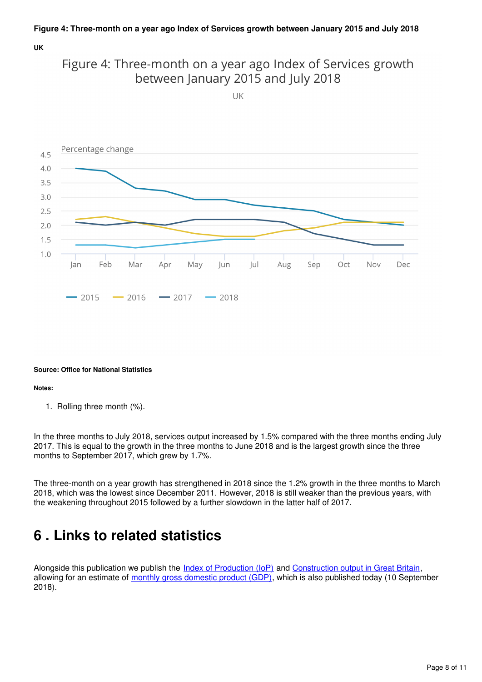#### **UK**



UK



#### **Source: Office for National Statistics**

#### **Notes:**

1. Rolling three month (%).

In the three months to July 2018, services output increased by 1.5% compared with the three months ending July 2017. This is equal to the growth in the three months to June 2018 and is the largest growth since the three months to September 2017, which grew by 1.7%.

The three-month on a year growth has strengthened in 2018 since the 1.2% growth in the three months to March 2018, which was the lowest since December 2011. However, 2018 is still weaker than the previous years, with the weakening throughout 2015 followed by a further slowdown in the latter half of 2017.

## <span id="page-7-0"></span>**6 . Links to related statistics**

Alongsidethis publication we publish the [Index of Production \(IoP\)](https://www.ons.gov.uk/economy/economicoutputandproductivity/output/bulletins/indexofproduction/previousReleases) and Construction output in Great Britain, allowing for an estimate of [monthly gross domestic product \(GDP\)](https://www.ons.gov.uk/economy/grossdomesticproductgdp/bulletins/gdpmonthlyestimateuk/previousReleases), which is also published today (10 September 2018).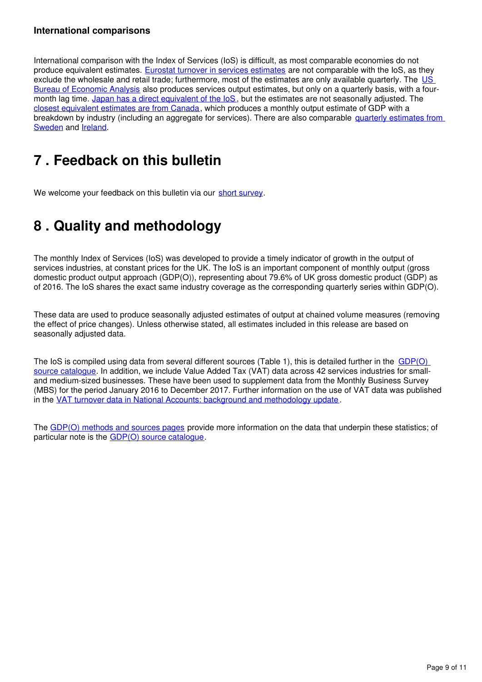#### **International comparisons**

International comparison with the Index of Services (IoS) is difficult, as most comparable economies do not produce equivalent estimates. [Eurostat turnover in services estimates](http://ec.europa.eu/eurostat/web/products-datasets/-/teiis700) are not comparable with the IoS, as they exclude the wholesale and retail trade; furthermore, most of the estimates are only available quarterly. The US [Bureau of Economic Analysis](http://bea.gov/newsreleases/glance.htm) also produces services output estimates, but only on a quarterly basis, with a four-month lag time. [Japan has a direct equivalent of the IoS](http://www.stat.go.jp/english/data/mssi/kekka.htm), but the estimates are not seasonally adjusted. The [closest equivalent estimates are from Canada](http://www5.statcan.gc.ca/cansim/a05?lang=eng&id=3790031&pattern=3790031&searchTypeByValue=1&p2=35), which produces a monthly output estimate of GDP with a breakdown by industry (including an aggregate for services). There are also comparable [quarterly estimates from](http://www.scb.se/en_/Finding-statistics/Statistics-by-subject-area/National-Accounts/National-Accounts/National-Accounts-quarterly-and-annual-estimates/)  [Sweden](http://www.scb.se/en_/Finding-statistics/Statistics-by-subject-area/National-Accounts/National-Accounts/National-Accounts-quarterly-and-annual-estimates/) and Ireland[.](http://www.cso.ie/en/statistics/nationalaccounts/)

## <span id="page-8-0"></span>**7 . Feedback on this bulletin**

We welcome your feedback on this bulletin via our short survey.

## <span id="page-8-1"></span>**8 . Quality and methodology**

The monthly Index of Services (IoS) was developed to provide a timely indicator of growth in the output of services industries, at constant prices for the UK. The IoS is an important component of monthly output (gross domestic product output approach (GDP(O)), representing about 79.6% of UK gross domestic product (GDP) as of 2016. The IoS shares the exact same industry coverage as the corresponding quarterly series within GDP(O).

These data are used to produce seasonally adjusted estimates of output at chained volume measures (removing the effect of price changes). Unless otherwise stated, all estimates included in this release are based on seasonally adjusted data.

The IoS is compiled using data from several different sources (Table 1), this is detailed further in the GDP(O) [source catalogue.](https://www.ons.gov.uk/economy/grossdomesticproductgdp/datasets/gdpodatasourcescatalogue) In addition, we include Value Added Tax (VAT) data across 42 services industries for smalland medium-sized businesses. These have been used to supplement data from the Monthly Business Survey (MBS) for the period January 2016 to December 2017. Further information on the use of VAT data was published in the [VAT turnover data in National Accounts: background and methodology update](https://www.ons.gov.uk/economy/grossdomesticproductgdp/methodologies/vatturnoverdatainnationalaccountsbackgroundandmethodology) .

The [GDP\(O\) methods and sources pages](https://www.ons.gov.uk/economy/economicoutputandproductivity/output/methodologies/indexofservicesios) provide more information on the data that underpin these statistics; of particular note is the  $GDP(O)$  source catalogue.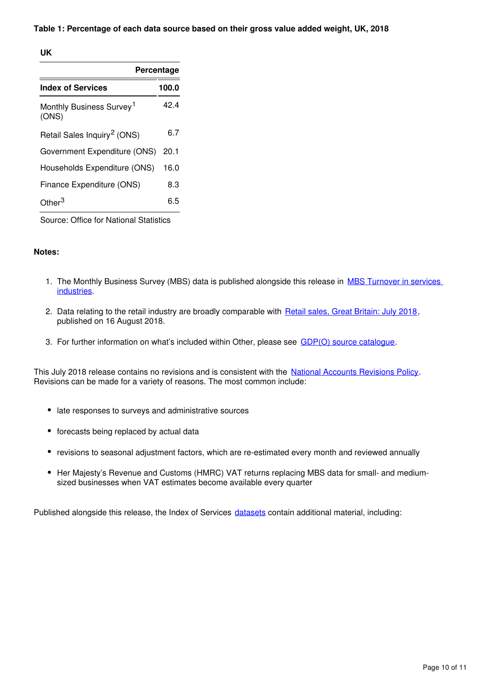#### **Table 1: Percentage of each data source based on their gross value added weight, UK, 2018**

#### **UK**

|                                               | Percentage |
|-----------------------------------------------|------------|
| <b>Index of Services</b>                      | 100.0      |
| Monthly Business Survey <sup>1</sup><br>(ONS) | 42 4       |
| Retail Sales Inquiry <sup>2</sup> (ONS)       | 6.7        |
| Government Expenditure (ONS)                  | 20.1       |
| Households Expenditure (ONS)                  | 16.0       |
| Finance Expenditure (ONS)                     | 8.3        |
| ∩ther <sup>3</sup>                            | 6.5        |

Source: Office for National Statistics

#### **Notes:**

- 1. The Monthly Business Survey (MBS) data is published alongside this release in MBS Turnover in services [industries.](https://www.ons.gov.uk/economy/economicoutputandproductivity/output/datasets/monthlybusinesssurveymbsturnoverofservicesindustries)
- 2. Data relating to the retail industry are broadly comparable with [Retail sales, Great Britain: July 2018](https://www.ons.gov.uk/businessindustryandtrade/retailindustry/bulletins/retailsales/july2018), published on 16 August 2018.
- 3. For further information on what's included within Other, please see GDP(O) source catalogue.

This July 2018 release contains no revisions and is consistent with the [National Accounts Revisions Policy](https://www.ons.gov.uk/methodology/methodologytopicsandstatisticalconcepts/revisions/revisionspoliciesforeconomicstatistics). Revisions can be made for a variety of reasons. The most common include:

- late responses to surveys and administrative sources
- forecasts being replaced by actual data
- revisions to seasonal adjustment factors, which are re-estimated every month and reviewed annually
- Her Majesty's Revenue and Customs (HMRC) VAT returns replacing MBS data for small- and mediumsized businesses when VAT estimates become available every quarter

Published alongside this release, the Index of Services datasets contain additional material, including: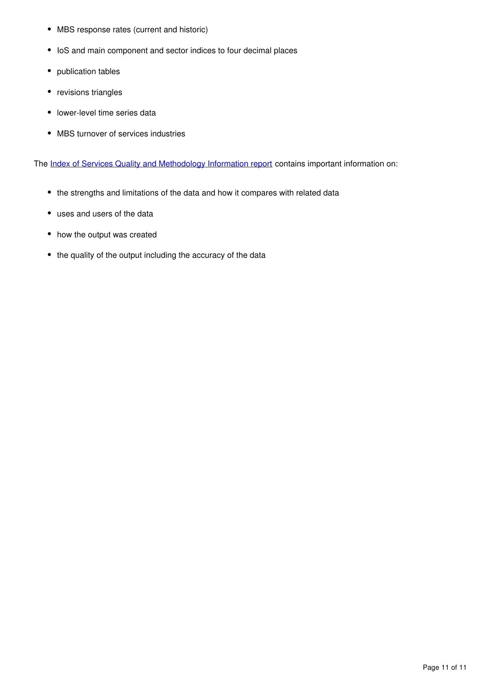- MBS response rates (current and historic)
- IoS and main component and sector indices to four decimal places
- publication tables
- revisions triangles
- lower-level time series data
- MBS turnover of services industries

The [Index of Services Quality and Methodology Information report](https://www.ons.gov.uk/economy/nationalaccounts/uksectoraccounts/qmis/indexofservicesqmi) contains important information on:

- the strengths and limitations of the data and how it compares with related data
- uses and users of the data
- how the output was created
- the quality of the output including the accuracy of the data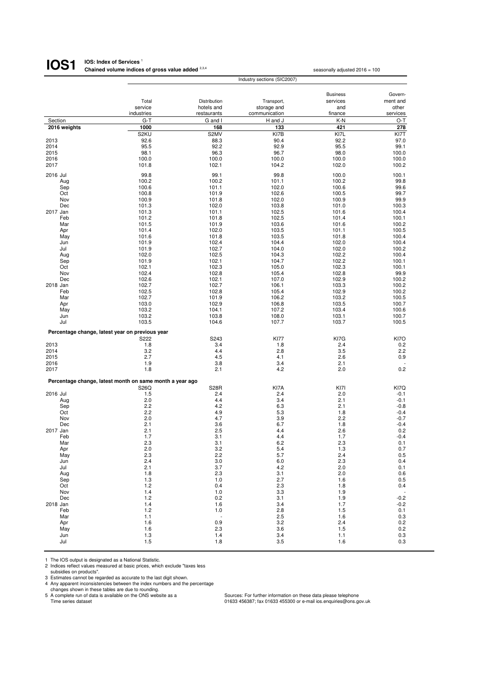| IOS1         | <b>IOS: Index of Services</b>                     |                |                             |                                  |                |
|--------------|---------------------------------------------------|----------------|-----------------------------|----------------------------------|----------------|
|              | Chained volume indices of gross value added 2,3,4 |                |                             | seasonally adjusted $2016 = 100$ |                |
|              |                                                   |                | Industry sections (SIC2007) |                                  |                |
|              |                                                   |                |                             | <b>Business</b>                  | Govern-        |
|              | Total                                             | Distribution   | Transport,                  | services                         | ment and       |
|              | service                                           | hotels and     | storage and                 | and                              | other          |
|              | industries                                        | restaurants    | communication               | finance                          | services       |
| Section      | G-T                                               | G and I        | H and J                     | K-N                              | $O-T$          |
| 2016 weights | 1000                                              | 168            | 133                         | 421                              | 278            |
|              | S <sub>2</sub> KU                                 | S2MV           | KI7B                        | KI7L                             | KI7T           |
| 2013         | 92.6                                              | 88.3           | 90.4                        | 92.2                             | 97.0           |
| 2014         | 95.5                                              | 92.2           | 92.9                        | 95.5                             | 99.1           |
| 2015         | 98.1                                              | 96.3           | 96.7                        | 98.0                             | 100.0          |
| 2016         | 100.0                                             | 100.0          | 100.0                       | 100.0                            | 100.0          |
| 2017         | 101.8                                             | 102.1          | 104.2                       | 102.0                            | 100.2          |
|              |                                                   |                |                             |                                  |                |
| 2016 Jul     | 99.8                                              | 99.1           | 99.8                        | 100.0                            | 100.1          |
| Aug          | 100.2                                             | 100.2          | 101.1                       | 100.2                            | 99.8           |
| Sep          | 100.6                                             | 101.1          | 102.0                       | 100.6                            | 99.6           |
| Oct          | 100.8                                             | 101.9          | 102.6                       | 100.5                            | 99.7           |
| Nov          | 100.9                                             | 101.8          | 102.0                       | 100.9                            | 99.9           |
| Dec          | 101.3                                             | 102.0          | 103.8                       | 101.0                            | 100.3          |
| 2017 Jan     | 101.3                                             | 101.1          | 102.5                       | 101.6                            | 100.4          |
| Feb          | 101.2                                             | 101.8          | 102.5                       | 101.4                            | 100.1          |
| Mar          | 101.5                                             | 101.9          | 103.6                       | 101.6                            | 100.2          |
| Apr          | 101.4                                             | 102.0          | 103.5                       | 101.1                            | 100.5          |
| May          | 101.6                                             | 101.8          | 103.5                       | 101.8                            | 100.4          |
| Jun          | 101.9                                             | 102.4          | 104.4                       | 102.0                            | 100.4          |
| Jul          | 101.9                                             | 102.7          | 104.0                       | 102.0                            | 100.2          |
| Aug          | 102.0                                             | 102.5<br>102.1 | 104.3<br>104.7              | 102.2                            | 100.4<br>100.1 |
| Sep          | 101.9<br>102.1                                    | 102.3          | 105.0                       | 102.2<br>102.3                   | 100.1          |
| Oct<br>Nov   | 102.4                                             | 102.8          | 105.4                       | 102.8                            | 99.9           |
| Dec          | 102.6                                             | 102.1          | 107.0                       | 102.9                            | 100.2          |
| 2018 Jan     | 102.7                                             | 102.7          | 106.1                       | 103.3                            | 100.2          |
| Feb          | 102.5                                             | 102.8          | 105.4                       | 102.9                            | 100.2          |
| Mar          | 102.7                                             | 101.9          | 106.2                       | 103.2                            | 100.5          |
| Apr          | 103.0                                             | 102.9          | 106.8                       | 103.5                            | 100.7          |
| May          | 103.2                                             | 104.1          | 107.2                       | 103.4                            | 100.6          |
| Jun          | 103.2                                             | 103.8          | 108.0                       | 103.1                            | 100.7          |
| Jul          | 103.5                                             | 104.6          | 107.7                       | 103.7                            | 100.5          |
|              |                                                   |                |                             |                                  |                |
|              | Percentage change, latest year on previous year   |                |                             |                                  |                |
|              | S222                                              | S243           | <b>KI77</b>                 | KI7G                             | KI7O           |
| 2013         | 1.8                                               | 3.4            | 1.8                         | 2.4                              | 0.2            |
| 2014         | 3.2                                               | 4.4            | 2.8                         | 3.5                              | 2.2            |
| 2015         | 2.7                                               | 4.5            | 4.1                         | 2.6                              | 0.9            |
| 2016         | 1.9                                               | 3.8            | 3.4                         | 2.1                              | 0.2            |
| 2017         | 1.8                                               | 2.1            | 4.2                         | 2.0                              |                |

|          | Percentage change, latest month on same month a year ago |                          |      |      |                          |
|----------|----------------------------------------------------------|--------------------------|------|------|--------------------------|
|          | S26Q                                                     | <b>S28R</b>              | KI7A | KI7I | KI7Q                     |
| 2016 Jul | 1.5                                                      | 2.4                      | 2.4  | 2.0  | $-0.1$                   |
| Aug      | 2.0                                                      | 4.4                      | 3.4  | 2.1  | $-0.1$                   |
| Sep      | 2.2                                                      | 4.2                      | 6.3  | 2.1  | $-0.8$                   |
| Oct      | 2.2                                                      | 4.9                      | 5.3  | 1.8  | $-0.4$                   |
| Nov      | 2.0                                                      | 4.7                      | 3.9  | 2.2  | $-0.7$                   |
| Dec      | 2.1                                                      | 3.6                      | 6.7  | 1.8  | $-0.4$                   |
| 2017 Jan | 2.1                                                      | 2.5                      | 4.4  | 2.6  | 0.2                      |
| Feb      | 1.7                                                      | 3.1                      | 4.4  | 1.7  | $-0.4$                   |
| Mar      | 2.3                                                      | 3.1                      | 6.2  | 2.3  | 0.1                      |
| Apr      | 2.0                                                      | 3.2                      | 5.4  | 1.3  | 0.7                      |
| May      | 2.3                                                      | 2.2                      | 5.7  | 2.4  | 0.5                      |
| Jun      | 2.4                                                      | 3.0                      | 6.0  | 2.3  | 0.4                      |
| Jul      | 2.1                                                      | 3.7                      | 4.2  | 2.0  | 0.1                      |
| Aug      | 1.8                                                      | 2.3                      | 3.1  | 2.0  | 0.6                      |
| Sep      | 1.3                                                      | 1.0                      | 2.7  | 1.6  | 0.5                      |
| Oct      | 1.2                                                      | 0.4                      | 2.3  | 1.8  | 0.4                      |
| Nov      | 1.4                                                      | 1.0                      | 3.3  | 1.9  | $\overline{\phantom{a}}$ |
| Dec      | 1.2                                                      | 0.2                      | 3.1  | 1.9  | $-0.2$                   |
| 2018 Jan | 1.4                                                      | 1.6                      | 3.4  | 1.7  | $-0.2$                   |
| Feb      | 1.2                                                      | 1.0                      | 2.8  | 1.5  | 0.1                      |
| Mar      | 1.1                                                      | $\overline{\phantom{a}}$ | 2.5  | 1.6  | 0.3                      |
| Apr      | 1.6                                                      | 0.9                      | 3.2  | 2.4  | 0.2                      |
| May      | 1.6                                                      | 2.3                      | 3.6  | 1.5  | 0.2                      |
| Jun      | 1.3                                                      | 1.4                      | 3.4  | 1.1  | 0.3                      |
| Jul      | 1.5                                                      | 1.8                      | 3.5  | 1.6  | 0.3                      |

1 The IOS output is designated as a National Statistic.<br>
2 Indices reflect values measured at basic prices, which exclude "taxes less<br>
3 Estimates cannot be regarded as accurate to the last digit shown.<br>
4 Any apparent inc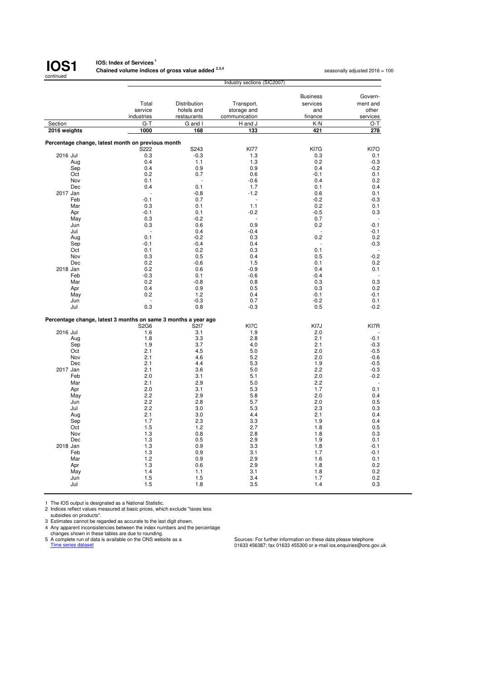

#### **IOS: Index of Services<sup>1</sup> Chained volume indices of gross value added <sup>2,3,4</sup> seasonally adjusted 2016 = 100<br>**

|                                                                |                                                   |              | Industry sections (SIC2007) |                             |          |
|----------------------------------------------------------------|---------------------------------------------------|--------------|-----------------------------|-----------------------------|----------|
|                                                                |                                                   |              |                             |                             | Govern-  |
|                                                                | Total                                             | Distribution | Transport,                  | <b>Business</b><br>services | ment and |
|                                                                | service                                           | hotels and   | storage and                 | and                         | other    |
|                                                                | industries                                        | restaurants  | communication               | finance                     | services |
| Section                                                        | $G-T$                                             | G and I      | H and J                     | K-N                         | O-T      |
| 2016 weights                                                   | 1000                                              | 168          | 133                         | 421                         |          |
|                                                                |                                                   |              |                             |                             | 278      |
|                                                                | Percentage change, latest month on previous month |              |                             |                             |          |
|                                                                | S222                                              | S243         | <b>KI77</b>                 | KI7G                        | KI7O     |
| 2016 Jul                                                       | 0.3                                               | -0.3         | 1.3                         | 0.3                         | 0.1      |
| Aug                                                            | 0.4                                               | 1.1          | 1.3                         | 0.2                         | $-0.3$   |
| Sep                                                            | 0.4                                               | 0.9          | 0.9                         | 0.4                         | $-0.2$   |
| Oct                                                            | 0.2                                               | 0.7          | 0.6                         | $-0.1$                      | 0.1      |
| Nov                                                            | 0.1                                               | ÷.           | $-0.6$                      | 0.4                         | 0.2      |
| Dec                                                            | 0.4                                               | 0.1          | 1.7                         | 0.1                         | 0.4      |
| 2017 Jan                                                       |                                                   | $-0.8$       | $-1.2$                      | 0.6                         | 0.1      |
| Feb                                                            | $-0.1$                                            | 0.7          |                             | $-0.2$                      | $-0.3$   |
| Mar                                                            | 0.3                                               | 0.1          | 1.1                         | 0.2                         | 0.1      |
| Apr                                                            | $-0.1$                                            | 0.1          | $-0.2$                      | $-0.5$                      | 0.3      |
| May                                                            | 0.3                                               | $-0.2$       |                             | 0.7                         |          |
| Jun                                                            | 0.3                                               | 0.6          | 0.9                         | 0.2                         | $-0.1$   |
| Jul                                                            |                                                   | 0.4          | $-0.4$                      |                             | $-0.1$   |
| Aug                                                            | 0.1                                               | $-0.2$       | 0.3                         | 0.2                         | 0.2      |
| Sep                                                            | $-0.1$                                            | $-0.4$       | 0.4                         |                             | $-0.3$   |
| Oct                                                            | 0.1                                               | 0.2          | 0.3                         | 0.1                         |          |
| Nov                                                            | 0.3                                               | 0.5          | 0.4                         | 0.5                         | $-0.2$   |
| <b>Dec</b>                                                     | 0.2                                               | $-0.6$       | 1.5                         | 0.1                         | 0.2      |
| 2018 Jan                                                       | 0.2                                               | 0.6          | $-0.9$                      | 0.4                         | 0.1      |
| Feb                                                            | $-0.3$                                            | 0.1          | $-0.6$                      | $-0.4$                      |          |
| Mar                                                            | 0.2                                               | $-0.8$       | 0.8                         | 0.3                         | 0.3      |
| Apr                                                            | 0.4                                               | 0.9          | 0.5                         | 0.3                         | 0.2      |
| May                                                            | 0.2                                               | 1.2          | 0.4                         | $-0.1$                      | $-0.1$   |
| Jun                                                            | ä,                                                | $-0.3$       | 0.7                         | $-0.2$                      | 0.1      |
| Jul                                                            | 0.3                                               | 0.8          | $-0.3$                      | 0.5                         | $-0.2$   |
|                                                                |                                                   |              |                             |                             |          |
| Percentage change, latest 3 months on same 3 months a year ago |                                                   |              |                             |                             |          |
|                                                                | S2G6                                              | S217         | KI7C                        | KI7J                        | KI7R     |
| 2016 Jul                                                       | 1.6                                               | 3.1          | 1.9                         | 2.0                         |          |
| Aug                                                            | 1.8                                               | 3.3          | 2.8                         | 2.1                         | $-0.1$   |
| Sep                                                            | 1.9                                               | 3.7          | 4.0                         | 2.1                         | $-0.3$   |
| Oct                                                            | 2.1                                               | 4.5          | 5.0                         | 2.0                         | $-0.5$   |
| Nov                                                            | 2.1                                               | 4.6          | 5.2                         | 2.0                         | $-0.6$   |
| Dec                                                            | 2.1                                               | 4.4          | 5.3                         | 1.9                         | $-0.5$   |
| 2017 Jan                                                       | 2.1                                               | 3.6          | 5.0                         | 2.2                         | $-0.3$   |
| Feb                                                            | 2.0                                               | 3.1          | 5.1                         | 2.0                         | $-0.2$   |
| Mar                                                            | 2.1                                               | 2.9          | 5.0                         | 2.2                         |          |
| Apr                                                            | 2.0                                               | 3.1          | 5.3                         | 1.7                         | 0.1      |
| May                                                            | 2.2                                               | 2.9          | 5.8                         | 2.0                         | 0.4      |
| Jun                                                            | 2.2                                               | 2.8          | 5.7                         | 2.0                         | 0.5      |
| Jul                                                            | 2.2                                               | 3.0          | 5.3                         | 2.3                         | 0.3      |
| Aug                                                            | 2.1                                               | 3.0          | 4.4                         | 2.1                         | 0.4      |
| Sep                                                            | 1.7                                               | 2.3          | 3.3                         | 1.9                         | 0.4      |
| Oct                                                            | 1.5                                               | 1.2          | 2.7                         | 1.8                         | 0.5      |
| Nov                                                            | 1.3                                               | 0.8          | 2.8                         | 1.8                         | 0.3      |
| Dec                                                            | 1.3                                               | 0.5          | 2.9                         | 1.9                         | 0.1      |
| 2018 Jan                                                       | 1.3                                               | 0.9          | 3.3                         | 1.8                         | $-0.1$   |
| Feb                                                            | 1.3                                               | 0.9          | 3.1                         | 1.7                         | $-0.1$   |
| Mar                                                            | 1.2                                               | 0.9          | 2.9                         | 1.6                         | 0.1      |
| Apr                                                            | 1.3                                               | 0.6          | 2.9                         | 1.8                         | 0.2      |
| May                                                            | 1.4                                               | 1.1          | 3.1                         | 1.8                         | 0.2      |
| Jun                                                            | 1.5                                               | 1.5          | 3.4                         | 1.7                         | 0.2      |
| Jul                                                            | 1.5                                               | 1.8          | 3.5                         | 1.4                         | 0.3      |
|                                                                |                                                   |              |                             |                             |          |

1 The IOS output is designated as a National Statistic. 2 Indices reflect values measured at basic prices, which exclude "taxes less

subsidies on products". 3 Estimates cannot be regarded as accurate to the last digit shown. 4 Any apparent inconsistencies between the index numbers and the percentage

changes shown in these tables are due to rounding.<br>
Shown in these tables are due to rounding.<br>
Shown in the changes shown in the change of the CNS website as a<br>
<u>Time series dataset</u>

5 A complete run of data is available on the ONS website as a Sources: For further information on these data please telephone<br>1633 456387; fax 01633 455300 or e-mail ios.enquiries@ons.gov.uk<br>1633 456387; fax 01633 455300 o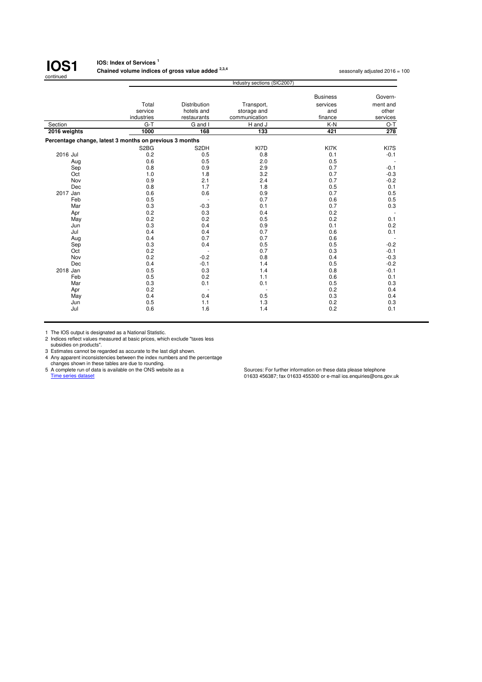

#### **IOS: Index of Services <sup>1</sup> Chained volume indices of gross value added <sup>2,3,4</sup> seasonally adjusted 2016 = 100<br>
<b>Chained volume indices of gross value added** <sup>2,3,4</sup>

|              | Industry sections (SIC2007)                             |                     |                   |                 |          |  |
|--------------|---------------------------------------------------------|---------------------|-------------------|-----------------|----------|--|
|              |                                                         |                     |                   | <b>Business</b> | Govern-  |  |
|              | Total                                                   | <b>Distribution</b> | Transport,        | services        | ment and |  |
|              | service                                                 | hotels and          | storage and       | and             | other    |  |
|              | industries                                              | restaurants         | communication     | finance         | services |  |
| Section      | $G-T$                                                   | G and I             | H and J           | $K-N$           | $O-T$    |  |
| 2016 weights | 1000                                                    | 168                 | 133               | 421             | 278      |  |
|              | Percentage change, latest 3 months on previous 3 months |                     |                   |                 |          |  |
|              | S <sub>2</sub> B <sub>G</sub>                           | S <sub>2</sub> DH   | KI7D              | KI7K            | KI7S     |  |
| 2016 Jul     | 0.2                                                     | 0.5                 | 0.8               | 0.1             | $-0.1$   |  |
| Aug          | 0.6                                                     | 0.5                 | 2.0               | 0.5             |          |  |
| Sep          | 0.8                                                     | 0.9                 | 2.9               | 0.7             | $-0.1$   |  |
| Oct          | 1.0                                                     | 1.8                 | 3.2               | 0.7             | $-0.3$   |  |
| Nov          | 0.9                                                     | 2.1                 | 2.4               | 0.7             | $-0.2$   |  |
| Dec          | 0.8                                                     | 1.7                 | 1.8               | 0.5             | 0.1      |  |
| 2017 Jan     | 0.6                                                     | 0.6                 | 0.9               | 0.7             | 0.5      |  |
| Feb          | 0.5                                                     |                     | 0.7               | 0.6             | 0.5      |  |
| Mar          | 0.3                                                     | $-0.3$              | 0.1               | 0.7             | 0.3      |  |
| Apr          | 0.2                                                     | 0.3                 | 0.4               | 0.2             |          |  |
| May          | 0.2                                                     | 0.2                 | 0.5               | 0.2             | 0.1      |  |
| Jun          | 0.3                                                     | 0.4                 | 0.9               | 0.1             | 0.2      |  |
| Jul          | 0.4                                                     | 0.4                 | 0.7               | 0.6             | 0.1      |  |
| Aug          | 0.4                                                     | 0.7                 | 0.7               | 0.6             |          |  |
| Sep          | 0.3                                                     | 0.4                 | 0.5               | 0.5             | $-0.2$   |  |
| Oct          | 0.2                                                     |                     | 0.7               | 0.3             | $-0.1$   |  |
| Nov          | 0.2                                                     | $-0.2$              | 0.8               | 0.4             | $-0.3$   |  |
| Dec          | 0.4                                                     | $-0.1$              | 1.4               | 0.5             | $-0.2$   |  |
| 2018 Jan     | 0.5                                                     | 0.3                 | 1.4               | 0.8             | $-0.1$   |  |
| Feb          | 0.5                                                     | 0.2                 | 1.1               | 0.6             | 0.1      |  |
| Mar          | 0.3                                                     | 0.1                 | 0.1               | 0.5             | 0.3      |  |
| Apr          |                                                         |                     |                   |                 | 0.4      |  |
| May          | 0.4                                                     | 0.4                 |                   | 0.3             | 0.4      |  |
| Jun          | 0.5                                                     |                     |                   | 0.2             | 0.3      |  |
|              |                                                         |                     |                   |                 | 0.1      |  |
| Jul          | 0.2<br>0.6                                              | 1.1<br>1.6          | 0.5<br>1.3<br>1.4 | 0.2<br>0.2      |          |  |

1 The IOS output is designated as a National Statistic. 2 Indices reflect values measured at basic prices, which exclude "taxes less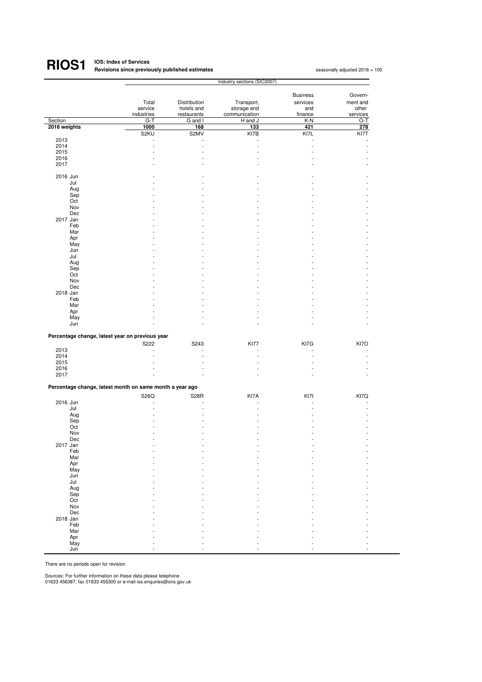#### **IOS: Index of Services Revisions since previously published estimates <sup>1</sup> RIOS1**

seasonally adjusted 2016 = 100

|                                                          | Industry sections (SIC2007) |              |               |                 |          |
|----------------------------------------------------------|-----------------------------|--------------|---------------|-----------------|----------|
|                                                          |                             |              |               |                 |          |
|                                                          |                             |              |               | <b>Business</b> | Govern-  |
|                                                          | Total                       | Distribution | Transport,    | services        | ment and |
|                                                          | service                     | hotels and   | storage and   | and             | other    |
|                                                          | industries                  | restaurants  | communication | finance         | services |
| Section                                                  | $G-T$                       | G and I      | H and J       | K-N             | O-T      |
| 2016 weights                                             | 1000                        | 168          | 133           | 421             | 278      |
|                                                          | S2KU                        | S2MV         | KI7B          | KI7L            | KI7T     |
| 2013<br>2014                                             |                             |              |               |                 |          |
| 2015                                                     |                             | ä,           |               |                 |          |
| 2016                                                     |                             |              |               |                 |          |
| 2017                                                     |                             |              |               |                 |          |
|                                                          |                             |              |               |                 |          |
| 2016 Jun                                                 |                             |              |               |                 |          |
| Jul                                                      |                             |              |               |                 |          |
| Aug                                                      |                             |              |               |                 |          |
| Sep                                                      |                             |              |               |                 |          |
| Oct                                                      |                             |              |               |                 |          |
| Nov                                                      |                             |              |               |                 |          |
| Dec                                                      |                             |              |               |                 |          |
| 2017 Jan                                                 |                             |              |               |                 |          |
| Feb                                                      |                             |              |               |                 |          |
| Mar                                                      |                             |              |               |                 |          |
| Apr<br>May                                               |                             |              |               |                 |          |
| Jun                                                      |                             |              |               |                 |          |
| Jul                                                      |                             |              |               |                 |          |
| Aug                                                      |                             |              |               |                 |          |
| Sep                                                      |                             |              |               |                 |          |
| Oct                                                      |                             |              |               |                 |          |
| Nov                                                      |                             |              |               |                 |          |
| Dec                                                      |                             |              |               |                 |          |
| 2018 Jan                                                 |                             |              |               |                 |          |
| Feb                                                      |                             |              |               |                 |          |
| Mar                                                      |                             |              |               |                 |          |
| Apr                                                      |                             |              |               |                 |          |
| May                                                      |                             |              |               |                 |          |
| Jun                                                      |                             |              |               |                 |          |
| Percentage change, latest year on previous year          |                             |              |               |                 |          |
|                                                          |                             |              |               |                 |          |
|                                                          | S222                        | S243         | <b>KI77</b>   | KI7G            | KI7O     |
| 2013<br>2014                                             | ÷.                          | ٠<br>٠       | ÷             | $\overline{a}$  | ÷.       |
| 2015                                                     |                             |              |               |                 |          |
| 2016                                                     |                             |              |               |                 |          |
| 2017                                                     |                             |              |               |                 |          |
|                                                          |                             |              |               |                 |          |
| Percentage change, latest month on same month a year ago |                             |              |               |                 |          |
|                                                          |                             |              | KI7A          |                 |          |
| 2016 Jun                                                 | S26Q                        | <b>S28R</b>  |               | KI7I            | KI7Q     |
| Jul                                                      |                             |              |               |                 |          |
| Aug                                                      |                             |              |               |                 |          |
| Sep                                                      |                             |              |               |                 |          |
| Oct                                                      |                             |              |               |                 |          |
| Nov                                                      |                             |              |               |                 |          |
| Dec                                                      |                             |              |               |                 |          |
| 2017 Jan                                                 |                             |              |               |                 |          |
| Feb                                                      |                             |              |               |                 |          |
| Mar                                                      |                             |              |               |                 |          |
| Apr                                                      |                             |              |               |                 |          |
| May                                                      |                             |              |               |                 |          |
| Jun                                                      |                             |              |               |                 |          |
| Jul                                                      |                             |              |               |                 |          |
| Aug                                                      |                             |              |               |                 |          |
| Sep<br>Oct                                               |                             |              |               |                 |          |
| Nov                                                      |                             |              |               |                 |          |
| Dec                                                      |                             |              |               |                 |          |
| 2018 Jan                                                 |                             |              |               |                 |          |
| Feb                                                      |                             |              |               |                 |          |
| Mar                                                      |                             |              |               |                 |          |
| Apr                                                      |                             |              |               |                 |          |
| May                                                      |                             |              |               |                 |          |
| Jun                                                      |                             |              |               |                 |          |

There are no periods open for revision

Sources: For further information on these data please telephone 01633 456387; fax 01633 455300 or e-mail ios.enquiries@ons.gov.uk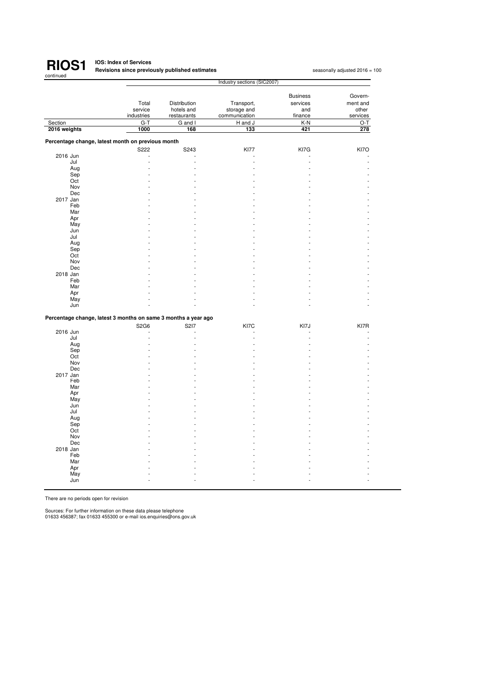

### **IOS: Index of Services Revisions since previously published estimates <sup>1</sup>**

seasonally adjusted 2016 = 100

|                                                                |            | Industry sections (SIC2007) |               |                 |          |  |  |
|----------------------------------------------------------------|------------|-----------------------------|---------------|-----------------|----------|--|--|
|                                                                |            |                             |               |                 |          |  |  |
|                                                                |            |                             |               | <b>Business</b> | Govern-  |  |  |
|                                                                | Total      | Distribution                | Transport,    | services        | ment and |  |  |
|                                                                | service    | hotels and                  | storage and   | and             | other    |  |  |
|                                                                | industries | restaurants                 | communication | finance         | services |  |  |
| Section                                                        | $G-T$      | G and I                     | H and J       | K-N             | O-T      |  |  |
| 2016 weights                                                   | 1000       | 168                         | 133           | 421             | 278      |  |  |
|                                                                |            |                             |               |                 |          |  |  |
| Percentage change, latest month on previous month              |            |                             |               |                 |          |  |  |
|                                                                | S222       | S243                        | <b>KI77</b>   | KI7G            | KI7O     |  |  |
| 2016 Jun                                                       | Ĭ.         |                             |               |                 |          |  |  |
| Jul                                                            | L.         |                             |               |                 |          |  |  |
| Aug                                                            |            |                             |               |                 |          |  |  |
| Sep                                                            |            |                             |               |                 |          |  |  |
| Oct                                                            |            |                             |               |                 |          |  |  |
| Nov                                                            |            |                             |               |                 |          |  |  |
| Dec                                                            |            |                             |               |                 |          |  |  |
| 2017 Jan                                                       |            |                             |               |                 |          |  |  |
| Feb                                                            |            |                             |               |                 |          |  |  |
| Mar                                                            |            |                             |               |                 |          |  |  |
| Apr                                                            |            |                             |               |                 |          |  |  |
| May                                                            |            |                             |               |                 |          |  |  |
| Jun                                                            |            |                             |               |                 |          |  |  |
| Jul                                                            |            |                             |               |                 |          |  |  |
| Aug                                                            |            |                             |               |                 |          |  |  |
| Sep                                                            |            |                             |               |                 |          |  |  |
| Oct                                                            |            |                             |               |                 |          |  |  |
| Nov                                                            |            |                             |               |                 |          |  |  |
| Dec                                                            |            |                             |               |                 |          |  |  |
| 2018 Jan                                                       |            |                             |               |                 |          |  |  |
| Feb                                                            |            |                             |               |                 |          |  |  |
| Mar                                                            |            |                             |               |                 |          |  |  |
| Apr                                                            |            |                             |               |                 |          |  |  |
| May                                                            |            |                             |               |                 |          |  |  |
| Jun                                                            |            |                             |               |                 |          |  |  |
|                                                                |            |                             |               |                 |          |  |  |
| Percentage change, latest 3 months on same 3 months a year ago |            |                             |               |                 |          |  |  |
|                                                                | S2G6       | S217                        | KI7C          | KI7J            | KI7R     |  |  |
| 2016 Jun                                                       |            |                             |               |                 |          |  |  |
| Jul                                                            |            |                             |               |                 |          |  |  |
| Aug                                                            |            |                             |               |                 |          |  |  |
| Sep                                                            |            |                             |               |                 |          |  |  |
| Oct                                                            |            |                             |               |                 |          |  |  |
| Nov                                                            |            |                             |               |                 |          |  |  |
| Dec                                                            |            |                             |               |                 |          |  |  |
| 2017 Jan                                                       |            |                             |               |                 |          |  |  |
| Feb                                                            |            |                             |               |                 |          |  |  |
| Mar                                                            |            |                             |               |                 |          |  |  |
| Apr                                                            |            |                             |               |                 |          |  |  |
| May                                                            |            |                             |               |                 |          |  |  |
| Jun                                                            |            |                             |               |                 |          |  |  |
| Jul                                                            |            |                             |               |                 |          |  |  |
| Aug                                                            |            |                             |               |                 |          |  |  |
| Sep                                                            |            |                             |               |                 |          |  |  |
| Oct                                                            |            |                             |               |                 |          |  |  |
| Nov                                                            |            |                             |               |                 |          |  |  |
| Dec                                                            |            |                             |               |                 |          |  |  |
| 2018 Jan                                                       |            |                             |               |                 |          |  |  |
| Feb                                                            |            |                             |               |                 |          |  |  |
| Mar                                                            |            |                             |               |                 |          |  |  |
| Apr                                                            |            |                             |               |                 |          |  |  |
| May                                                            |            |                             |               |                 |          |  |  |
| Jun                                                            |            |                             |               |                 |          |  |  |

There are no periods open for revision

Sources: For further information on these data please telephone 01633 456387; fax 01633 455300 or e-mail ios.enquiries@ons.gov.uk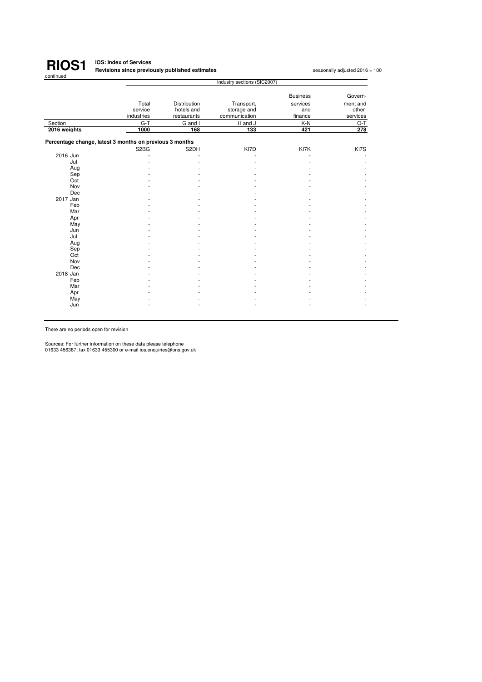

### **IOS: Index of Services Revisions since previously published estimates <sup>1</sup>**

|                                                         |                               |                     | Industry sections (SIC2007) |                 |          |
|---------------------------------------------------------|-------------------------------|---------------------|-----------------------------|-----------------|----------|
|                                                         |                               |                     |                             | <b>Business</b> | Govern-  |
|                                                         | Total                         | <b>Distribution</b> | Transport,                  | services        | ment and |
|                                                         | service                       | hotels and          | storage and                 | and             | other    |
|                                                         | industries                    | restaurants         | communication               | finance         | services |
| Section                                                 | $G-T$                         | G and I             | H and J                     | $K-N$           | O-T      |
| 2016 weights                                            | 1000                          | 168                 | 133                         | 421             | 278      |
| Percentage change, latest 3 months on previous 3 months |                               |                     |                             |                 |          |
|                                                         | S <sub>2</sub> B <sub>G</sub> | S2DH                | KI7D                        | KI7K            | KI7S     |
| 2016 Jun                                                |                               |                     |                             |                 |          |
| Jul                                                     |                               |                     |                             |                 |          |
| Aug                                                     |                               |                     |                             |                 |          |
| Sep                                                     |                               |                     |                             |                 |          |
| Oct                                                     |                               |                     |                             |                 |          |
| Nov                                                     |                               |                     |                             |                 |          |
| Dec                                                     |                               |                     |                             |                 |          |
| 2017 Jan                                                |                               |                     |                             |                 |          |
| Feb                                                     |                               |                     |                             |                 |          |
| Mar                                                     |                               |                     |                             |                 |          |
| Apr                                                     |                               |                     |                             |                 |          |
| May                                                     |                               |                     |                             |                 |          |
| Jun                                                     |                               |                     |                             |                 |          |
| Jul                                                     |                               |                     |                             |                 |          |
| Aug                                                     |                               |                     |                             |                 |          |
| Sep                                                     |                               |                     |                             |                 |          |
| Oct                                                     |                               |                     |                             |                 |          |
| Nov                                                     |                               |                     |                             |                 |          |
| Dec                                                     |                               |                     |                             |                 |          |
| 2018 Jan                                                |                               |                     |                             |                 |          |
| Feb                                                     |                               |                     |                             |                 |          |
| Mar                                                     |                               |                     |                             |                 |          |
| Apr                                                     |                               |                     |                             |                 |          |
| May                                                     |                               |                     |                             |                 |          |
| Jun                                                     |                               |                     |                             |                 |          |

There are no periods open for revision

Sources: For further information on these data please telephone 01633 456387; fax 01633 455300 or e-mail ios.enquiries@ons.gov.uk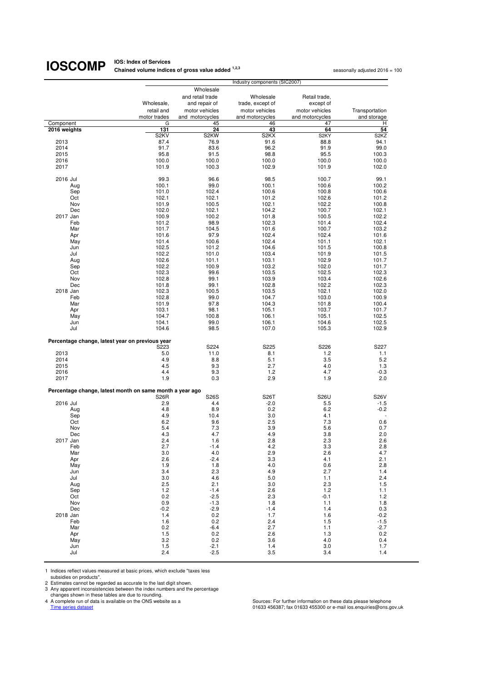**IOS: Index of Services Chained volume indices of gross value added <sup>1,2,3</sup> seasonally adjusted 2016 = 100<br>** 

|                                                          | Industry components (SIC2007) |                   |                   |                   |                               |  |
|----------------------------------------------------------|-------------------------------|-------------------|-------------------|-------------------|-------------------------------|--|
|                                                          |                               | Wholesale         |                   |                   |                               |  |
|                                                          |                               | and retail trade  | Wholesale         | Retail trade,     |                               |  |
|                                                          | Wholesale,                    | and repair of     | trade, except of  | except of         |                               |  |
|                                                          | retail and                    | motor vehicles    | motor vehicles    | motor vehicles    |                               |  |
|                                                          | motor trades                  | and motorcycles   | and motorcycles   | and motorcycles   | Transportation<br>and storage |  |
| Component                                                | G                             | 45                | 46                | 47                | н                             |  |
| 2016 weights                                             | 131                           | 24                | 43                | 64                | 54                            |  |
|                                                          | S <sub>2</sub> KV             | S <sub>2</sub> KW | S <sub>2</sub> KX | S <sub>2</sub> KY | S <sub>2</sub> K <sub>Z</sub> |  |
| 2013                                                     | 87.4                          | 76.9              | 91.6              | 88.8              | 94.1                          |  |
| 2014                                                     | 91.7                          | 83.6              | 96.2              | 91.9              | 99.0                          |  |
| 2015                                                     | 95.8                          | 91.5              | 98.8              | 95.5              | 100.3                         |  |
| 2016                                                     | 100.0                         | 100.0             | 100.0             | 100.0             | 100.0                         |  |
| 2017                                                     | 101.9                         | 100.3             | 102.9             | 101.9             | 102.0                         |  |
|                                                          |                               |                   |                   |                   |                               |  |
| 2016 Jul                                                 | 99.3                          | 96.6              | 98.5              | 100.7             | 99.1                          |  |
| Aug                                                      | 100.1                         | 99.0              | 100.1             | 100.6             | 100.2                         |  |
| Sep                                                      | 101.0                         | 102.4             | 100.6             | 100.8             | 100.6                         |  |
| Oct                                                      | 102.1                         | 102.1             | 101.2             | 102.6             | 101.2                         |  |
| Nov                                                      | 101.9                         | 100.5             | 102.1             | 102.2             | 100.8                         |  |
| Dec                                                      | 102.0                         | 102.1             | 104.2             | 100.7             | 102.1                         |  |
| 2017 Jan                                                 | 100.9                         | 100.2             | 101.8             | 100.5             | 102.2                         |  |
| Feb                                                      | 101.2                         | 98.9              | 102.3             | 101.4             | 102.4                         |  |
| Mar                                                      | 101.7                         | 104.5             | 101.6             | 100.7             | 103.2                         |  |
| Apr                                                      | 101.6                         | 97.9              | 102.4             | 102.4             | 101.6                         |  |
| May                                                      | 101.4                         | 100.6             | 102.4             | 101.1             | 102.1                         |  |
| Jun                                                      | 102.5                         | 101.2             | 104.6             | 101.5             | 100.8                         |  |
| Jul                                                      | 102.2                         | 101.0             | 103.4             | 101.9             | 101.5                         |  |
| Aug                                                      | 102.6                         | 101.1             | 103.1             | 102.9             | 101.7                         |  |
| Sep                                                      | 102.2                         | 100.9             | 103.2             | 102.0             | 101.7                         |  |
| Oct                                                      | 102.3                         | 99.6              | 103.5             | 102.5             | 102.3                         |  |
| Nov                                                      | 102.8                         | 99.1              | 103.9             | 103.4             | 102.6                         |  |
| Dec                                                      | 101.8                         | 99.1              | 102.8             | 102.2             | 102.3                         |  |
| 2018 Jan                                                 | 102.3                         | 100.5             | 103.5             | 102.1             | 102.0                         |  |
| Feb                                                      | 102.8                         | 99.0              | 104.7             | 103.0             | 100.9                         |  |
| Mar                                                      | 101.9                         | 97.8              | 104.3             | 101.8             | 100.4                         |  |
| Apr                                                      | 103.1                         | 98.1              | 105.1             | 103.7             | 101.7                         |  |
| May                                                      | 104.7                         | 100.8             | 106.1             | 105.1             | 102.5                         |  |
| Jun                                                      | 104.1                         | 99.0              | 106.1             | 104.6             | 102.5                         |  |
| Jul                                                      | 104.6                         | 98.5              | 107.0             | 105.3             | 102.9                         |  |
|                                                          |                               |                   |                   |                   |                               |  |
| Percentage change, latest year on previous year          |                               |                   |                   |                   |                               |  |
|                                                          | S223                          | S224              | S225              | S226              | S227                          |  |
| 2013                                                     | 5.0                           | 11.0              | 8.1               | 1.2               | 1.1                           |  |
| 2014                                                     | 4.9                           | 8.8               | 5.1               | 3.5               | 5.2                           |  |
| 2015                                                     | 4.5                           | 9.3               | 2.7               | 4.0               | 1.3                           |  |
| 2016                                                     | 4.4                           | 9.3               | 1.2               | 4.7               | -0.3                          |  |
| 2017                                                     | 1.9                           | 0.3               | 2.9               | 1.9               | 2.0                           |  |
|                                                          |                               |                   |                   |                   |                               |  |
| Percentage change, latest month on same month a year ago |                               |                   |                   |                   |                               |  |
| 2016 Jul                                                 | <b>S26R</b>                   | S26S              | S <sub>26</sub> T | S26U              | <b>S26V</b>                   |  |
|                                                          | 2.9                           | 4.4               | $-2.0$            | 5.5               | $-1.5$                        |  |
| Aug                                                      | 4.8<br>4.9                    | 8.9               | 0.2<br>3.0        | 6.2<br>4.1        | $-0.2$                        |  |
| Sep<br>Oct                                               | 6.2                           | 10.4<br>9.6       | 2.5               | 7.3               | 0.6                           |  |
| Nov                                                      | 5.4                           | 7.3               | 3.9               | 5.6               | 0.7                           |  |
| Dec                                                      | 4.3                           | 4.7               | 4.9               | 3.8               | 2.0                           |  |
| 2017 Jan                                                 | 2.4                           | 1.6               | 2.8               | 2.3               | 2.6                           |  |
| Feb                                                      | 2.7                           | $-1.4$            | 4.2               | 3.3               | 2.8                           |  |
| Mar                                                      | 3.0                           | 4.0               | 2.9               | 2.6               | 4.7                           |  |
| Apr                                                      | 2.6                           | $-2.4$            | 3.3               | 4.1               | 2.1                           |  |
| May                                                      | 1.9                           | 1.8               | 4.0               | 0.6               | 2.8                           |  |
| Jun                                                      | 3.4                           | 2.3               | 4.9               | 2.7               | 1.4                           |  |
| Jul                                                      | 3.0                           | 4.6               | 5.0               | 1.1               | 2.4                           |  |
| Aug                                                      | 2.5                           | 2.1               | 3.0               | 2.3               | 1.5                           |  |
| Sep                                                      | 1.2                           | $-1.4$            | 2.6               | 1.2               | 1.1                           |  |
| Oct                                                      | 0.2                           | $-2.5$            | 2.3               | $-0.1$            | $1.2$                         |  |
| Nov                                                      | 0.9                           | $-1.3$            | 1.8               | 1.1               | 1.8                           |  |
| Dec                                                      | $-0.2$                        | $-2.9$            | $-1.4$            | 1.4               | 0.3                           |  |
| 2018 Jan                                                 | 1.4                           | 0.2               | 1.7               | 1.6               | $-0.2$                        |  |
| Feb                                                      | 1.6                           | 0.2               | 2.4               | 1.5               | $-1.5$                        |  |
| Mar                                                      | 0.2                           | -6.4              | 2.7               | 1.1               | $-2.7$                        |  |
| Apr                                                      | 1.5                           | 0.2               | 2.6               | 1.3               | 0.2                           |  |
| May                                                      | 3.2                           | 0.2               | 3.6               | 4.0               | 0.4                           |  |
| Jun                                                      | 1.5                           | $-2.1$            | 1.4               | 3.0               | 1.7                           |  |
| Jul                                                      | 2.4                           | $-2.5$            | 3.5               | 3.4               | 1.4                           |  |

1 Indices reflect values measured at basic prices, which exclude "taxes less

subsidies on products". 2 Estimates cannot be regarded as accurate to the last digit shown. 3 Any apparent inconsistencies between the index numbers and the percentage

changes shown in these tables are due to rounding.<br>
4 A complete run of data is available on the ONS website as a<br>
<u>Time series dataset</u>

4 A complete run of data is available on the ONS website as a Sources: For further information on these data please telephone<br>1633 456387; fax 01633 455300 or e-mail ios.enquiries@ons.gov.uk ه 1633 1633 163387; fax 01633 4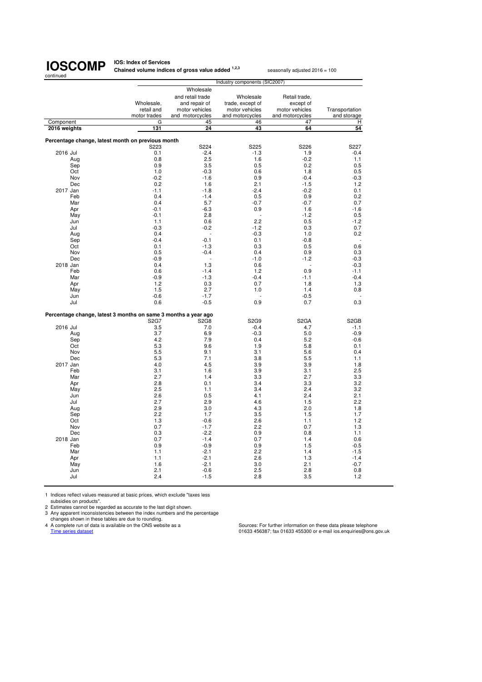**IOS: Index of Services<br><b>Chained volume indices of gross value added <sup>1,2,3</sup> seasonally adjusted 2016 = 100** 

| continued                                                      |                               |                                 |                                    |                             |                   |  |
|----------------------------------------------------------------|-------------------------------|---------------------------------|------------------------------------|-----------------------------|-------------------|--|
|                                                                | Industry components (SIC2007) |                                 |                                    |                             |                   |  |
|                                                                |                               | Wholesale                       |                                    |                             |                   |  |
|                                                                |                               | and retail trade                | Wholesale                          | Retail trade,               |                   |  |
|                                                                | Wholesale,<br>retail and      | and repair of<br>motor vehicles | trade, except of<br>motor vehicles | except of<br>motor vehicles | Transportation    |  |
|                                                                | motor trades                  | and motorcycles                 | and motorcycles                    | and motorcycles             | and storage       |  |
| Component                                                      | G                             | 45                              | 46                                 | 47                          | н                 |  |
| 2016 weights                                                   | 131                           | 24                              | 43                                 | 64                          | 54                |  |
|                                                                |                               |                                 |                                    |                             |                   |  |
| Percentage change, latest month on previous month              |                               |                                 |                                    |                             |                   |  |
|                                                                | S <sub>223</sub>              | S224                            | S225                               | S226                        | S227              |  |
| 2016 Jul                                                       | 0.1                           | $-2.4$                          | $-1.3$                             | 1.9                         | $-0.4$            |  |
| Aug                                                            | 0.8<br>0.9                    | 2.5<br>3.5                      | 1.6<br>0.5                         | $-0.2$<br>0.2               | 1.1<br>0.5        |  |
| Sep<br>Oct                                                     | 1.0                           | $-0.3$                          | 0.6                                | 1.8                         | 0.5               |  |
| Nov                                                            | $-0.2$                        | $-1.6$                          | 0.9                                | $-0.4$                      | $-0.3$            |  |
| Dec                                                            | 0.2                           | 1.6                             | 2.1                                | $-1.5$                      | 1.2               |  |
| 2017 Jan                                                       | $-1.1$                        | $-1.8$                          | $-2.4$                             | $-0.2$                      | 0.1               |  |
| Feb                                                            | 0.4                           | $-1.4$                          | 0.5                                | 0.9                         | 0.2               |  |
| Mar                                                            | 0.4                           | 5.7                             | $-0.7$                             | $-0.7$                      | 0.7               |  |
| Apr                                                            | $-0.1$                        | $-6.3$                          | 0.9                                | 1.6                         | $-1.6$            |  |
| May                                                            | $-0.1$                        | 2.8                             |                                    | $-1.2$                      | 0.5               |  |
| Jun                                                            | 1.1                           | 0.6                             | 2.2                                | 0.5                         | $-1.2$            |  |
| Jul                                                            | $-0.3$                        | $-0.2$                          | $-1.2$                             | 0.3                         | 0.7               |  |
| Aug                                                            | 0.4                           |                                 | $-0.3$                             | 1.0                         | 0.2               |  |
| Sep                                                            | $-0.4$                        | $-0.1$                          | 0.1                                | $-0.8$                      | L,                |  |
| Oct                                                            | 0.1                           | $-1.3$                          | 0.3                                | 0.5                         | 0.6               |  |
| Nov                                                            | 0.5                           | $-0.4$                          | 0.4                                | 0.9                         | 0.3               |  |
| Dec                                                            | $-0.9$                        |                                 | $-1.0$                             | $-1.2$                      | $-0.3$            |  |
| 2018 Jan                                                       | 0.4                           | 1.3                             | 0.6                                |                             | $-0.3$            |  |
| Feb                                                            | 0.6                           | $-1.4$                          | 1.2                                | 0.9                         | $-1.1$            |  |
| Mar                                                            | $-0.9$                        | $-1.3$                          | $-0.4$                             | $-1.1$                      | $-0.4$            |  |
| Apr                                                            | 1.2                           | 0.3                             | 0.7                                | 1.8                         | 1.3               |  |
| May                                                            | 1.5                           | 2.7                             | 1.0                                | 1.4                         | 0.8               |  |
| Jun                                                            | $-0.6$                        | $-1.7$                          |                                    | $-0.5$                      |                   |  |
| Jul                                                            | 0.6                           | $-0.5$                          | 0.9                                | 0.7                         | 0.3               |  |
| Percentage change, latest 3 months on same 3 months a year ago |                               |                                 |                                    |                             |                   |  |
|                                                                | S <sub>2</sub> G7             | S <sub>2</sub> G <sub>8</sub>   | S2G9                               | S <sub>2</sub> GA           | S <sub>2</sub> GB |  |
| 2016 Jul                                                       | 3.5                           | 7.0                             | $-0.4$                             | 4.7                         | $-1.1$            |  |
| Aug                                                            | 3.7                           | 6.9                             | $-0.3$                             | 5.0                         | $-0.9$            |  |
| Sep                                                            | 4.2                           | 7.9                             | 0.4                                | 5.2                         | $-0.6$            |  |
| Oct                                                            | 5.3                           | 9.6                             | 1.9                                | 5.8                         | 0.1               |  |
| Nov                                                            | 5.5                           | 9.1                             | 3.1                                | 5.6                         | 0.4               |  |
| Dec                                                            | 5.3                           | 7.1                             | 3.8                                | 5.5                         | 1.1               |  |
| 2017 Jan                                                       | 4.0                           | 4.5                             | 3.9                                | 3.9                         | 1.8               |  |
| Feb                                                            | 3.1                           | 1.6                             | 3.9                                | 3.1                         | 2.5               |  |
| Mar                                                            | 2.7                           | 1.4                             | 3.3                                | 2.7                         | 3.3               |  |
| Apr                                                            | 2.8                           | 0.1                             | 3.4                                | 3.3                         | 3.2               |  |
| May                                                            | 2.5                           | 1.1                             | 3.4                                | 2.4                         | 3.2               |  |
| Jun                                                            | 2.6                           | 0.5                             | 4.1                                | 2.4                         | 2.1               |  |
| Jul                                                            | 2.7                           | 2.9                             | 4.6                                | 1.5                         | 2.2               |  |
| Aug                                                            | 2.9                           | 3.0                             | 4.3                                | 2.0                         | 1.8               |  |
| Sep                                                            | 2.2<br>1.3                    | 1.7<br>$-0.6$                   | 3.5<br>2.6                         | 1.5                         | 1.7<br>1.2        |  |
| Oct<br>Nov                                                     | 0.7                           | $-1.7$                          | 2.2                                | 1.1<br>0.7                  | 1.3               |  |
| Dec                                                            | 0.3                           | $-2.2$                          | 0.9                                | 0.8                         | 1.1               |  |
| 2018 Jan                                                       | 0.7                           | $-1.4$                          | 0.7                                | 1.4                         | 0.6               |  |
| Feb                                                            | 0.9                           | $-0.9$                          | 0.9                                | 1.5                         | $-0.5$            |  |
| Mar                                                            | 1.1                           | $-2.1$                          | 2.2                                | 1.4                         | $-1.5$            |  |
| Apr                                                            | 1.1                           | $-2.1$                          | 2.6                                | 1.3                         | $-1.4$            |  |
| May                                                            | 1.6                           | $-2.1$                          | 3.0                                | 2.1                         | $-0.7$            |  |
| Jun                                                            | 2.1                           | $-0.6$                          | 2.5                                | 2.8                         | 0.8               |  |
| Jul                                                            | 2.4                           | $-1.5$                          | 2.8                                | 3.5                         | 1.2               |  |
|                                                                |                               |                                 |                                    |                             |                   |  |

1 Indices reflect values measured at basic prices, which exclude "taxes less

subsidies on products".<br>2 Estimates cannot be regarded as accurate to the last digit shown.<br>3 Any apparent inconsistencies between the index numbers and the percentage<br>changes shown in these tables are due to rounding.<br>4 A

Time series dataset **1986** on all the contract of the contract of the contract of the construction of the construction of the construction of the construction of the construction of the construction of the construction of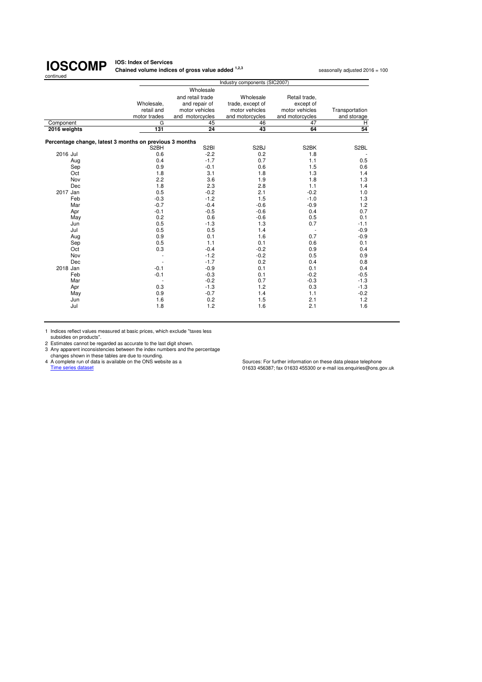**IOS: Index of Services Chained volume indices of gross value added <sup>1,2,3</sup> seasonally adjusted 2016 = 100<br>** 

|                                                         | Industry components (SIC2007) |                   |                   |                          |                   |  |
|---------------------------------------------------------|-------------------------------|-------------------|-------------------|--------------------------|-------------------|--|
|                                                         |                               | Wholesale         |                   |                          |                   |  |
|                                                         |                               | and retail trade  | Wholesale         | Retail trade,            |                   |  |
|                                                         | Wholesale,                    | and repair of     | trade, except of  | except of                |                   |  |
|                                                         | retail and                    | motor vehicles    | motor vehicles    | motor vehicles           | Transportation    |  |
|                                                         | motor trades                  | and motorcycles   | and motorcycles   | and motorcycles          | and storage       |  |
| Component                                               | G                             | 45                | 46                | 47                       | Н                 |  |
| 2016 weights                                            | 131                           | 24                | 43                | 64                       | 54                |  |
|                                                         |                               |                   |                   |                          |                   |  |
| Percentage change, latest 3 months on previous 3 months |                               |                   |                   |                          |                   |  |
|                                                         | S <sub>2</sub> BH             | S <sub>2</sub> BI | S <sub>2</sub> BJ | S2BK                     | S <sub>2</sub> BL |  |
| 2016 Jul                                                | 0.6                           | $-2.2$            | 0.2               | 1.8                      |                   |  |
| Aug                                                     | 0.4                           | $-1.7$            | 0.7               | 1.1                      | 0.5               |  |
| Sep                                                     | 0.9                           | $-0.1$            | 0.6               | 1.5                      | 0.6               |  |
| Oct                                                     | 1.8                           | 3.1               | 1.8               | 1.3                      | 1.4               |  |
| Nov                                                     | 2.2                           | 3.6               | 1.9               | 1.8                      | 1.3               |  |
| Dec                                                     | 1.8                           | 2.3               | 2.8               | 1.1                      | 1.4               |  |
| 2017 Jan                                                | 0.5                           | $-0.2$            | 2.1               | $-0.2$                   | 1.0               |  |
| Feb                                                     | $-0.3$                        | $-1.2$            | 1.5               | $-1.0$                   | 1.3               |  |
| Mar                                                     | $-0.7$                        | $-0.4$            | $-0.6$            | $-0.9$                   | 1.2               |  |
| Apr                                                     | $-0.1$                        | $-0.5$            | $-0.6$            | 0.4                      | 0.7               |  |
| May                                                     | 0.2                           | 0.6               | $-0.6$            | 0.5                      | 0.1               |  |
| Jun                                                     | 0.5                           | $-1.3$            | 1.3               | 0.7                      | $-1.1$            |  |
| Jul                                                     | 0.5                           | 0.5               | 1.4               | $\overline{\phantom{a}}$ | $-0.9$            |  |
| Aug                                                     | 0.9                           | 0.1               | 1.6               | 0.7                      | $-0.9$            |  |
| Sep                                                     | 0.5                           | 1.1               | 0.1               | 0.6                      | 0.1               |  |
| Oct                                                     | 0.3                           | $-0.4$            | $-0.2$            | 0.9                      | 0.4               |  |
| Nov                                                     |                               | $-1.2$            | $-0.2$            | 0.5                      | 0.9               |  |
| Dec                                                     |                               | $-1.7$            | 0.2               | 0.4                      | 0.8               |  |
| 2018 Jan                                                | $-0.1$                        | $-0.9$            | 0.1               | 0.1                      | 0.4               |  |
| Feb                                                     | $-0.1$                        | $-0.3$            | 0.1               | $-0.2$                   | $-0.5$            |  |
| Mar                                                     |                               | $-0.2$            | 0.7               | $-0.3$                   | $-1.3$            |  |
| Apr                                                     | 0.3                           | $-1.3$            | 1.2               | 0.3                      | $-1.3$            |  |
| May                                                     | 0.9                           | $-0.7$            | 1.4               | 1.1                      | $-0.2$            |  |
| Jun                                                     | 1.6                           | 0.2               | 1.5               | 2.1                      | 1.2               |  |
| Jul                                                     | 1.8                           | 1.2               | 1.6               | 2.1                      | 1.6               |  |
|                                                         |                               |                   |                   |                          |                   |  |

1 Indices reflect values measured at basic prices, which exclude "taxes less subsidies on products". 2 Estimates cannot be regarded as accurate to the last digit shown.

3 Any apparent inconsistencies between the index numbers and the percentage<br>changes shown in these tables are due to rounding.<br>4 A complete run of data is available on the ONS website as a<br>Time series dataset datast data i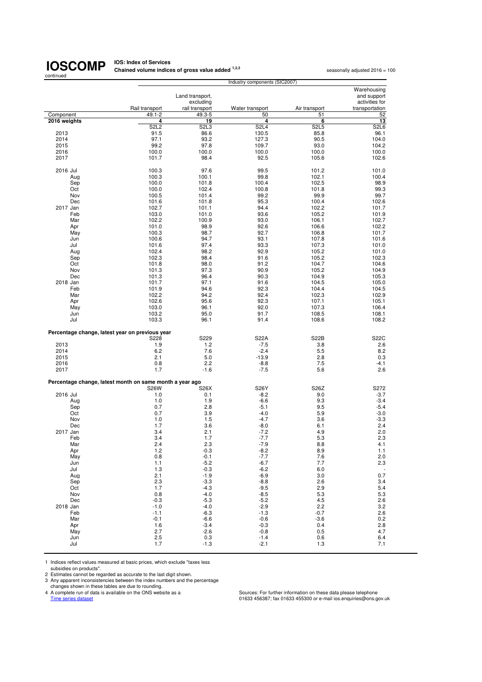**IOS: Index of Services Chained volume indices of gross value added <sup>1,2,3</sup> seasonally adjusted 2016 = 100<br>** 

|                                                          |                |                  | Industry components (SIC2007) |               |                               |
|----------------------------------------------------------|----------------|------------------|-------------------------------|---------------|-------------------------------|
|                                                          |                |                  |                               |               | Warehousing                   |
|                                                          |                | Land transport,  |                               |               | and support                   |
|                                                          |                | excluding        |                               |               | activities for                |
|                                                          | Rail transport | rail transport   | Water transport               | Air transport | transportation                |
| Component                                                | 49.1-2         | 49.3-5           | 50                            | 51            | 52                            |
| 2016 weights                                             | 4              | 19               | 4                             | 6             | 13                            |
|                                                          | <b>S2L2</b>    | S2L3             | <b>S2L4</b>                   | <b>S2L5</b>   | S <sub>2</sub> L <sub>6</sub> |
| 2013                                                     | 91.5           | 86.6             | 130.5                         | 85.8          | 96.1                          |
| 2014                                                     | 97.1           | 93.2             | 127.3                         | 90.5          | 104.0                         |
| 2015                                                     | 99.2           | 97.8             | 109.7                         | 93.0          | 104.2                         |
| 2016                                                     | 100.0          | 100.0            | 100.0                         | 100.0         | 100.0                         |
| 2017                                                     | 101.7          | 98.4             | 92.5                          | 105.6         | 102.6                         |
|                                                          |                |                  |                               |               |                               |
| 2016 Jul                                                 | 100.3          | 97.6             | 99.5                          | 101.2         | 101.0                         |
| Aug                                                      | 100.3          | 100.1            | 99.8                          | 102.1         | 100.4                         |
| Sep                                                      | 100.0          | 101.8            | 100.4                         | 102.5         | 98.9                          |
| Oct                                                      | 100.0          | 102.4            | 100.8                         | 101.8         | 99.3                          |
| Nov                                                      | 100.5          | 101.4            | 99.2                          | 99.9          | 99.7                          |
| Dec                                                      | 101.6          | 101.8            | 95.3                          | 100.4         | 102.6                         |
| 2017 Jan                                                 | 102.7          | 101.1            | 94.4                          | 102.2         | 101.7                         |
| Feb                                                      | 103.0          | 101.0            | 93.6                          | 105.2         | 101.9                         |
| Mar                                                      | 102.2          | 100.9            | 93.0                          | 106.1         | 102.7                         |
| Apr                                                      | 101.0          | 98.9             | 92.6                          | 106.6         | 102.2                         |
| May                                                      | 100.3          | 98.7             | 92.7                          | 106.8         | 101.7                         |
| Jun                                                      | 100.6          | 94.7             | 93.1                          | 107.8         | 101.6                         |
| Jul                                                      | 101.6          | 97.4             | 93.3                          | 107.3         | 101.0                         |
| Aug                                                      | 102.4          | 98.2             | 92.9                          | 105.2         | 101.0                         |
| Sep                                                      | 102.3          | 98.4             | 91.6                          | 105.2         | 102.3                         |
| Oct                                                      | 101.8          | 98.0             | 91.2                          | 104.7         | 104.6                         |
| Nov                                                      | 101.3          | 97.3             | 90.9                          | 105.2         | 104.9                         |
| Dec                                                      | 101.3          | 96.4             | 90.3                          | 104.9         | 105.3                         |
| 2018 Jan                                                 | 101.7          | 97.1             | 91.6                          | 104.5         | 105.0                         |
| Feb                                                      | 101.9          | 94.6             | 92.3                          | 104.4         | 104.5                         |
| Mar                                                      | 102.2          | 94.2             | 92.4                          | 102.3         | 102.9                         |
| Apr                                                      | 102.6          | 95.6             | 92.3                          | 107.1         | 105.1                         |
| May                                                      | 103.0          | 96.1             | 92.0                          | 107.3         | 106.4                         |
| Jun                                                      | 103.2          | 95.0             | 91.7                          | 108.5         | 108.1                         |
| Jul                                                      | 103.3          | 96.1             | 91.4                          | 108.6         | 108.2                         |
|                                                          |                |                  |                               |               |                               |
| Percentage change, latest year on previous year          |                |                  |                               |               |                               |
|                                                          | S228           | S229             | S22A                          | <b>S22B</b>   | <b>S22C</b>                   |
| 2013                                                     | 1.9            | 1.2              | $-7.5$                        | 3.8           | 2.6                           |
| 2014                                                     | 6.2            | 7.6              | $-2.4$                        | 5.5           | 8.2                           |
| 2015                                                     | 2.1            | 5.0              | $-13.9$                       | 2.8           | 0.3                           |
| 2016                                                     | 0.8            | 2.2              | $-8.8$                        | 7.5           | -4.1                          |
| 2017                                                     | 1.7            | $-1.6$           | $-7.5$                        | 5.6           | 2.6                           |
|                                                          |                |                  |                               |               |                               |
| Percentage change, latest month on same month a year ago |                |                  |                               |               |                               |
|                                                          | <b>S26W</b>    | S26X             | S26Y                          | S26Z          | S272                          |
| 2016 Jul                                                 | 1.0            | 0.1              | $-8.2$                        | 9.0           | $-3.7$                        |
| Aug                                                      | 1.0            | 1.9              | $-6.6$                        | 9.3           | $-3.4$                        |
| Sep                                                      | 0.7            | 2.8              | $-5.1$                        | 9.5           | $-5.4$                        |
| Oct                                                      | 0.7            | 3.9              | $-4.0$                        | 5.9           | $-3.0$                        |
| Nov                                                      | 1.0            | 1.5              | $-4.7$                        | 3.6           | $-3.3$                        |
| Dec                                                      | 1.7            | 3.6              | $-8.0$                        | 6.1           | 2.4                           |
| 2017 Jan                                                 | 3.4<br>3.4     | 2.1<br>1.7       | $-7.2$<br>$-7.7$              | 4.9           | 2.0                           |
| Feb                                                      |                |                  |                               | 5.3           | 2.3                           |
| Mar                                                      | 2.4            | 2.3              | $-7.9$                        | 8.8           | 4.1                           |
| Apr                                                      | 1.2            | $-0.3$           | $-8.2$                        | 8.9           | 1.1                           |
| May                                                      | 0.8            | $-0.1$           | $-7.7$                        | 7.6           | 2.0                           |
| Jun                                                      | 1.1            | $-5.2$           | $-6.7$                        | 7.7           | 2.3                           |
| Jul                                                      | 1.3            | $-0.3$           | $-6.2$                        | 6.0           | $\overline{\phantom{a}}$      |
| Aug                                                      | 2.1<br>2.3     | $-1.9$<br>$-3.3$ | $-6.9$<br>$-8.8$              | 3.0<br>2.6    | 0.7<br>3.4                    |
| Sep<br>Oct                                               | 1.7            | $-4.3$           | $-9.5$                        | 2.9           | 5.4                           |
| Nov                                                      | 0.8            | $-4.0$           | $-8.5$                        | 5.3           | 5.3                           |
| Dec                                                      | $-0.3$         | $-5.3$           | $-5.2$                        | 4.5           | 2.6                           |
| 2018 Jan                                                 | $-1.0$         | $-4.0$           | $-2.9$                        | 2.2           | 3.2                           |
| Feb                                                      | $-1.1$         | $-6.3$           | $-1.3$                        | $-0.7$        | 2.6                           |
| Mar                                                      | $-0.1$         | $-6.6$           | $-0.6$                        | $-3.6$        | 0.2                           |
| Apr                                                      | 1.6            | $-3.4$           | $-0.3$                        | 0.4           | 2.8                           |
| May                                                      | 2.7            | $-2.6$           | $-0.8$                        | 0.5           | 4.7                           |
| Jun                                                      | 2.5            | 0.3              | $-1.4$                        | 0.6           | 6.4                           |
| Jul                                                      | 1.7            | $-1.3$           | $-2.1$                        | 1.3           | 7.1                           |
|                                                          |                |                  |                               |               |                               |

1 Indices reflect values measured at basic prices, which exclude "taxes less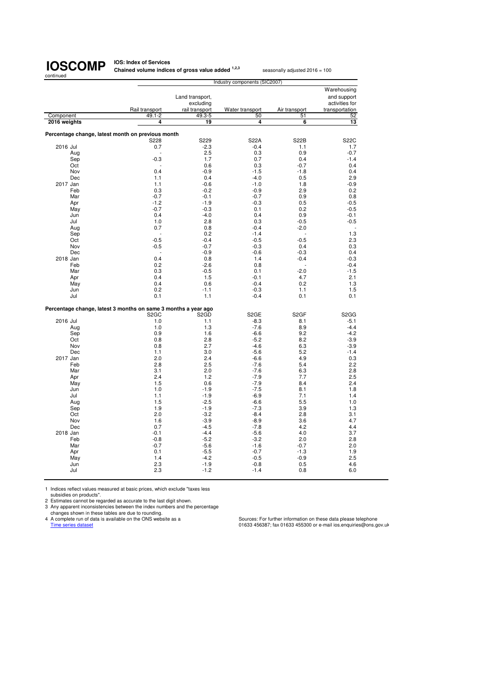**IOS: Index of Services Chained volume indices of gross value added <sup>1,2,3</sup> seasonally adjusted 2016 = 100** 

**Warehousing** Land transport, and support accluding the schuding section of the section of the section of the section of the section of the section of the section of the section of the section of the section of the section of the sectio excluding excluding activities for<br>rail transport Water transport Air transport transportation Rail transport rail transport Water transport<br>49.1-2 49.3-5 50 Component 49.1-2 49.3-5 50 51 52  **2016 weights 4 19 4 6 13 Percentage change, latest month on previous month** S228 S229 S22A S22B S22C 2016 Jul 1.7 -2.3 -0.4 1.1 1.7 1.7 Aug - 2.5 0.3 0.9 -0.7 Sep -0.3 1.7 0.7 0.4 -1.4 Oct - 0.6 0.3 -0.7 0.4 Nov 0.4 -0.9 -1.5 -1.8 0.4 Dec 2.9 1.1 0.4 -4.0 0.5 2.9 2017 Jan 1.1 -0.6 -1.0 1.8 -0.9 Feb 0.3 -0.2 -0.9 2.9 0.2 Mar -0.7 -0.1 -0.7 0.9 0.8 Apr -1.2 -1.9 -1.9 -0.3 0.5 -0.5 May -0.7 -0.3 0.1 0.2 -0.5 Jun 0.4 -4.0 0.4 0.9 -0.1 Jul 1.0 2.8 0.3 -0.5 -0.5 Aug 0.7 0.8 -0.4 -2.0 - Sep - 0.2 -1.4 - 1.3 Oct -0.5 -0.4 -0.5 -0.5 2.3 Nov -0.5 -0.7 -0.3 0.4 0.3 Dec - -0.9 -0.6 -0.3 0.4 2018 Jan 0.4 0.8 1.4 -0.4 -0.3 Feb 0.2 -2.6 0.8 - -0.4 Mar 0.3 -0.5 0.1 -2.0 -1.5 Apr 6.4 1.5 -0.1 4.7 2.1 May 0.4 0.6 -0.4 0.2 1.3 Jun 0.2 -1.1 -0.3 1.1 1.5 Jul 0.1 1.1 -0.4 0.1 0.1 **Percentage change, latest 3 months on same 3 months a year ago** S2GC S2GD S2GE S2GF S2GG 2016 Jul 1.0 1.0 1.1 -8.3 8.1 -5.1 Aug 1.0 1.3 -7.6 8.9 -4.4 Sep 0.9 1.6 -6.6 9.2 -4.2 Oct 0.8 2.8 -5.2 8.2 -3.9 Nov 0.8 2.7 -4.6 6.3 -3.9 Dec 1.1 3.0 -5.6 5.2 -1.4 2017 Jan 2.0 2.0 2.4 -6.6 4.9 0.3 Feb 2.8 2.5 -7.6 5.4 2.2 Mar 3.1 2.0 -7.6 6.3 2.8 Apr 2.4 1.2 -7.9 7.7 2.5 May 1.5 0.6 -7.9 8.4 2.4 Jun 1.0 -1.9 -7.5 8.1 1.8 Jul 1.1 -1.9 -6.9 7.1 1.4 Aug 1.5 -2.5 -6.6 5.5 1.0 Sep 1.9 -1.9 -7.3 3.9 1.3 Oct 2.0 -3.2 -8.4 2.8 3.1 Nov 1.6 -3.9 -8.9 3.6 4.7 Dec 0.7 -4.5 -7.8 4.2 4.4 2018 Jan -0.1 -0.1 -4.4 -5.6 -5.6 -5.0 -5.1 -5.6 -5.6 -5.6 -5.1 -5.1 -5.6 -5.6 -5.1 -5.1 -5.1 -5.1 -5.1 -5.1 -5 Feb -0.8 -5.2 -3.2 2.0 2.8 Mar -0.7 -5.6 -1.6 -0.7 2.0 Apr 0.1 -5.5 -0.7 -1.3 1.9 May 1.4 -4.2 -0.5 -0.9 2.5 Jun 2.3 -1.9 -0.8 0.5 4.6 Jul 2.3 -1.2 -1.4 0.8 6.0 Industry components (SIC2007)

1 Indices reflect values measured at basic prices, which exclude "taxes less

subsidies on products".

2 Estimates cannot be regarded as accurate to the last digit shown. 3 Any apparent inconsistencies between the index numbers and the percentage

changes shown in these tables are due to rounding.

4 A complete run of data is available on the ONS website as a<br>
Time series dataset dataset states and the ONS website as a<br>
01633 456387; fax 01633 455300 or e-mail ios enquiries@ons.g

01633 456387; fax 01633 455300 or e-mail ios.enquiries@ons.gov.uk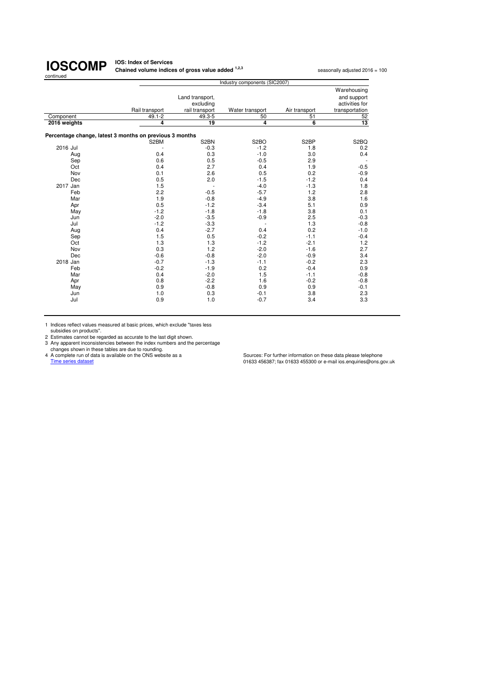**IOS: Index of Services Chained volume indices of gross value added <sup>1,2,3</sup> seasonally adjusted 2016 = 100** 

|              | Industry components (SIC2007)                           |                   |                   |                   |                   |  |  |
|--------------|---------------------------------------------------------|-------------------|-------------------|-------------------|-------------------|--|--|
|              |                                                         |                   |                   |                   | Warehousing       |  |  |
|              |                                                         | Land transport,   |                   |                   | and support       |  |  |
|              |                                                         | excluding         |                   |                   | activities for    |  |  |
|              | Rail transport                                          | rail transport    | Water transport   | Air transport     | transportation    |  |  |
| Component    | $49.1 - 2$                                              | $49.3 - 5$        | 50                | 51                | 52                |  |  |
| 2016 weights | $\overline{4}$                                          | 19                | 4                 | 6                 | 13                |  |  |
|              |                                                         |                   |                   |                   |                   |  |  |
|              | Percentage change, latest 3 months on previous 3 months |                   |                   |                   |                   |  |  |
|              | S2BM                                                    | S <sub>2</sub> BN | S <sub>2</sub> BO | S <sub>2</sub> BP | S <sub>2</sub> BQ |  |  |
| 2016 Jul     |                                                         | $-0.3$            | $-1.2$            | 1.8               | 0.2               |  |  |
| Aug          | 0.4                                                     | 0.3               | $-1.0$            | 3.0               | 0.4               |  |  |
| Sep          | 0.6                                                     | 0.5               | $-0.5$            | 2.9               | $\sim$            |  |  |
| Oct          | 0.4                                                     | 2.7               | 0.4               | 1.9               | $-0.5$            |  |  |
| Nov          | 0.1                                                     | 2.6               | 0.5               | 0.2               | $-0.9$            |  |  |
| Dec          | 0.5                                                     | 2.0               | $-1.5$            | $-1.2$            | 0.4               |  |  |
| 2017 Jan     | 1.5                                                     |                   | $-4.0$            | $-1.3$            | 1.8               |  |  |
| Feb          | 2.2                                                     | $-0.5$            | $-5.7$            | 1.2               | 2.8               |  |  |
| Mar          | 1.9                                                     | $-0.8$            | $-4.9$            | 3.8               | 1.6               |  |  |
| Apr          | 0.5                                                     | $-1.2$            | $-3.4$            | 5.1               | 0.9               |  |  |
| May          | $-1.2$                                                  | $-1.8$            | $-1.8$            | 3.8               | 0.1               |  |  |
| Jun          | $-2.0$                                                  | $-3.5$            | $-0.9$            | 2.5               | $-0.3$            |  |  |
| Jul          | $-1.2$                                                  | $-3.3$            |                   | 1.3               | $-0.8$            |  |  |
| Aug          | 0.4                                                     | $-2.7$            | 0.4               | 0.2               | $-1.0$            |  |  |
| Sep          | 1.5                                                     | 0.5               | $-0.2$            | $-1.1$            | $-0.4$            |  |  |
| Oct          | 1.3                                                     | 1.3               | $-1.2$            | $-2.1$            | 1.2               |  |  |
| Nov          | 0.3                                                     | 1.2               | $-2.0$            | $-1.6$            | 2.7               |  |  |
| Dec          | $-0.6$                                                  | $-0.8$            | $-2.0$            | $-0.9$            | 3.4               |  |  |
| 2018 Jan     | $-0.7$                                                  | $-1.3$            | $-1.1$            | $-0.2$            | 2.3               |  |  |
| Feb          | $-0.2$                                                  | $-1.9$            | 0.2               | $-0.4$            | 0.9               |  |  |
| Mar          | 0.4                                                     | $-2.0$            | 1.5               | $-1.1$            | $-0.8$            |  |  |
| Apr          | 0.8                                                     | $-2.2$            | 1.6               | $-0.2$            | $-0.8$            |  |  |
| May          | 0.9                                                     | $-0.8$            | 0.9               | 0.9               | $-0.1$            |  |  |
| Jun          | 1.0                                                     | 0.3               | $-0.1$            | 3.8               | 2.3               |  |  |
| Jul          | 0.9                                                     | 1.0               | $-0.7$            | 3.4               | 3.3               |  |  |
|              |                                                         |                   |                   |                   |                   |  |  |

1 Indices reflect values measured at basic prices, which exclude "taxes less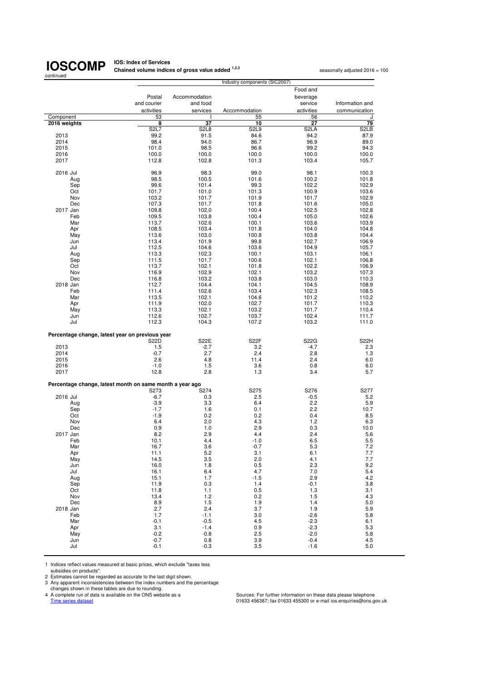**IOS: Index of Services<br>Chained volume indices of gross value added <sup>1,2,3</sup> seasonally adjusted 2016 = 100** 

|                                                          |                   |                               | Industry components (SIC2007) |                   |                   |
|----------------------------------------------------------|-------------------|-------------------------------|-------------------------------|-------------------|-------------------|
|                                                          |                   |                               |                               | Food and          |                   |
|                                                          | Postal            | Accommodation                 |                               | beverage          |                   |
|                                                          | and courier       | and food                      |                               | service           | Information and   |
|                                                          | activities        | services                      | Accommodation                 | activities        | communication     |
| Component                                                | 53                |                               | 55                            | 56                | J                 |
| 2016 weights                                             | 8                 | 37                            | 10                            | 27                | 79                |
|                                                          | <b>S2L7</b>       | S <sub>2</sub> L <sub>8</sub> | S2L9                          | S <sub>2</sub> LA | S <sub>2</sub> LB |
| 2013                                                     | 99.2              | 91.5                          | 84.6                          | 94.2              | 87.9              |
|                                                          | 98.4              | 94.0                          | 86.7                          | 96.9              | 89.0              |
| 2014                                                     |                   |                               |                               |                   |                   |
| 2015                                                     | 101.0             | 98.5                          | 96.6                          | 99.2              | 94.3              |
| 2016                                                     | 100.0             | 100.0                         | 100.0                         | 100.0             | 100.0             |
| 2017                                                     | 112.8             | 102.8                         | 101.3                         | 103.4             | 105.7             |
|                                                          |                   |                               |                               |                   |                   |
| 2016 Jul                                                 | 96.9              | 98.3                          | 99.0                          | 98.1              | 100.3             |
| Aug                                                      | 98.5              | 100.5                         | 101.6                         | 100.2             | 101.8             |
| Sep                                                      | 99.6              | 101.4                         | 99.3                          | 102.2             | 102.9             |
| Oct                                                      | 101.7             | 101.0                         | 101.3                         | 100.9             | 103.6             |
| Nov                                                      | 103.2             | 101.7                         | 101.9                         | 101.7             | 102.9             |
| Dec                                                      | 107.3             | 101.7                         | 101.8                         | 101.6             | 105.0             |
| 2017 Jan                                                 | 109.8             | 102.0                         | 100.4                         | 102.5             | 102.8             |
| Feb                                                      | 109.5             | 103.8                         | 100.4                         | 105.0             | 102.6             |
| Mar                                                      | 113.7             | 102.6                         | 100.1                         | 103.6             | 103.9             |
| Apr                                                      | 108.5             | 103.4                         | 101.8                         | 104.0             | 104.8             |
| May                                                      | 113.6             | 103.0                         | 100.8                         | 103.8             | 104.4             |
| Jun                                                      | 113.4             | 101.9                         | 99.8                          | 102.7             | 106.9             |
| Jul                                                      | 112.5             | 104.6                         | 103.6                         | 104.9             | 105.7             |
| Aug                                                      | 113.3             | 102.3                         | 100.1                         | 103.1             | 106.1             |
| Sep                                                      | 111.5             | 101.7                         | 100.6                         | 102.1             | 106.8             |
| Oct                                                      | 113.7             | 102.1                         | 101.8                         | 102.2             | 106.9             |
|                                                          |                   |                               |                               |                   |                   |
| Nov                                                      | 116.9             | 102.9                         | 102.1                         | 103.2             | 107.3             |
| Dec                                                      | 116.8             | 103.2                         | 103.8                         | 103.0             | 110.3             |
| 2018 Jan                                                 | 112.7             | 104.4                         | 104.1                         | 104.5             | 108.9             |
| Feb                                                      | 111.4             | 102.6                         | 103.4                         | 102.3             | 108.5             |
| Mar                                                      | 113.5             | 102.1                         | 104.6                         | 101.2             | 110.2             |
| Apr                                                      | 111.9             | 102.0                         | 102.7                         | 101.7             | 110.3             |
| May                                                      | 113.3             | 102.1                         | 103.2                         | 101.7             | 110.4             |
| Jun                                                      | 112.6             | 102.7                         | 103.7                         | 102.4             | 111.7             |
| Jul                                                      | 112.3             | 104.3                         | 107.2                         | 103.2             | 111.0             |
|                                                          |                   |                               |                               |                   |                   |
| Percentage change, latest year on previous year          |                   |                               |                               |                   |                   |
|                                                          | S <sub>2</sub> 2D | <b>S22E</b>                   | S <sub>2</sub> 2F             | <b>S22G</b>       | <b>S22H</b>       |
| 2013                                                     | 1.5               | $-2.7$                        | 3.2                           | $-4.7$            | 2.3               |
| 2014                                                     | $-0.7$            | 2.7                           | 2.4                           | 2.8               | 1.3               |
| 2015                                                     | 2.6               | 4.8                           | 11.4                          | 2.4               | 6.0               |
| 2016                                                     | $-1.0$            | 1.5                           | 3.6                           | 0.8               | 6.0               |
| 2017                                                     | 12.8              | 2.8                           | 1.3                           | 3.4               | 5.7               |
|                                                          |                   |                               |                               |                   |                   |
| Percentage change, latest month on same month a year ago |                   |                               |                               |                   |                   |
|                                                          | S273              | S274                          | S275                          | S276              | S277              |
| 2016 Jul                                                 | $-6.7$            | 0.3                           | 2.5                           | $-0.5$            | 5.2               |
|                                                          | $-3.9$            | 3.3                           | 6.4                           | 2.2               |                   |
| Aug                                                      |                   |                               |                               |                   | 5.9               |
| Sep                                                      | $-1.7$            | 1.6                           | 0.1                           | $2.2^{\circ}$     | 10.7              |
| Oct                                                      | $-1.9$            | 0.2                           | 0.2                           | 0.4               | 8.5               |
| Nov                                                      | 6.4               | 2.0                           | 4.3                           | 1.2               | 6.3               |
| Dec                                                      | 0.9               | 1.0                           | 2.9                           | 0.3               | 10.0              |
| 2017 Jan                                                 | 8.2               | 2.9                           | 4.4                           | 2.4               | 5.6               |
| Feb                                                      | 10.1              | 4.4                           | $-1.0$                        | 6.5               | 5.5               |
| Mar                                                      | 16.7              | 3.6                           | $-0.7$                        | 5.3               | $7.2\,$           |
| Apr                                                      | 11.1              | 5.2                           | 3.1                           | 6.1               | 7.7               |
| May                                                      | 14.5              | 3.5                           | 2.0                           | 4.1               | $7.7\,$           |
| Jun                                                      | 16.0              | 1.8                           | 0.5                           | 2.3               | 9.2               |
| Jul                                                      | 16.1              | 6.4                           | 4.7                           | 7.0               | 5.4               |
| Aug                                                      | 15.1              | 1.7                           | $-1.5$                        | 2.9               | 4.2               |
| Sep                                                      | 11.9              | 0.3                           | 1.4                           | $-0.1$            | 3.8               |
| Oct                                                      | 11.8              | 1.1                           | 0.5                           | 1.3               | 3.1               |
| Nov                                                      | 13.4              | 1.2                           | 0.2                           | 1.5               | 4.3               |
| Dec                                                      | 8.9               | 1.5                           | 1.9                           | 1.4               | 5.0               |
| 2018 Jan                                                 | 2.7               | 2.4                           | 3.7                           | 1.9               | 5.9               |
| Feb                                                      | 1.7               | $-1.1$                        | 3.0                           | $-2.6$            | 5.8               |
|                                                          |                   |                               |                               |                   |                   |
| Mar                                                      | $-0.1$            | $-0.5$                        | 4.5                           | $-2.3$            | 6.1               |
| Apr                                                      | 3.1               | $-1.4$                        | 0.9                           | $-2.3$            | 5.3               |
| May                                                      | $-0.2$            | $-0.8$                        | 2.5                           | $-2.0$            | 5.8               |
| Jun                                                      | $-0.7$            | 0.8                           | 3.9                           | $-0.4$            | 4.5               |
| Jul                                                      | $-0.1$            | $-0.3$                        | 3.5                           | $-1.6$            | 5.0               |

1 Indices reflect values measured at basic prices, which exclude "taxes less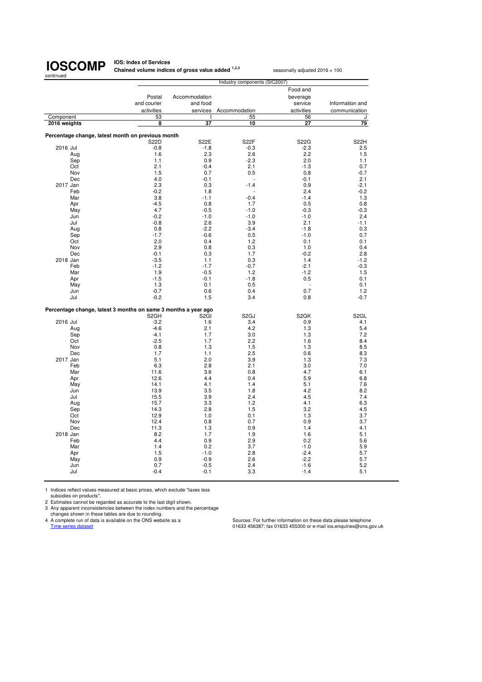**IOS: Index of Services Chained volume indices of gross value added <sup>1,2,3</sup> seasonally adjusted 2016 = 100** 

 Food and Postal Accommodation beverage<br>and courier and food service and courier and food<br>and food service Information and<br>activities services Accommodation activities communication services Accommodation **activities** communication 1 55 56 J<br>2016 weights 3 37 10 27 79  **2016 weights 8 37 10 27 79 Percentage change, latest month on previous month** S22D S22E S22F S22G S22H 2016 Jul -0.8 -1.8 -0.3 -2.3 2.5 Aug 1.6 2.3 2.6 2.2 1.5 Sep 1.1 0.9 -2.3 2.0 1.1 Oct 2.1 -0.4 2.1 -1.3 0.7 Nov 1.5 0.7 0.5 0.8 -0.7 Dec 4.0 -0.1 - -0.1 2.1 2017 Jan 2.3 0.3 -1.4 0.9 -2.1 Feb -0.2 -0.2 1.8 - 2.4 -0.2 Mar 3.8 -1.1 -0.4 -1.4 1.3 Apr -4.5 0.8 1.7 0.5 0.8 May 4.7 -0.5 -1.0 -0.3 -0.3 Jun -0.2 -1.0 -1.0 -1.0 2.4 Jul -0.8 2.6 3.9 2.1 -1.1 Aug 0.8 -2.2 -3.4 -1.8 0.3 Sep -1.7 -0.6 0.5 -1.0 0.7 Oct 2.0 0.4 1.2 0.1 0.1 Nov 2.9 0.8 0.3 1.0 0.4 Dec -0.1 0.3 1.7 -0.2 2.8 2018 Jan -3.5 -3.5 1.1 0.3 1.4 -1.2 -1.2 Feb -1.2 -1.7 -0.7 -2.1 -0.3 Mar 1.9 1.9 -0.5 1.2 -1.2 1.5 Apr -1.5 -1.5 -0.1 -1.8 0.5 0.1 0.1 May 1.3 0.1 0.5 - 0.1 0.6 - 0.1 Jun -0.7 0.6 0.4 0.7 1.2 Jul -0.2 1.5 3.4 0.8 -0.7 **Percentage change, latest 3 months on same 3 months a year ago** S2GH S2GI S2GJ S2GK S2GL 2016 Jul 1.6 3.4 0.9 4.1 Aug -4.6 2.1 4.2 1.3 5.4 Sep -4.1 1.7 3.0 1.3 7.2 Oct -2.5 1.7 2.2 1.6 8.4 Nov 0.8 1.3 1.5 1.3 8.5 Dec 1.7 1.1 2.5 0.6 8.3 2017 Jan 5.1 2.0 3.9 1.3 7.3 Feb 6.3 2.8 2.1 3.0 7.0 Mar 11.6 3.6 0.8 4.7 6.1 Apr 12.6 4.4 0.4 5.9 6.8 May 14.1 4.1 1.4 5.1 7.6 Jun 13.9 3.5 1.8 4.2 8.2 Jul 15.5 3.9 2.4 4.5 7.4 Aug 15.7 3.3 1.2 4.1 6.3 Sep 14.3 2.8 1.5 3.2 4.5 Oct 12.9 1.0 0.1 1.3 3.7 Nov 12.4 0.8 0.7 0.9 3.7 Dec 11.3 1.3 0.9 1.4 4.1 2018 Jan 8.2 1.7 1.9 1.6 5.1 Feb 4.4 0.9 2.9 0.2 5.6 Mar 5.9 5.9 and 5.4 0.2 3.7 and 5.9 and 5.9 and 5.9 and 5.9 and 5.9 and 5.9 and 5.9 and 5.9 and 5.9 and 5.9 and 5.9 and 5.9 and 5.9 and 5.9 and 5.9 and 5.9 and 5.9 and 5.9 and 5.9 and 5.9 and 5.9 and 5.9 and 5.9 and 5.9 an Apr 1.5 -1.0 2.8 -2.4 5.7 May 0.9 -0.9 2.6 -2.2 5.7 Jun 0.7 -0.5 2.4 -1.6 5.2 Jul -0.4 -0.1 3.3 -1.4 5.1 Industry components (SIC2007)

1 Indices reflect values measured at basic prices, which exclude "taxes less subsidies on products".

2 Estimates cannot be regarded as accurate to the last digit shown.

3 Any apparent inconsistencies between the index numbers and the percentage

 changes shown in these tables are due to rounding. 4 A complete run of data is available on the ONS website as a<br>
Time series dataset elephone<br>
Time series dataset can all is enquiries of the ONS website as a<br>
01633 456387; fax 01633 455300 or e-mail ios enquiries of ons.

01633 456387; fax 01633 455300 or e-mail ios.enquiries@ons.gov.uk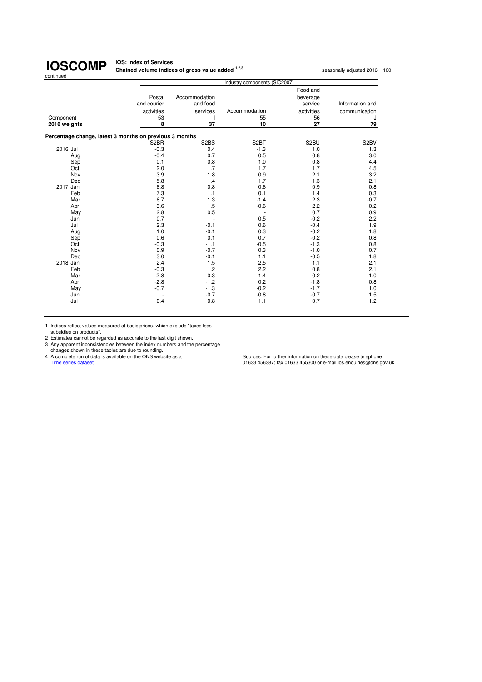| continued                                               |                       |                               |                               |                                 |                   |
|---------------------------------------------------------|-----------------------|-------------------------------|-------------------------------|---------------------------------|-------------------|
|                                                         |                       |                               | Industry components (SIC2007) |                                 |                   |
|                                                         | Postal<br>and courier | Accommodation<br>and food     |                               | Food and<br>beverage<br>service | Information and   |
|                                                         | activities            | services                      | Accommodation                 | activities                      | communication     |
| Component                                               | 53                    |                               | 55                            | 56                              | J                 |
| 2016 weights                                            | 8                     | $\overline{37}$               | 10                            | $\overline{27}$                 | 79                |
| Percentage change, latest 3 months on previous 3 months |                       |                               |                               |                                 |                   |
|                                                         | S <sub>2</sub> BR     | S <sub>2</sub> B <sub>S</sub> | S <sub>2</sub> BT             | S2BU                            | S <sub>2</sub> BV |
| 2016 Jul                                                | $-0.3$                | 0.4                           | $-1.3$                        | 1.0                             | 1.3               |
| Aug                                                     | $-0.4$                | 0.7                           | 0.5                           | 0.8                             | 3.0               |
| Sep                                                     | 0.1                   | 0.8                           | 1.0                           | 0.8                             | 4.4               |
| Oct                                                     | 2.0                   | 1.7                           | 1.7                           | 1.7                             | 4.5               |
| Nov                                                     | 3.9                   | 1.8                           | 0.9                           | 2.1                             | 3.2               |
| Dec                                                     | 5.8                   | 1.4                           | 1.7                           | 1.3                             | 2.1               |
| 2017 Jan                                                | 6.8                   | 0.8                           | 0.6                           | 0.9                             | 0.8               |
| Feb                                                     | 7.3                   | 1.1                           | 0.1                           | 1.4                             | 0.3               |
| Mar                                                     | 6.7                   | 1.3                           | $-1.4$                        | 2.3                             | $-0.7$            |
| Apr                                                     | 3.6                   | 1.5                           | $-0.6$                        | 2.2                             | 0.2               |
| May                                                     | 2.8                   | 0.5                           | ٠                             | 0.7                             | 0.9               |
| Jun                                                     | 0.7                   |                               | 0.5                           | $-0.2$                          | 2.2               |
| Jul                                                     | 2.3                   | $-0.1$                        | 0.6                           | $-0.4$                          | 1.9               |
| Aug                                                     | 1.0                   | $-0.1$                        | 0.3                           | $-0.2$                          | 1.8               |
| Sep                                                     | 0.6                   | 0.1                           | 0.7                           | $-0.2$                          | 0.8               |
| Oct                                                     | $-0.3$                | $-1.1$                        | $-0.5$                        | $-1.3$                          | 0.8               |
| Nov                                                     | 0.9                   | $-0.7$                        | 0.3                           | $-1.0$                          | 0.7               |
| Dec                                                     | 3.0                   | $-0.1$                        | 1.1                           | $-0.5$                          | 1.8               |
| 2018 Jan                                                | 2.4                   | 1.5                           | 2.5                           | 1.1                             | 2.1               |
| Feb                                                     | $-0.3$                | 1.2                           | 2.2                           | 0.8                             | 2.1               |
| Mar                                                     | $-2.8$                | 0.3                           | 1.4                           | $-0.2$                          | 1.0               |
| Apr                                                     | $-2.8$                | $-1.2$                        | 0.2                           | $-1.8$                          | 0.8               |
| May                                                     | $-0.7$                | $-1.3$                        | $-0.2$                        | $-1.7$                          | 1.0               |
| Jun                                                     |                       | $-0.7$                        | $-0.8$                        | $-0.7$                          | 1.5               |
| Jul                                                     | 0.4                   | 0.8                           | 1.1                           | 0.7                             | 1.2               |
|                                                         |                       |                               |                               |                                 |                   |

**Chained volume indices of gross value added <sup>1,2,3</sup> seasonally adjusted 2016 = 100** 

**IOS: Index of Services**

1 Indices reflect values measured at basic prices, which exclude "taxes less<br>
subsidies on products".<br>
2 Estimates cannot be regarded as accurate to the last digit shown.<br>
2 Acomplete run of data is evaluable on the only a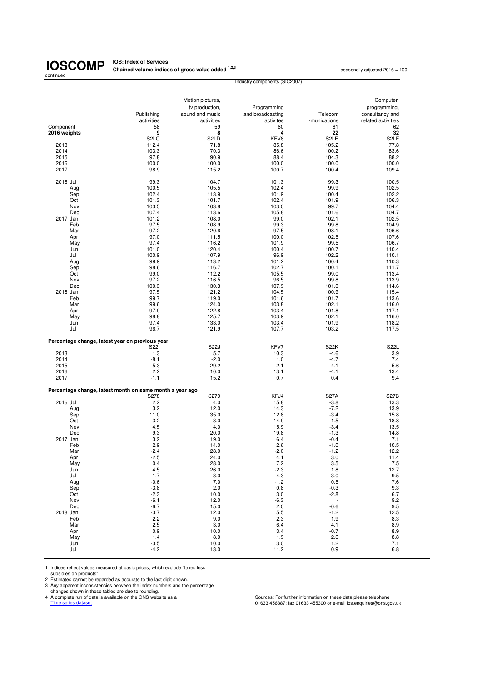## continued

**IOSCOMP** Chained volume indice **Chained volume indices of gross value added <sup>1,2,3</sup> seasonally adjusted 2016 = 100 seasonally adjusted 2016 = 100** 

|                                                          |                          | Motion pictures,              |                               |                         | Computer                              |
|----------------------------------------------------------|--------------------------|-------------------------------|-------------------------------|-------------------------|---------------------------------------|
|                                                          |                          | tv production,                | Programming                   |                         | programming,                          |
|                                                          | Publishing<br>activities | sound and music<br>activities | and broadcasting<br>activites | Telecom<br>-munications | consultancy and<br>related activities |
| Component                                                | 58                       | 59                            | 60                            | 61                      | 62                                    |
| 2016 weights                                             | 9                        | 8                             | 4                             | $\overline{22}$         | 32                                    |
|                                                          | S <sub>2</sub> LC        | S <sub>2</sub> LD             | KFV8                          | S <sub>2</sub> LE       | S <sub>2</sub> LF                     |
| 2013                                                     | 112.4                    | 71.8                          | 85.8                          | 105.2                   | 77.8                                  |
| 2014<br>2015                                             | 103.3<br>97.8            | 70.3<br>90.9                  | 86.6<br>88.4                  | 100.2<br>104.3          | 83.6<br>88.2                          |
| 2016                                                     | 100.0                    | 100.0                         | 100.0                         | 100.0                   | 100.0                                 |
| 2017                                                     | 98.9                     | 115.2                         | 100.7                         | 100.4                   | 109.4                                 |
| 2016 Jul                                                 | 99.3                     | 104.7                         | 101.3                         | 99.3                    | 100.5                                 |
| Aug                                                      | 100.5                    | 105.5                         | 102.4                         | 99.9                    | 102.5                                 |
| Sep                                                      | 102.4                    | 113.9                         | 101.9                         | 100.4                   | 102.2                                 |
| Oct<br>Nov                                               | 101.3<br>103.5           | 101.7<br>103.8                | 102.4<br>103.0                | 101.9<br>99.7           | 106.3<br>104.4                        |
| Dec                                                      | 107.4                    | 113.6                         | 105.8                         | 101.6                   | 104.7                                 |
| 2017 Jan                                                 | 101.2                    | 108.0                         | 99.0                          | 102.1                   | 102.5                                 |
| Feb                                                      | 97.5                     | 108.9                         | 99.3                          | 99.8                    | 104.9                                 |
| Mar                                                      | 97.2                     | 120.6                         | 97.5                          | 98.1                    | 106.6                                 |
| Apr                                                      | 97.0                     | 111.5                         | 100.0                         | 102.5                   | 107.6                                 |
| May                                                      | 97.4                     | 116.2                         | 101.9                         | 99.5                    | 106.7                                 |
| Jun                                                      | 101.0                    | 120.4                         | 100.4                         | 100.7                   | 110.4                                 |
| Jul<br>Aug                                               | 100.9<br>99.9            | 107.9<br>113.2                | 96.9<br>101.2                 | 102.2<br>100.4          | 110.1<br>110.3                        |
| Sep                                                      | 98.6                     | 116.7                         | 102.7                         | 100.1                   | 111.7                                 |
| Oct                                                      | 99.0                     | 112.2                         | 105.5                         | 99.0                    | 113.4                                 |
| Nov                                                      | 97.2                     | 116.5                         | 96.5                          | 99.8                    | 113.9                                 |
| Dec                                                      | 100.3                    | 130.3                         | 107.9                         | 101.0                   | 114.6                                 |
| 2018 Jan                                                 | 97.5                     | 121.2                         | 104.5                         | 100.9                   | 115.4                                 |
| Feb                                                      | 99.7                     | 119.0                         | 101.6                         | 101.7                   | 113.6                                 |
| Mar                                                      | 99.6                     | 124.0                         | 103.8                         | 102.1                   | 116.0                                 |
| Apr<br>May                                               | 97.9<br>98.8             | 122.8<br>125.7                | 103.4<br>103.9                | 101.8<br>102.1          | 117.1<br>116.0                        |
| Jun                                                      | 97.4                     | 133.0                         | 103.4                         | 101.9                   | 118.2                                 |
| Jul                                                      | 96.7                     | 121.9                         | 107.7                         | 103.2                   | 117.5                                 |
| Percentage change, latest year on previous year          |                          |                               |                               |                         |                                       |
|                                                          | S221                     | <b>S22J</b>                   | KFV7                          | <b>S22K</b>             | S22L                                  |
| 2013<br>2014                                             | 1.3<br>$-8.1$            | 5.7<br>$-2.0$                 | 10.3<br>1.0                   | $-4.6$<br>$-4.7$        | 3.9<br>7.4                            |
| 2015                                                     | $-5.3$                   | 29.2                          | 2.1                           | 4.1                     | 5.6                                   |
| 2016                                                     | 2.2                      | 10.0                          | 13.1                          | $-4.1$                  | 13.4                                  |
| 2017                                                     | $-1.1$                   | 15.2                          | 0.7                           | 0.4                     | 9.4                                   |
| Percentage change, latest month on same month a year ago |                          |                               |                               |                         |                                       |
| 2016 Jul                                                 | S278<br>2.2              | S279<br>4.0                   | KFJ4<br>15.8                  | <b>S27A</b><br>$-3.8$   | <b>S27B</b><br>13.3                   |
| Aug                                                      | 3.2                      | 12.0                          | 14.3                          | $-7.2$                  | 13.9                                  |
| Sep                                                      | 11.0                     | 35.0                          | 12.8                          | $-3.4$                  | 15.8                                  |
| Oct                                                      | 3.2                      | 3.0                           | 14.9                          | $-1.5$                  | 18.8                                  |
| Nov                                                      | 4.5                      | 4.0                           | 15.9                          | $-3.4$                  | 13.5                                  |
| Dec                                                      | 9.3                      | 20.0                          | 19.8                          | $-1.3$                  | 14.8                                  |
| 2017 Jan                                                 | 3.2                      | 19.0                          | 6.4                           | $-0.4$                  | 7.1                                   |
| Feb<br>Mar                                               | 2.9<br>-2.4              | 14.0<br>28.0                  | 2.6<br>$-2.0$                 | $-1.0$<br>$-1.2$        | 10.5<br>12.2                          |
| Apr                                                      | $-2.5$                   | 24.0                          | 4.1                           | 3.0                     | 11.4                                  |
| May                                                      | 0.4                      | 28.0                          | $7.2\,$                       | 3.5                     | 7.5                                   |
| Jun                                                      | 4.5                      | 26.0                          | $-2.3$                        | 1.8                     | 12.7                                  |
| Jul                                                      | 1.7                      | 3.0                           | $-4.3$                        | 3.0                     | 9.5                                   |
| Aug                                                      | $-0.6$                   | 7.0                           | $-1.2$                        | 0.5                     | 7.6                                   |
| Sep                                                      | $-3.8$                   | 2.0                           | 0.8                           | $-0.3$                  | 9.3                                   |
| Oct                                                      | $-2.3$                   | 10.0                          | 3.0                           | $-2.8$                  | 6.7                                   |
| Nov<br>Dec                                               | $-6.1$<br>$-6.7$         | 12.0<br>15.0                  | $-6.3$<br>2.0                 | $-0.6$                  | 9.2<br>9.5                            |
| 2018 Jan                                                 | $-3.7$                   | 12.0                          | 5.5                           | $-1.2$                  | 12.5                                  |
| Feb                                                      | 2.2                      | 9.0                           | 2.3                           | 1.9                     | 8.3                                   |
| Mar                                                      | 2.5                      | 3.0                           | 6.4                           | 4.1                     | 8.9                                   |
| Apr                                                      | 0.9                      | 10.0                          | 3.4                           | $-0.7$                  | 8.9                                   |
| May                                                      | 1.4                      | 8.0                           | 1.9                           | 2.6                     | 8.8                                   |
| Jun<br>Jul                                               | $-3.5$<br>$-4.2$         | 10.0<br>13.0                  | 3.0<br>11.2                   | 1.2<br>0.9              | 7.1<br>6.8                            |
|                                                          |                          |                               |                               |                         |                                       |

Industry components (SIC2007)

1 Indices reflect values measured at basic prices, which exclude "taxes less subsidies on products".

2 Estimates cannot be regarded as accurate to the last digit shown.<br>
2 Any apparent inconsistencies between the index numbers and the percentage<br>
changes shown in these tables are due to rounding.<br>
4 A complete run of data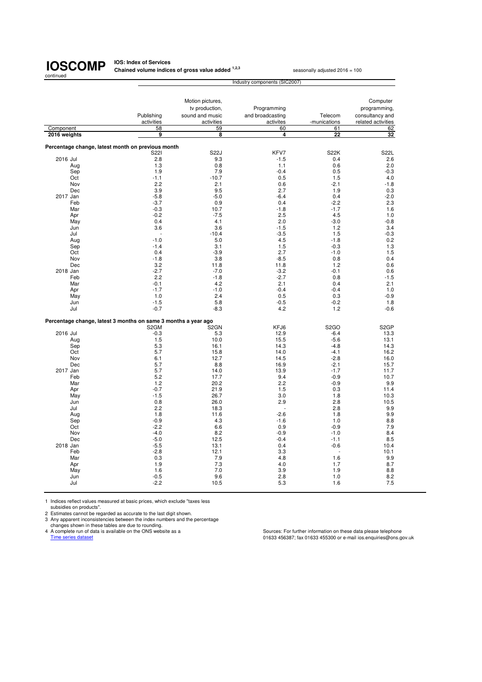**IOS: Index of Services<br>Chained volume indices of gross value added <sup>1,2,3</sup> seasonally adjusted 2016 = 100** 

|                                                                | Industry components (SIC2007) |                   |                      |                       |                    |  |
|----------------------------------------------------------------|-------------------------------|-------------------|----------------------|-----------------------|--------------------|--|
|                                                                |                               |                   |                      |                       |                    |  |
|                                                                |                               | Motion pictures,  |                      |                       | Computer           |  |
|                                                                |                               | tv production,    | Programming          |                       | programming,       |  |
|                                                                |                               |                   |                      |                       |                    |  |
|                                                                | Publishing                    | sound and music   | and broadcasting     | Telecom               | consultancy and    |  |
|                                                                | activities                    | activities        | activites            | -munications          | related activities |  |
| Component                                                      | 58<br>g                       | 59<br>8           | 60<br>$\overline{4}$ | 61<br>$\overline{22}$ | 62<br>32           |  |
| 2016 weights                                                   |                               |                   |                      |                       |                    |  |
| Percentage change, latest month on previous month              |                               |                   |                      |                       |                    |  |
|                                                                | S221                          | <b>S22J</b>       | KFV7                 | <b>S22K</b>           | S22L               |  |
| 2016 Jul                                                       | 2.8                           | 9.3               | $-1.5$               | 0.4                   | 2.6                |  |
| Aug                                                            | 1.3                           | 0.8               | 1.1                  | 0.6                   | 2.0                |  |
| Sep                                                            | 1.9                           | 7.9               | $-0.4$               | 0.5                   | $-0.3$             |  |
| Oct                                                            | $-1.1$                        | $-10.7$           | 0.5                  | 1.5                   | 4.0                |  |
| Nov                                                            | 2.2                           | 2.1               | 0.6                  | $-2.1$                | $-1.8$             |  |
| Dec                                                            | 3.9                           | 9.5               | 2.7                  | 1.9                   | 0.3                |  |
| 2017 Jan                                                       | $-5.8$                        | $-5.0$            | $-6.4$               | 0.4                   | $-2.0$             |  |
| Feb                                                            | $-3.7$                        | 0.9               | 0.4                  | $-2.2$                | 2.3                |  |
| Mar                                                            | $-0.3$                        | 10.7              | $-1.8$               | $-1.7$                | 1.6                |  |
| Apr                                                            | $-0.2$                        | $-7.5$            | 2.5                  | 4.5                   | 1.0                |  |
| May                                                            | 0.4                           | 4.1               | 2.0                  | $-3.0$                | $-0.8$             |  |
| Jun                                                            | 3.6                           | 3.6               | $-1.5$               | 1.2                   | 3.4                |  |
| Jul                                                            |                               | $-10.4$           | $-3.5$               | 1.5                   | $-0.3$             |  |
| Aug                                                            | $-1.0$                        | 5.0               | 4.5                  | $-1.8$                | 0.2                |  |
| Sep                                                            | $-1.4$                        | 3.1               | 1.5                  | $-0.3$                | 1.3                |  |
| Oct                                                            | 0.4                           | $-3.9$            | 2.7                  | $-1.0$                | 1.5                |  |
| Nov                                                            | $-1.8$                        | 3.8               | $-8.5$               | 0.8                   | 0.4                |  |
| Dec                                                            | 3.2                           | 11.8              | 11.8                 | 1.2                   | 0.6                |  |
| 2018 Jan                                                       | $-2.7$                        | $-7.0$            | $-3.2$               | $-0.1$                | 0.6                |  |
| Feb                                                            | 2.2                           | $-1.8$            | $-2.7$               | 0.8                   | $-1.5$             |  |
| Mar                                                            | $-0.1$                        | 4.2               | 2.1                  | 0.4                   | 2.1                |  |
| Apr                                                            | $-1.7$                        | $-1.0$            | $-0.4$               | $-0.4$                | 1.0                |  |
| May                                                            | 1.0                           | 2.4               | 0.5                  | 0.3                   | $-0.9$             |  |
| Jun                                                            | $-1.5$                        | 5.8               | $-0.5$               | $-0.2$                | 1.8                |  |
| Jul                                                            | $-0.7$                        | $-8.3$            | 4.2                  | 1.2                   | $-0.6$             |  |
|                                                                |                               |                   |                      |                       |                    |  |
| Percentage change, latest 3 months on same 3 months a year ago |                               |                   |                      |                       |                    |  |
|                                                                | S <sub>2</sub> GM             | S <sub>2</sub> GN | KFJ6                 | S <sub>2</sub> GO     | S <sub>2</sub> GP  |  |
| 2016 Jul                                                       | $-0.3$                        | 5.3               | 12.9                 | $-6.4$                | 13.3               |  |
| Aug                                                            | 1.5                           | 10.0              | 15.5                 | $-5.6$                | 13.1               |  |
| Sep                                                            | 5.3                           | 16.1              | 14.3                 | $-4.8$                | 14.3               |  |
| Oct                                                            | 5.7                           | 15.8              | 14.0                 | $-4.1$                | 16.2               |  |
| Nov                                                            | 6.1                           | 12.7              | 14.5                 | $-2.8$                | 16.0               |  |
| Dec                                                            | 5.7                           | 8.8               | 16.9                 | $-2.1$                | 15.7               |  |
| 2017 Jan                                                       | 5.7                           | 14.0              | 13.9                 | $-1.7$                | 11.7               |  |
| Feb                                                            | 5.2                           | 17.7              | 9.4                  | $-0.9$                | 10.7               |  |
| Mar                                                            | 1.2                           | 20.2              | 2.2                  | $-0.9$                | 9.9                |  |
| Apr                                                            | $-0.7$                        | 21.9              | 1.5                  | 0.3                   | 11.4               |  |
| May                                                            | $-1.5$                        | 26.7              | 3.0                  | 1.8                   | 10.3               |  |
| Jun                                                            | 0.8                           | 26.0              | 2.9                  | 2.8                   | 10.5               |  |
| Jul                                                            | 2.2                           | 18.3              |                      | 2.8                   | 9.9                |  |
| Aug                                                            | 1.8                           | 11.6              | $-2.6$               | 1.8                   | 9.9                |  |
| Sep                                                            | $-0.9$                        | 4.3               | $-1.6$               | 1.0                   | 8.8                |  |
| Oct                                                            | $-2.2$                        | 6.6               | 0.9                  | $-0.9$                | 7.9                |  |
| Nov                                                            | $-4.0$                        | 8.2               | $-0.9$               | $-1.0$                | 8.4                |  |
| Dec                                                            | $-5.0$                        | 12.5              | $-0.4$               | $-1.1$                | 8.5                |  |
| 2018 Jan                                                       | $-5.5$                        | 13.1              | 0.4                  | $-0.6$                | 10.4               |  |
| Feb                                                            | $-2.8$                        | 12.1              | 3.3                  | J.                    | 10.1               |  |
| Mar                                                            | 0.3                           | 7.9               | 4.8                  | 1.6                   | 9.9                |  |
| Apr                                                            | 1.9                           | 7.3               | 4.0                  | 1.7                   | 8.7                |  |
| May                                                            | 1.6                           | 7.0               | 3.9                  | 1.9                   | 8.8                |  |
| Jun                                                            | $-0.5$                        | 9.6               | 2.8                  | 1.0                   | 8.2                |  |
| Jul                                                            | $-2.2$                        | 10.5              | 5.3                  | 1.6                   | 7.5                |  |

1 Indices reflect values measured at basic prices, which exclude "taxes less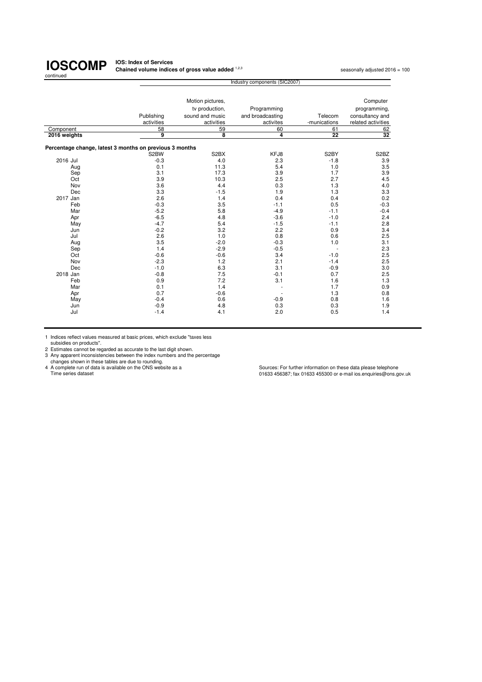**IOS: Index of Services Chained volume indices of gross value added**  $^{1,2,3}$  seasonally adjusted 2016 = 100 seasonally adjusted 2016 = 100

|                                                         |            | Industry components (SIC2007) |                  |                   |                               |  |  |
|---------------------------------------------------------|------------|-------------------------------|------------------|-------------------|-------------------------------|--|--|
|                                                         |            |                               |                  |                   |                               |  |  |
|                                                         |            | Motion pictures,              |                  |                   | Computer                      |  |  |
|                                                         |            | tv production,                | Programming      |                   | programming,                  |  |  |
|                                                         | Publishing | sound and music               | and broadcasting | Telecom           | consultancy and               |  |  |
|                                                         | activities | activities                    | activites        | -munications      | related activities            |  |  |
| Component                                               | 58         | 59                            | 60               | 61                | 62                            |  |  |
| 2016 weights                                            | 9          | 8                             | $\overline{4}$   | $\overline{22}$   | 32                            |  |  |
| Percentage change, latest 3 months on previous 3 months |            |                               |                  |                   |                               |  |  |
|                                                         | S2BW       | S <sub>2</sub> BX             | KFJ8             | S <sub>2</sub> BY | S <sub>2</sub> B <sub>Z</sub> |  |  |
| 2016 Jul                                                | $-0.3$     | 4.0                           | 2.3              | $-1.8$            | 3.9                           |  |  |
| Aug                                                     | 0.1        | 11.3                          | 5.4              | 1.0               | 3.5                           |  |  |
| Sep                                                     | 3.1        | 17.3                          | 3.9              | 1.7               | 3.9                           |  |  |
| Oct                                                     | 3.9        | 10.3                          | 2.5              | 2.7               | 4.5                           |  |  |
| Nov                                                     | 3.6        | 4.4                           | 0.3              | 1.3               | 4.0                           |  |  |
| Dec                                                     | 3.3        | $-1.5$                        | 1.9              | 1.3               | 3.3                           |  |  |
| 2017 Jan                                                | 2.6        | 1.4                           | 0.4              | 0.4               | 0.2                           |  |  |
| Feb                                                     | $-0.3$     | 3.5                           | $-1.1$           | 0.5               | $-0.3$                        |  |  |
| Mar                                                     | $-5.2$     | 5.8                           | $-4.9$           | $-1.1$            | $-0.4$                        |  |  |
| Apr                                                     | $-6.5$     | 4.8                           | $-3.6$           | $-1.0$            | 2.4                           |  |  |
| May                                                     | $-4.7$     | 5.4                           | $-1.5$           | $-1.1$            | 2.8                           |  |  |
| Jun                                                     | $-0.2$     | 3.2                           | 2.2              | 0.9               | 3.4                           |  |  |
| Jul                                                     | 2.6        | 1.0                           | 0.8              | 0.6               | 2.5                           |  |  |
| Aug                                                     | 3.5        | $-2.0$                        | $-0.3$           | 1.0               | 3.1                           |  |  |
| Sep                                                     | 1.4        | $-2.9$                        | $-0.5$           |                   | 2.3                           |  |  |
| Oct                                                     | $-0.6$     | $-0.6$                        | 3.4              | $-1.0$            | 2.5                           |  |  |
| Nov                                                     | $-2.3$     | 1.2                           | 2.1              | $-1.4$            | 2.5                           |  |  |
| Dec                                                     | $-1.0$     | 6.3                           | 3.1              | $-0.9$            | 3.0                           |  |  |
| 2018 Jan                                                | $-0.8$     | 7.5                           | $-0.1$           | 0.7               | 2.5                           |  |  |
| Feb                                                     | 0.9        | 7.2                           | 3.1              | 1.6               | 1.3                           |  |  |
| Mar                                                     | 0.1        | 1.4                           |                  | 1.7               | 0.9                           |  |  |
| Apr                                                     | 0.7        | $-0.6$                        |                  | 1.3               | 0.8                           |  |  |
| May                                                     | $-0.4$     | 0.6                           | $-0.9$           | 0.8               | 1.6                           |  |  |
| Jun                                                     | $-0.9$     | 4.8                           | 0.3              | 0.3               | 1.9                           |  |  |
| Jul                                                     | $-1.4$     | 4.1                           | 2.0              | 0.5               | 1.4                           |  |  |
|                                                         |            |                               |                  |                   |                               |  |  |

1 Indices reflect values measured at basic prices, which exclude "taxes less

subsidies on products". 2 Estimates cannot be regarded as accurate to the last digit shown. 3 Any apparent inconsistencies between the index numbers and the percentage changes shown in these tables are due to rounding.

4 A complete run of data is available on the ONS website as a Sources: For further information on these data please telephone 4 A complete run of data is available on the ONS website as a<br>Time series dataset un series data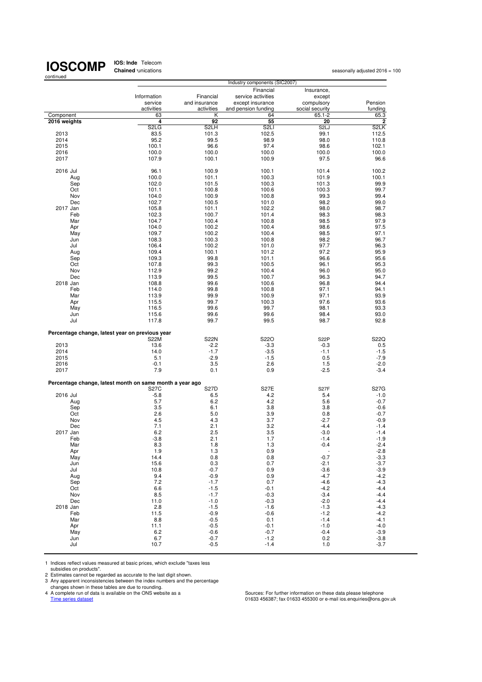**IOS: Inde**: Telecom<br>**Chained** unications

|                                                          |                               |                   | Industry components (SIC2007) |                               |                   |
|----------------------------------------------------------|-------------------------------|-------------------|-------------------------------|-------------------------------|-------------------|
|                                                          |                               |                   | Financial                     | Insurance,                    |                   |
|                                                          | Information                   | Financial         | service activities            | except                        |                   |
|                                                          | service                       | and insurance     | except insurance              | compulsory                    | Pension           |
|                                                          | activities<br>63              | activities<br>Κ   | and pension funding<br>64     | social security<br>$65.1 - 2$ | funding           |
| Component<br>2016 weights                                | 4                             | 92                | 55                            | 20                            | 65.3<br>2         |
|                                                          | S <sub>2</sub> L <sub>G</sub> | S <sub>2</sub> LH | S <sub>2</sub> LI             | S <sub>2L</sub> J             | S <sub>2</sub> LK |
| 2013                                                     | 83.5                          | 101.3             | 102.5                         | 99.1                          | 112.5             |
| 2014                                                     | 95.2                          | 99.5              | 98.9                          | 98.0                          | 110.8             |
| 2015                                                     | 100.1                         | 96.6              | 97.4                          | 98.6                          | 102.1             |
| 2016                                                     | 100.0                         | 100.0             | 100.0                         | 100.0                         | 100.0             |
| 2017                                                     | 107.9                         | 100.1             | 100.9                         | 97.5                          | 96.6              |
| 2016 Jul                                                 | 96.1                          | 100.9             | 100.1                         | 101.4                         | 100.2             |
| Aug                                                      | 100.0                         | 101.1             | 100.3                         | 101.9                         | 100.1             |
| Sep                                                      | 102.0                         | 101.5             | 100.3                         | 101.3                         | 99.9              |
| Oct                                                      | 101.1                         | 100.8             | 100.6                         | 100.3                         | 99.7              |
| Nov                                                      | 104.0                         | 100.9             | 100.8                         | 99.3                          | 99.4              |
| Dec                                                      | 102.7                         | 100.5             | 101.0                         | 98.2                          | 99.0              |
| 2017 Jan                                                 | 105.8                         | 101.1             | 102.2                         | 98.0                          | 98.7              |
| Feb                                                      | 102.3                         | 100.7             | 101.4                         | 98.3                          | 98.3              |
| Mar                                                      | 104.7                         | 100.4<br>100.2    | 100.8<br>100.4                | 98.5                          | 97.9<br>97.5      |
| Apr<br>May                                               | 104.0<br>109.7                | 100.2             | 100.4                         | 98.6<br>98.5                  | 97.1              |
| Jun                                                      | 108.3                         | 100.3             | 100.8                         | 98.2                          | 96.7              |
| Jul                                                      | 106.4                         | 100.2             | 101.0                         | 97.7                          | 96.3              |
| Aug                                                      | 109.4                         | 100.1             | 101.2                         | 97.2                          | 95.9              |
| Sep                                                      | 109.3                         | 99.8              | 101.1                         | 96.6                          | 95.6              |
| Oct                                                      | 107.8                         | 99.3              | 100.5                         | 96.1                          | 95.3              |
| Nov                                                      | 112.9                         | 99.2              | 100.4                         | 96.0                          | 95.0              |
| Dec                                                      | 113.9                         | 99.5              | 100.7                         | 96.3                          | 94.7              |
| 2018 Jan                                                 | 108.8                         | 99.6              | 100.6                         | 96.8                          | 94.4              |
| Feb<br>Mar                                               | 114.0<br>113.9                | 99.8<br>99.9      | 100.8<br>100.9                | 97.1<br>97.1                  | 94.1<br>93.9      |
| Apr                                                      | 115.5                         | 99.7              | 100.3                         | 97.6                          | 93.6              |
| May                                                      | 116.5                         | 99.6              | 99.7                          | 98.1                          | 93.3              |
| Jun                                                      | 115.6                         | 99.6              | 99.6                          | 98.4                          | 93.0              |
| Jul                                                      | 117.8                         | 99.7              | 99.5                          | 98.7                          | 92.8              |
|                                                          |                               |                   |                               |                               |                   |
| Percentage change, latest year on previous year          |                               | <b>S22N</b>       | S22O                          |                               | S22Q              |
| 2013                                                     | S22M<br>13.6                  | $-2.2$            | $-3.3$                        | S <sub>2</sub> 2P<br>$-0.3$   | 0.5               |
| 2014                                                     | 14.0                          | $-1.7$            | $-3.5$                        | $-1.1$                        | $-1.5$            |
| 2015                                                     | 5.1                           | $-2.9$            | $-1.5$                        | 0.5                           | $-7.9$            |
| 2016                                                     | $-0.1$                        | 3.5               | 2.6                           | 1.5                           | $-2.0$            |
| 2017                                                     | 7.9                           | 0.1               | 0.9                           | $-2.5$                        | $-3.4$            |
|                                                          |                               |                   |                               |                               |                   |
| Percentage change, latest month on same month a year ago |                               |                   |                               |                               | <b>S27G</b>       |
| 2016 Jul                                                 | <b>S27C</b><br>$-5.8$         | S27D<br>6.5       | <b>S27E</b><br>4.2            | S <sub>27</sub> F<br>5.4      | $-1.0$            |
| Aug                                                      | 5.7                           | 6.2               | 4.2                           | 5.6                           | $-0.7$            |
| Sep                                                      | 3.5                           | 6.1               | 3.8                           | 3.8                           | $-0.6$            |
| Oct                                                      | 2.6                           | 5.0               | 3.9                           | 0.8                           | $-0.7$            |
| Nov                                                      | 4.5                           | 4.3               | 3.7                           | $-2.7$                        | $-0.9$            |
| Dec                                                      | 7.1                           | 2.1               | 3.2                           | $-4.4$                        | $-1.4$            |
| 2017 Jan                                                 | 6.2                           | 2.5               | 3.5                           | $-3.0$                        | $-1.4$            |
| Feb<br>Mar                                               | $-3.8$                        | 2.1               | 1.7<br>1.3                    | $-1.4$<br>$-0.4$              | $-1.9$<br>$-2.4$  |
| Apr                                                      | 8.3<br>1.9                    | 1.8<br>1.3        | 0.9                           |                               | $-2.8$            |
| May                                                      | 14.4                          | 0.8               | 0.8                           | $-0.7$                        | $-3.3$            |
| Jun                                                      | 15.6                          | 0.3               | 0.7                           | $-2.1$                        | $-3.7$            |
| Jul                                                      | 10.8                          | $-0.7$            | 0.9                           | $-3.6$                        | $-3.9$            |
| Aug                                                      | 9.4                           | $-0.9$            | 0.9                           | $-4.7$                        | $-4.2$            |
| Sep                                                      | 7.2                           | $-1.7$            | 0.7                           | $-4.6$                        | $-4.3$            |
| Oct                                                      | 6.6                           | $-1.5$            | $-0.1$                        | $-4.2$                        | $-4.4$            |
| Nov                                                      | 8.5<br>11.0                   | $-1.7$<br>$-1.0$  | $-0.3$                        | $-3.4$                        | $-4.4$<br>$-4.4$  |
| Dec<br>2018 Jan                                          | 2.8                           | $-1.5$            | $-0.3$<br>$-1.6$              | $-2.0$<br>$-1.3$              | $-4.3$            |
| Feb                                                      | 11.5                          | $-0.9$            | $-0.6$                        | $-1.2$                        | $-4.2$            |
| Mar                                                      | 8.8                           | $-0.5$            | 0.1                           | $-1.4$                        | $-4.1$            |
| Apr                                                      | 11.1                          | $-0.5$            | $-0.1$                        | $-1.0$                        | $-4.0$            |
| May                                                      | 6.2                           | $-0.6$            | $-0.7$                        | $-0.4$                        | $-3.9$            |
| Jun                                                      | 6.7                           | $-0.7$            | $-1.2$                        | 0.2                           | $-3.8$            |
| Jul                                                      | 10.7                          | $-0.5$            | $-1.4$                        | 1.0                           | $-3.7$            |

1 Indices reflect values measured at basic prices, which exclude "taxes less<br>
subsidies on products".<br>
2 Estimates cannot be regarded as accurate to the last digit shown.<br>
2 Acomplete run of data is evailable on the ONS we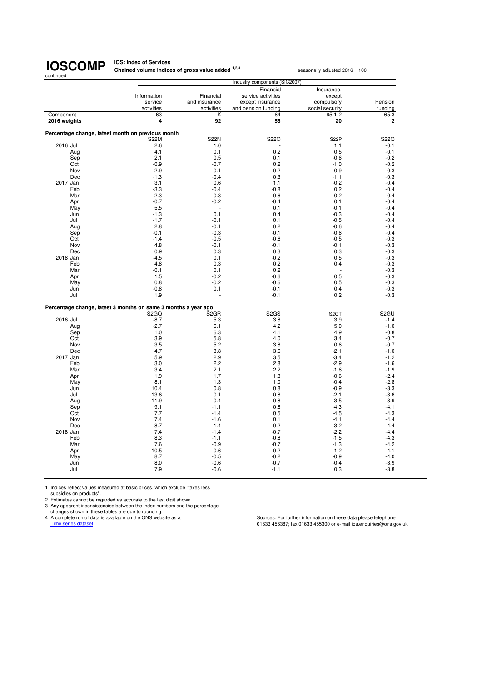**IOS: Index of Services<br>Chained volume indices of gross value added <sup>1,2,3</sup> seasonally adjusted 2016 = 100** 

|              |     |                                                                  |                   | Industry components (SIC2007) |                   |                   |
|--------------|-----|------------------------------------------------------------------|-------------------|-------------------------------|-------------------|-------------------|
|              |     |                                                                  |                   | Financial                     | Insurance,        |                   |
|              |     | Information                                                      | Financial         | service activities            | except            |                   |
|              |     | service                                                          | and insurance     | except insurance              | compulsory        | Pension           |
|              |     | activities                                                       | activities        | and pension funding           | social security   | funding           |
| Component    |     | 63                                                               | Κ                 | 64                            | $65.1 - 2$        | 65.3              |
| 2016 weights |     | 4                                                                | $\overline{92}$   | 55                            | 20                | 2                 |
|              |     |                                                                  |                   |                               |                   |                   |
|              |     | Percentage change, latest month on previous month<br><b>S22M</b> | <b>S22N</b>       | S22O                          | S <sub>2</sub> 2P | S22Q              |
| 2016 Jul     |     | 2.6                                                              | 1.0               |                               | 1.1               | $-0.1$            |
|              | Aug | 4.1                                                              | 0.1               | 0.2                           | 0.5               | $-0.1$            |
|              | Sep | 2.1                                                              | 0.5               | 0.1                           | $-0.6$            | $-0.2$            |
|              | Oct | $-0.9$                                                           | $-0.7$            | 0.2                           | $-1.0$            | $-0.2$            |
|              | Nov | 2.9                                                              | 0.1               | 0.2                           | $-0.9$            | $-0.3$            |
|              | Dec | $-1.3$                                                           | $-0.4$            | 0.3                           | $-1.1$            | $-0.3$            |
| 2017 Jan     |     | 3.1                                                              | 0.6               | 1.1                           | $-0.2$            | $-0.4$            |
|              | Feb | $-3.3$                                                           | $-0.4$            | $-0.8$                        | 0.2               | $-0.4$            |
|              | Mar | 2.3                                                              | $-0.3$            | $-0.6$                        | 0.2               | $-0.4$            |
|              | Apr | $-0.7$                                                           | $-0.2$            | $-0.4$                        | 0.1               | $-0.4$            |
|              | May | 5.5                                                              | J.                | 0.1                           | $-0.1$            | $-0.4$            |
|              | Jun | $-1.3$                                                           | 0.1               | 0.4                           | $-0.3$            | $-0.4$            |
|              | Jul | $-1.7$                                                           | $-0.1$            | 0.1                           | $-0.5$            | $-0.4$            |
|              | Aug | 2.8                                                              | $-0.1$            | 0.2                           | $-0.6$            | $-0.4$            |
|              | Sep | $-0.1$                                                           | $-0.3$            | $-0.1$                        | $-0.6$            | $-0.4$            |
|              | Oct | $-1.4$                                                           | $-0.5$            | $-0.6$                        | $-0.5$            | $-0.3$            |
|              | Nov | 4.8                                                              | $-0.1$            | $-0.1$                        | $-0.1$            | $-0.3$            |
|              | Dec | 0.9                                                              | 0.3               | 0.3                           | 0.3               | $-0.3$            |
| 2018 Jan     |     | $-4.5$                                                           | 0.1               | $-0.2$                        | 0.5               | $-0.3$            |
|              | Feb | 4.8                                                              | 0.3               | 0.2                           | 0.4               | $-0.3$            |
|              | Mar | $-0.1$                                                           | 0.1               | 0.2                           |                   | $-0.3$            |
|              | Apr | 1.5                                                              | $-0.2$            | $-0.6$                        | 0.5               | $-0.3$            |
|              | May | 0.8                                                              | $-0.2$            | $-0.6$                        | 0.5               | $-0.3$            |
|              | Jun | $-0.8$                                                           | 0.1               | $-0.1$                        | 0.4               | $-0.3$            |
|              | Jul | 1.9                                                              |                   | $-0.1$                        | 0.2               | $-0.3$            |
|              |     | Percentage change, latest 3 months on same 3 months a year ago   |                   |                               |                   |                   |
|              |     | S <sub>2</sub> GQ                                                | S <sub>2</sub> GR | S <sub>2</sub> GS             | S <sub>2</sub> GT | S <sub>2</sub> GU |
| 2016 Jul     |     | $-8.7$                                                           | 5.3               | 3.8                           | 3.9               | $-1.4$            |
|              | Aug | $-2.7$                                                           | 6.1               | 4.2                           | 5.0               | $-1.0$            |
|              | Sep | 1.0                                                              | 6.3               | 4.1                           | 4.9               | $-0.8$            |
|              | Oct | 3.9                                                              | 5.8               | 4.0                           | 3.4               | $-0.7$            |
|              | Nov | 3.5                                                              | 5.2               | 3.8                           | 0.6               | $-0.7$            |
|              | Dec | 4.7                                                              | 3.8               | 3.6                           | $-2.1$            | $-1.0$            |
| 2017 Jan     |     | 5.9                                                              | 2.9               | 3.5                           | $-3.4$            | $-1.2$            |
|              | Feb | 3.0                                                              | 2.2               | 2.8                           | $-2.9$            | $-1.6$            |
|              | Mar | 3.4                                                              | 2.1               | 2.2                           | $-1.6$            | $-1.9$            |
|              | Apr | 1.9                                                              | 1.7               | 1.3                           | $-0.6$            | $-2.4$            |
|              | May | 8.1                                                              | 1.3               | 1.0                           | $-0.4$            | $-2.8$            |
|              | Jun | 10.4                                                             | 0.8               | 0.8                           | $-0.9$            | $-3.3$            |
|              | Jul | 13.6                                                             | 0.1               | 0.8                           | $-2.1$            | $-3.6$            |
|              | Aug | 11.9                                                             | $-0.4$            | 0.8                           | $-3.5$            | $-3.9$            |
|              | Sep | 9.1                                                              | $-1.1$            | 0.8                           | $-4.3$            | $-4.1$            |
|              | Oct | 7.7                                                              | $-1.4$            | 0.5                           | $-4.5$            | $-4.3$            |
|              | Nov | 7.4                                                              | $-1.6$            | 0.1                           | $-4.1$            | $-4.4$            |
| 2018 Jan     | Dec | 8.7<br>7.4                                                       | $-1.4$<br>$-1.4$  | $-0.2$<br>$-0.7$              | $-3.2$<br>$-2.2$  | $-4.4$<br>$-4.4$  |
|              | Feb | 8.3                                                              | $-1.1$            | $-0.8$                        | $-1.5$            | $-4.3$            |
|              | Mar | 7.6                                                              | $-0.9$            | $-0.7$                        | $-1.3$            | $-4.2$            |
|              | Apr | 10.5                                                             | $-0.6$            | $-0.2$                        | $-1.2$            | $-4.1$            |
|              | May | 8.7                                                              | $-0.5$            | $-0.2$                        | $-0.9$            | $-4.0$            |
|              | Jun | 8.0                                                              | $-0.6$            | $-0.7$                        | $-0.4$            | $-3.9$            |
|              | Jul | 7.9                                                              | $-0.6$            | $-1.1$                        | 0.3               | $-3.8$            |
|              |     |                                                                  |                   |                               |                   |                   |

1 Indices reflect values measured at basic prices, which exclude "taxes less subsidies on products". 2 Estimates cannot be regarded as accurate to the last digit shown.

3 Any apparent inconsistencies between the index numbers and the percentage<br>changes shown in these tables are due to rounding.<br>4 A complete run of data is available on the ONS website as a<br>Time series dataset of a same of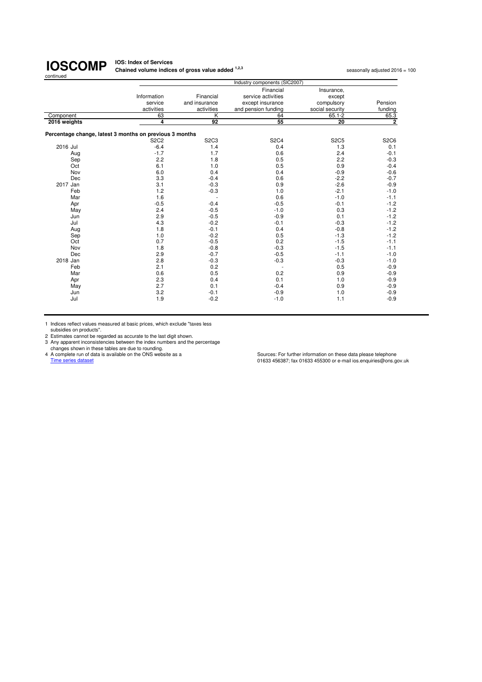**IOS: Index of Services Chained volume indices of gross value added <sup>1,2,3</sup> seasonally adjusted 2016 = 100<br>
<b>Chained volume indices of gross value added** <sup>1,2,3</sup>

|                                                         | Industry components (SIC2007) |                               |                     |                 |                |  |
|---------------------------------------------------------|-------------------------------|-------------------------------|---------------------|-----------------|----------------|--|
|                                                         |                               |                               | Financial           | Insurance,      |                |  |
|                                                         | Information                   | Financial                     | service activities  | except          |                |  |
|                                                         | service                       | and insurance                 | except insurance    | compulsory      | Pension        |  |
|                                                         | activities                    | activities                    | and pension funding | social security | funding        |  |
| Component                                               | 63                            | $\overline{\mathsf{K}}$       | 64                  | $65.1 - 2$      | 65.3           |  |
| 2016 weights                                            | 4                             | 92                            | 55                  | 20              | $\overline{2}$ |  |
| Percentage change, latest 3 months on previous 3 months |                               |                               |                     |                 |                |  |
|                                                         | <b>S2C2</b>                   | S <sub>2</sub> C <sub>3</sub> | <b>S2C4</b>         | <b>S2C5</b>     | <b>S2C6</b>    |  |
| 2016 Jul                                                | $-6.4$                        | 1.4                           | 0.4                 | 1.3             | 0.1            |  |
| Aug                                                     | $-1.7$                        | 1.7                           | 0.6                 | 2.4             | $-0.1$         |  |
| Sep                                                     | 2.2                           | 1.8                           | 0.5                 | 2.2             | $-0.3$         |  |
| Oct                                                     | 6.1                           | 1.0                           | 0.5                 | 0.9             | $-0.4$         |  |
| Nov                                                     | 6.0                           | 0.4                           | 0.4                 | $-0.9$          | $-0.6$         |  |
| Dec                                                     | 3.3                           | $-0.4$                        | 0.6                 | $-2.2$          | $-0.7$         |  |
| 2017 Jan                                                | 3.1                           | $-0.3$                        | 0.9                 | $-2.6$          | $-0.9$         |  |
| Feb                                                     | 1.2                           | $-0.3$                        | 1.0                 | $-2.1$          | $-1.0$         |  |
| Mar                                                     | 1.6                           |                               | 0.6                 | $-1.0$          | $-1.1$         |  |
| Apr                                                     | $-0.5$                        | $-0.4$                        | $-0.5$              | $-0.1$          | $-1.2$         |  |
| May                                                     | 2.4                           | $-0.5$                        | $-1.0$              | 0.3             | $-1.2$         |  |
| Jun                                                     | 2.9                           | $-0.5$                        | $-0.9$              | 0.1             | $-1.2$         |  |
| Jul                                                     | 4.3                           | $-0.2$                        | $-0.1$              | $-0.3$          | $-1.2$         |  |
| Aug                                                     | 1.8                           | $-0.1$                        | 0.4                 | $-0.8$          | $-1.2$         |  |
| Sep                                                     | 1.0                           | $-0.2$                        | 0.5                 | $-1.3$          | $-1.2$         |  |
| Oct                                                     | 0.7                           | $-0.5$                        | 0.2                 | $-1.5$          | $-1.1$         |  |
| Nov                                                     | 1.8                           | $-0.8$                        | $-0.3$              | $-1.5$          | $-1.1$         |  |
| Dec                                                     | 2.9                           | $-0.7$                        | $-0.5$              | $-1.1$          | $-1.0$         |  |
| 2018 Jan                                                | 2.8                           | $-0.3$                        | $-0.3$              | $-0.3$          | $-1.0$         |  |
| Feb                                                     | 2.1                           | 0.2                           |                     | 0.5             | $-0.9$         |  |
| Mar                                                     | 0.6                           | 0.5                           | 0.2                 | 0.9             | $-0.9$         |  |
| Apr                                                     | 2.3                           | 0.4                           | 0.1                 | 1.0             | $-0.9$         |  |
| May                                                     | 2.7                           | 0.1                           | $-0.4$              | 0.9             | $-0.9$         |  |
| Jun                                                     | 3.2                           | $-0.1$                        | $-0.9$              | 1.0             | $-0.9$         |  |
| Jul                                                     | 1.9                           | $-0.2$                        | $-1.0$              | 1.1             | $-0.9$         |  |
|                                                         |                               |                               |                     |                 |                |  |

1 Indices reflect values measured at basic prices, which exclude "taxes less subsidies on products".

2 Estimates cannot be regarded as accurate to the last digit shown.<br>
2 Any apparent inconsistencies between the index numbers and the percentage<br>
changes shown in these tables are due to rounding.<br>
4 A complete run of data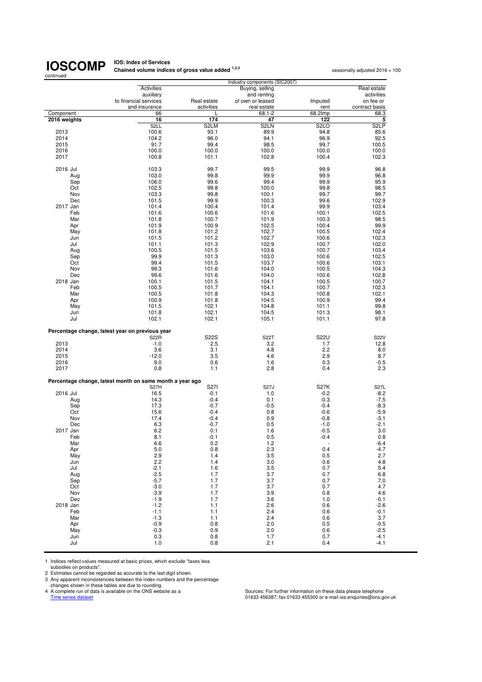## **IOS: Index of Services<br>Chained volume indices of gross value added <sup>1,2,3</sup> seasonally adjusted 2016 = 100**

| continued    |                                                          |             |                   |                          |                   |  |
|--------------|----------------------------------------------------------|-------------|-------------------|--------------------------|-------------------|--|
|              | Industry components (SIC2007)                            |             |                   |                          |                   |  |
|              | Activities                                               |             | Buying, selling   |                          | Real estate       |  |
|              | auxiliary                                                |             | and renting       |                          | activities        |  |
|              | to financial services                                    | Real estate | of own or leased  | Imputed                  | on fee or         |  |
|              | and insurance                                            | activities  | real estate       | rent                     | contract basis    |  |
| Component    | 66                                                       |             | 68.1-2            | 68.2Imp                  | 68.3              |  |
| 2016 weights | 16                                                       | 174         | 47                | 122                      | 5                 |  |
|              | S <sub>2</sub> LL                                        | S2LM        | S <sub>2</sub> LN | S <sub>2</sub> LO        | S <sub>2</sub> LP |  |
| 2013         | 100.6                                                    | 93.1        | 89.9              | 94.8                     | 85.6              |  |
| 2014         | 104.2                                                    | 96.0        | 94.1              | 96.9                     | 92.5              |  |
| 2015         | 91.7                                                     | 99.4        | 98.5              | 99.7                     | 100.5             |  |
| 2016         | 100.0                                                    | 100.0       | 100.0             | 100.0                    | 100.0             |  |
| 2017         | 100.8                                                    | 101.1       | 102.8             | 100.4                    | 102.3             |  |
| 2016 Jul     | 103.3                                                    | 99.7        | 99.5              | 99.9                     | 96.8              |  |
| Aug          | 103.0                                                    | 99.8        | 99.9              | 99.9                     | 96.8              |  |
| Sep          | 106.0                                                    | 99.6        | 99.4              | 99.9                     | 95.9              |  |
| Oct          | 102.5                                                    | 99.8        | 100.0             | 99.8                     | 98.5              |  |
| Nov          | 103.3                                                    | 99.8        | 100.1             | 99.7                     | 99.7              |  |
| Dec          | 101.5                                                    | 99.9        | 100.3             | 99.6                     | 102.9             |  |
| 2017 Jan     | 101.4                                                    | 100.4       | 101.4             | 99.9                     | 103.4             |  |
| Feb          | 101.6                                                    | 100.6       | 101.6             | 100.1                    | 102.5             |  |
| Mar          | 101.8                                                    | 100.7       | 101.9             | 100.3                    | 98.5              |  |
| Apr          | 101.9                                                    | 100.9       | 102.5             | 100.4                    | 99.9              |  |
|              |                                                          |             |                   |                          |                   |  |
| May          | 101.8                                                    | 101.2       | 102.7             | 100.5                    | 102.4             |  |
| Jun          | 101.5                                                    | 101.2       | 102.7             | 100.6                    | 102.3             |  |
| Jul          | 101.1                                                    | 101.3       | 102.9             | 100.7                    | 102.0             |  |
| Aug          | 100.5                                                    | 101.5       | 103.6             | 100.7                    | 103.4             |  |
| Sep          | 99.9                                                     | 101.3       | 103.0             | 100.6                    | 102.5             |  |
| Oct          | 99.4                                                     | 101.5       | 103.7             | 100.6                    | 103.1             |  |
| Nov          | 99.3                                                     | 101.6       | 104.0             | 100.5                    | 104.3             |  |
| Dec          | 99.6                                                     | 101.6       | 104.0             | 100.6                    | 102.8             |  |
| 2018 Jan     | 100.1                                                    | 101.5       | 104.1             | 100.5                    | 100.7             |  |
| Feb          | 100.5                                                    | 101.7       | 104.1             | 100.7                    | 102.3             |  |
| Mar          | 100.5                                                    | 101.8       | 104.3             | 100.8                    | 102.1             |  |
| Apr          | 100.9                                                    | 101.8       | 104.5             | 100.9                    | 99.4              |  |
| May          | 101.5                                                    | 102.1       | 104.8             | 101.1                    | 99.8              |  |
| Jun          | 101.8                                                    | 102.1       | 104.5             | 101.3                    | 98.1              |  |
| Jul          | 102.1                                                    | 102.1       | 105.1             | 101.1                    | 97.8              |  |
|              | Percentage change, latest year on previous year          |             |                   |                          |                   |  |
|              | <b>S22R</b>                                              | <b>S22S</b> | <b>S22T</b>       | <b>S22U</b>              | <b>S22V</b>       |  |
| 2013         | $-1.0$                                                   | 2.5         | 3.2               | 1.7                      | 12.8              |  |
| 2014         | 3.6                                                      | 3.1         | 4.8               | 2.2                      | 8.0               |  |
| 2015         | $-12.0$                                                  | 3.5         | 4.6               | 2.9                      | 8.7               |  |
| 2016         | 9.0                                                      | 0.6         | 1.6               | 0.3                      | $-0.5$            |  |
| 2017         | 0.8                                                      | 1.1         | 2.8               | 0.4                      | 2.3               |  |
|              | Percentage change, latest month on same month a year ago |             |                   |                          |                   |  |
|              | S <sub>27</sub> H                                        | S271        | <b>S27J</b>       | <b>S27K</b>              | <b>S27L</b>       |  |
| 2016 Jul     | 16.5                                                     | $-0.1$      | 1.0               | $-0.2$                   | $-8.2$            |  |
| Aug          | 14.3                                                     | $-0.4$      | 0.1               | $-0.3$                   | $-7.5$            |  |
| Sep          | 17.3                                                     | $-0.7$      | -0.5              | $-0.4$                   | $-8.3$            |  |
| Oct          | 15.6                                                     | $-0.4$      | 0.8               | $-0.6$                   | $-5.9$            |  |
| Nov          | 17.4                                                     | $-0.4$      | 0.9               | $-0.8$                   | -3.1              |  |
| Dec          | 6.3                                                      | $-0.7$      | 0.5               | $-1.0$                   | $-2.1$            |  |
| 2017 Jan     | 6.2                                                      | 0.1         | 1.6               | $-0.5$                   | 3.0               |  |
| Feb          | 8.1                                                      | $-0.1$      | 0.5               | $-0.4$                   | 0.8               |  |
| Mar          | 6.6                                                      | 0.2         | $1.2$             | $\overline{\phantom{a}}$ | $-6.4$            |  |
| Apr          | 5.0                                                      | 0.8         | 2.3               | 0.4                      | $-4.7$            |  |
| May          | 2.9                                                      | 1.4         | 3.5               | 0.5                      | 2.7               |  |
| Jun          | 2.2                                                      | 1.4         | 3.0               | 0.6                      | 4.8               |  |
| Jul          | $-2.1$                                                   | 1.6         | 3.5               | 0.7                      | 5.4               |  |
| Aug          | $-2.5$                                                   | 1.7         | 3.7               | 0.7                      | 6.8               |  |
| Sep          | $-5.7$                                                   | 1.7         | 3.7               | 0.7                      | 7.0               |  |
| Oct          | $-3.0$                                                   | 1.7         | 3.7               | 0.7                      | 4.7               |  |
| Nov          | $-3.9$                                                   | 1.7         | 3.9               | 0.8                      | 4.6               |  |
| Dec          | $-1.9$                                                   | 1.7         | 3.6               | 1.0                      | -0.1              |  |
| 2018 Jan     | $-1.2$                                                   | 1.1         | 2.6               | 0.6                      | $-2.6$            |  |
| Feb          | $-1.1$                                                   | 1.1         | 2.4               | 0.6                      | $-0.1$            |  |
| Mar          | $-1.3$                                                   | 1.1         | 2.4               | 0.6                      | 3.7               |  |
| Apr          | $-0.9$                                                   | $0.8\,$     | 2.0               | 0.5                      | $-0.5$            |  |
| May          | $-0.3$                                                   | 0.9         | 2.0               | 0.6                      | $-2.5$            |  |
| Jun          | 0.3                                                      | 0.8         | 1.7               | 0.7                      | $-4.1$            |  |
| Jul          | 1.0                                                      | 0.8         | 2.1               | 0.4                      | $-4.1$            |  |

1 Indices reflect values measured at basic prices, which exclude "taxes less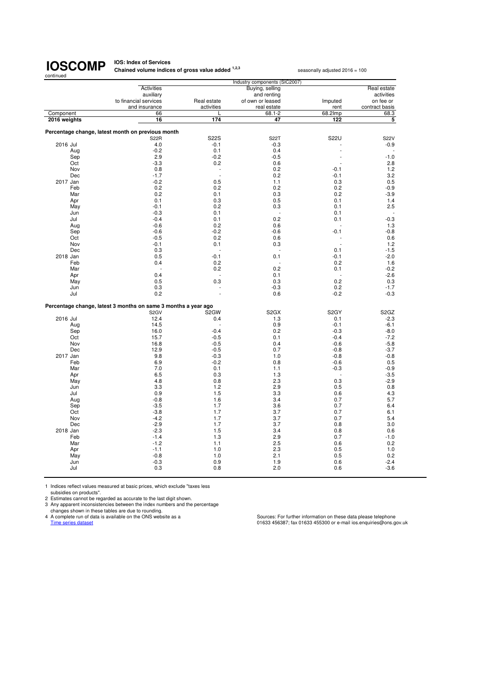#### **IOS: Index of Services Chained volume indices of gross value added <sup>1,2,3</sup> seasonally adjusted 2016 = 100**

Activities **Buying, selling Activities** Buying, selling Real estate Real estate and renting **Real estate Real** estate and renting<br>
Real estate of own or leased<br>
Imputed on fee or to financial services<br>
and insurance activities and insurance activities and insurance contract basis<br>
The contract basis real estate rent contract basis<br>68.1-2 68.2 lmp 68.3 Component 68.3 and 66 Component 68.3 and 68.2 component 68.3  **2016 weights 16 174 47 122 5 Percentage change, latest month on previous month** S22R S22S S22T S22U S22V 2016 Jul 2016 Jul 2016 Jul 2016 Jul 2016 Jul 2016 Jul 2016 Jul 2016 Jul 2016 Jul 2016 Jul 2016 Jul 2016 Jul 20 Aug -0.2 0.1 0.4 - - Sep 2.9 -0.2 -0.5 - -1.0 Oct -3.3 0.2 0.6 - 2.8 Nov 0.8 0.2 -0.1 1.2 Dec -1.7 - 0.2 -0.1 3.2 2017 Jan -0.2 0.5 1.1 0.3 0.5 Feb 0.2 0.2 0.2 0.2 -0.9 Mar 0.2 0.1 0.3 0.2 -3.9 Apr 0.1 0.3 0.5 0.1 1.4 May -0.1 0.2 0.3 0.1 2.5 Jun -0.3 -0.3 0.1 - 0.1 - 0.1 - 0.1 - 0.1 - 0.1 - 0.1 - 0.1 - 0.1 - 0.1 - 0.1 - 0.1 - 0.1 - 0.1 - 0.1 - 0.1 - 0 Jul -0.4 0.1 0.2 0.1 -0.3 Aug -0.6 0.2 0.6 - 1.3 Sep -0.6 -0.2 -0.2 -0.6 -0.1 -0.8 -0.8 -0.1 -0.8 Oct -0.5 0.2 0.6 - 0.6 Nov -0.1 0.1 0.3 - 1.2 Dec 0.3 - - 0.1 -1.5 2018 Jan 0.5 -0.1 0.1 -0.1 -2.0 Feb 0.4 0.2 - 0.2 1.6 Mar - 0.2 0.2 0.1 -0.2 Apr 0.4 - 0.1 - -2.6 May 0.5 0.3 0.3 0.2 0.3 Jun 0.3 - -0.3 0.2 -1.7 Jul 0.2 - 0.6 -0.2 -0.3 **Percentage change, latest 3 months on same 3 months a year ago** S2GV S2GW S2GX S2GY S2GZ 2016 Jul 12.4 0.4 1.3 0.1 -2.3 Aug 14.5 - 0.9 -0.1 -6.1 Sep 16.0 -0.4 0.2 -0.3 -8.0 Oct 15.7 -0.5 0.1 -0.4 -7.2 Nov 16.8 -0.5 0.4 -0.6 -5.8 Dec 12.9 -0.5 0.7 -0.8 -3.7 2017 Jan 9.8 -0.3 1.0 -0.8 -0.8 Feb 6.9 -0.2 0.8 -0.6 0.5 Mar 7.0 0.1 1.1 -0.3 -0.9 Apr 6.5 6.5 0.3 1.3 - -3.5 May 4.8 0.8 2.3 0.3 -2.9 Jun 3.3 1.2 2.9 0.5 0.8 Jul 0.9 1.5 3.3 0.6 4.3 Aug -0.8 1.6 3.4 0.7 5.7 Sep -3.5 1.7 3.6 0.7 6.4 Oct -3.8 1.7 3.7 0.7 6.1 Nov -4.2 1.7 3.7 0.7 5.4 Dec -2.9 1.7 3.7 0.8 3.0 2018 Jan -2.3 2018 Jan -2.3 2018 Jan -2.3 2018 Jan -2.3 2018 Jan -2.3 2018 Jan -2.3 2018 Jan -2.3 2018 Jan -2.3 Feb -1.4 1.3 2.9 0.7 -1.0 Mar -1.2 1.1 2.5 0.6 0.2 Apr -1.1 1.0 2.3 0.5 1.0 May -0.8 1.0 2.1 0.5 0.2 Jun -0.3 0.9 1.9 0.6 -2.4 Jul 0.3 0.8 2.0 0.6 -3.6 Industry components (SI

1 Indices reflect values measured at basic prices, which exclude "taxes less

subsidies on products".

2 Estimates cannot be regarded as accurate to the last digit shown.

3 Any apparent inconsistencies between the index numbers and the percentage

changes shown in these tables are due to rounding.

A complete run of data is available on the ONS website as a Sources: For further information on these data please telephone<br>
Time series data sets and intervalse on the ONS website as a Sources: For further information on 01633 456387; fax 01633 455300 or e-mail ios.enquiries@ons.gov.uk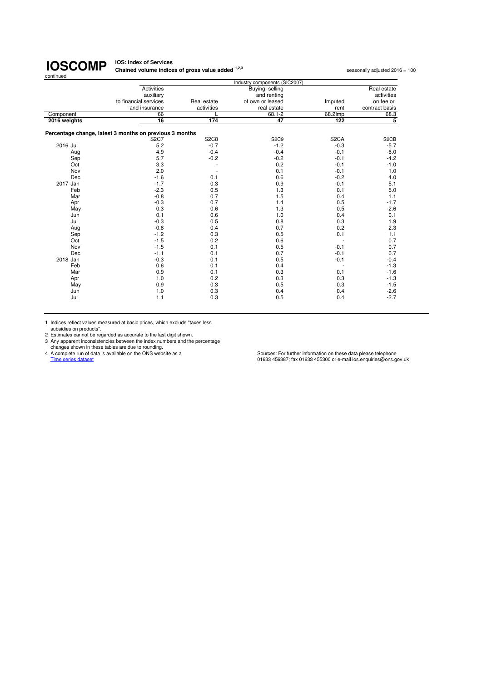#### **IOS: Index of Services Chained volume indices of gross value added <sup>1,2,3</sup> seasonally adjusted 2016 = 100<br>
<b>Chained volume indices of gross value added** <sup>1,2,3</sup>

|              |                                                         |             | Industry components (SIC2007) |                   |                   |
|--------------|---------------------------------------------------------|-------------|-------------------------------|-------------------|-------------------|
|              | <b>Activities</b>                                       |             | Buying, selling               |                   | Real estate       |
|              | auxiliary                                               |             | and renting                   |                   | activities        |
|              | to financial services                                   | Real estate | of own or leased              | Imputed           | on fee or         |
|              | and insurance                                           | activities  | real estate                   | rent              | contract basis    |
| Component    | 66                                                      |             | $68.1 - 2$                    | 68.2Imp           | 68.3              |
| 2016 weights | 16                                                      | 174         | 47                            | 122               | 5                 |
|              | Percentage change, latest 3 months on previous 3 months |             |                               |                   |                   |
|              | <b>S2C7</b>                                             | <b>S2C8</b> | S <sub>2</sub> C <sub>9</sub> | S <sub>2</sub> CA | S <sub>2</sub> CB |
| 2016 Jul     | 5.2                                                     | $-0.7$      | $-1.2$                        | $-0.3$            | $-5.7$            |
| Aug          | 4.9                                                     | $-0.4$      | $-0.4$                        | $-0.1$            | $-6.0$            |
| Sep          | 5.7                                                     | $-0.2$      | $-0.2$                        | $-0.1$            | $-4.2$            |
| Oct          | 3.3                                                     |             | 0.2                           | $-0.1$            | $-1.0$            |
| Nov          | 2.0                                                     |             | 0.1                           | $-0.1$            | 1.0               |
| Dec          | $-1.6$                                                  | 0.1         | 0.6                           | $-0.2$            | 4.0               |
| 2017 Jan     | $-1.7$                                                  | 0.3         | 0.9                           | $-0.1$            | 5.1               |
| Feb          | $-2.3$                                                  | 0.5         | 1.3                           | 0.1               | 5.0               |
| Mar          | $-0.8$                                                  | 0.7         | 1.5                           | 0.4               | 1.1               |
| Apr          | $-0.3$                                                  | 0.7         | 1.4                           | 0.5               | $-1.7$            |
| May          | 0.3                                                     | 0.6         | 1.3                           | 0.5               | $-2.6$            |
| Jun          | 0.1                                                     | 0.6         | 1.0                           | 0.4               | 0.1               |
| Jul          | $-0.3$                                                  | 0.5         | 0.8                           | 0.3               | 1.9               |
| Aug          | $-0.8$                                                  | 0.4         | 0.7                           | 0.2               | 2.3               |
| Sep          | $-1.2$                                                  | 0.3         | 0.5                           | 0.1               | 1.1               |
| Oct          | $-1.5$                                                  | 0.2         | 0.6                           |                   | 0.7               |
| Nov          | $-1.5$                                                  | 0.1         | 0.5                           | $-0.1$            | 0.7               |
| Dec          | $-1.1$                                                  | 0.1         | 0.7                           | $-0.1$            | 0.7               |
| 2018 Jan     | $-0.3$                                                  | 0.1         | 0.5                           | $-0.1$            | $-0.4$            |
| Feb          | 0.6                                                     | 0.1         | 0.4                           |                   | $-1.3$            |
| Mar          | 0.9                                                     | 0.1         | 0.3                           | 0.1               | $-1.6$            |
| Apr          | 1.0                                                     | 0.2         | 0.3                           | 0.3               | $-1.3$            |
| May          | 0.9                                                     | 0.3         | 0.5                           | 0.3               | $-1.5$            |
| Jun          | 1.0                                                     | 0.3         | 0.4                           | 0.4               | $-2.6$            |
| Jul          | 1.1                                                     | 0.3         | 0.5                           | 0.4               | $-2.7$            |

1 Indices reflect values measured at basic prices, which exclude "taxes less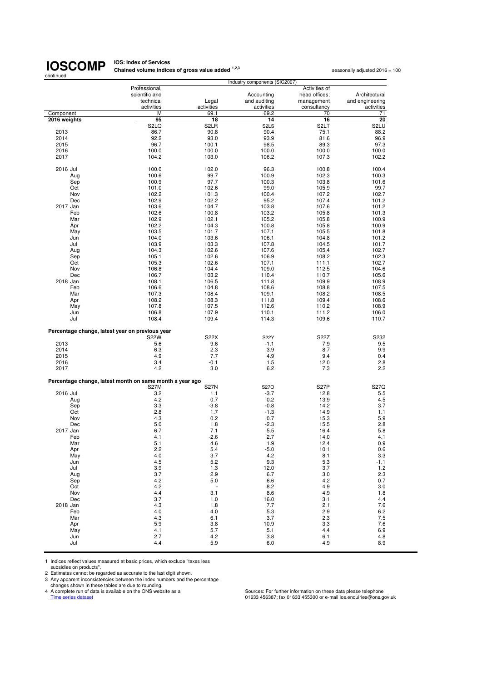**IOS: Index of Services<br>Chained volume indices of gross value added <sup>1,2,3</sup> seasonally adjusted 2016 = 100** 

|                                                 |                                                          |                   | Industry components (SIC2007) |                   |                 |
|-------------------------------------------------|----------------------------------------------------------|-------------------|-------------------------------|-------------------|-----------------|
|                                                 | Professional,                                            |                   |                               | Activities of     |                 |
|                                                 | scientific and                                           |                   | Accounting                    | head offices;     | Architectural   |
|                                                 | technical                                                | Legal             | and auditing                  | management        | and engineering |
|                                                 | activities                                               | activities        | activities                    | consultancy       | activities      |
| Component<br>2016 weights                       | M<br>95                                                  | 69.1<br>18        | 69.2<br>14                    | 70<br>16          | 71<br>20        |
|                                                 | S <sub>2</sub> LQ                                        | S <sub>2</sub> LR | S <sub>2</sub> L <sub>S</sub> | S <sub>2</sub> LT | S2LU            |
| 2013                                            | 86.7                                                     | 90.8              | 90.4                          | 75.1              | 88.2            |
| 2014                                            | 92.2                                                     | 93.0              | 93.9                          | 81.6              | 96.9            |
| 2015                                            | 96.7                                                     | 100.1             | 98.5                          | 89.3              | 97.3            |
| 2016                                            | 100.0                                                    | 100.0             | 100.0                         | 100.0             | 100.0           |
| 2017                                            | 104.2                                                    | 103.0             | 106.2                         | 107.3             | 102.2           |
|                                                 |                                                          |                   |                               |                   |                 |
| 2016 Jul                                        | 100.0                                                    | 102.0             | 96.3                          | 100.8             | 100.4           |
| Aug                                             | 100.6                                                    | 99.7              | 100.9                         | 102.3             | 100.3           |
| Sep                                             | 100.9                                                    | 97.7              | 100.3                         | 103.8             | 101.6           |
| Oct                                             | 101.0                                                    | 102.6             | 99.0                          | 105.9             | 99.7            |
| Nov                                             | 102.2                                                    | 101.3             | 100.4                         | 107.2             | 102.7           |
| Dec<br>2017 Jan                                 | 102.9<br>103.6                                           | 102.2<br>104.7    | 95.2<br>103.8                 | 107.4<br>107.6    | 101.2<br>101.2  |
| Feb                                             | 102.6                                                    | 100.8             | 103.2                         | 105.8             | 101.3           |
| Mar                                             | 102.9                                                    | 102.1             | 105.2                         | 105.8             | 100.9           |
| Apr                                             | 102.2                                                    | 104.3             | 100.8                         | 105.8             | 100.9           |
| May                                             | 103.5                                                    | 101.7             | 107.1                         | 105.5             | 101.8           |
| Jun                                             | 104.0                                                    | 103.6             | 106.1                         | 104.8             | 101.2           |
| Jul                                             | 103.9                                                    | 103.3             | 107.8                         | 104.5             | 101.7           |
| Aug                                             | 104.3                                                    | 102.6             | 107.6                         | 105.4             | 102.7           |
| Sep                                             | 105.1                                                    | 102.6             | 106.9                         | 108.2             | 102.3           |
| Oct                                             | 105.3                                                    | 102.6             | 107.1                         | 111.1             | 102.7           |
| Nov                                             | 106.8                                                    | 104.4             | 109.0                         | 112.5             | 104.6           |
| Dec                                             | 106.7                                                    | 103.2             | 110.4                         | 110.7             | 105.6           |
| 2018 Jan                                        | 108.1                                                    | 106.5             | 111.8                         | 109.9             | 108.9           |
| Feb                                             | 106.6                                                    | 104.8             | 108.6                         | 108.8             | 107.5           |
| Mar                                             | 107.3                                                    | 108.4             | 109.1                         | 108.2             | 108.5           |
| Apr                                             | 108.2                                                    | 108.3             | 111.8                         | 109.4             | 108.6           |
| May                                             | 107.8                                                    | 107.5             | 112.6                         | 110.2             | 108.9           |
| Jun<br>Jul                                      | 106.8<br>108.4                                           | 107.9<br>109.4    | 110.1<br>114.3                | 111.2<br>109.6    | 106.0<br>110.7  |
|                                                 |                                                          |                   |                               |                   |                 |
| Percentage change, latest year on previous year |                                                          |                   |                               |                   |                 |
|                                                 | <b>S22W</b>                                              | <b>S22X</b>       | <b>S22Y</b>                   | S22Z              | S232            |
| 2013                                            | 5.6                                                      | 9.6               | $-1.1$                        | 7.9               | 9.5             |
| 2014                                            | 6.3                                                      | 2.3               | 3.9                           | 8.7               | 9.9             |
| 2015                                            | 4.9                                                      | 7.7               | 4.9                           | 9.4               | 0.4             |
| 2016                                            | 3.4                                                      | -0.1              | 1.5                           | 12.0              | 2.8             |
| 2017                                            | 4.2                                                      | 3.0               | 6.2                           | 7.3               | 2.2             |
|                                                 | Percentage change, latest month on same month a year ago |                   |                               |                   |                 |
|                                                 | S27M                                                     | <b>S27N</b>       | <b>S270</b>                   | S <sub>27</sub> P | <b>S27Q</b>     |
| 2016 Jul                                        | 3.2                                                      | 1.1               | $-3.7$                        | 12.8              | 5.5             |
| Aug                                             | 4.2                                                      | 0.7               | 0.2                           | 13.9              | 4.5             |
| Sep                                             | 3.3                                                      | $-3.8$            | $-0.8$                        | 14.2              | 3.7             |
| Oct                                             | 2.8                                                      | 1.7               | $-1.3$                        | 14.9              | 1.1             |
| Nov                                             | 4.3                                                      | 0.2               | 0.7                           | 15.3              | 5.9             |
| Dec                                             | 5.0                                                      | 1.8               | $-2.3$                        | 15.5              | 2.8             |
| 2017 Jan                                        | 6.7                                                      | 7.1               | 5.5                           | 16.4              | 5.8             |
| Feb                                             | 4.1                                                      | $-2.6$            | 2.7                           | 14.0              | 4.1             |
| Mar                                             | 5.1                                                      | 4.6               | 1.9                           | 12.4              | 0.9             |
| Apr<br>May                                      | 2.2<br>4.0                                               | 5.4<br>3.7        | $-5.0$<br>4.2                 | 10.1<br>8.1       | 0.6<br>3.3      |
| Jun                                             | 4.5                                                      | 5.2               | 9.3                           | 5.3               | $-1.1$          |
| Jul                                             | 3.9                                                      | 1.3               | 12.0                          | 3.7               | 1.2             |
| Aug                                             | 3.7                                                      | 2.9               | 6.7                           | 3.0               | 2.3             |
| Sep                                             | 4.2                                                      | 5.0               | 6.6                           | 4.2               | 0.7             |
| Oct                                             | 4.2                                                      | $\sim$            | 8.2                           | 4.9               | 3.0             |
| Nov                                             | 4.4                                                      | 3.1               | 8.6                           | 4.9               | 1.8             |
| Dec                                             | 3.7                                                      | 1.0               | 16.0                          | 3.1               | 4.4             |
| 2018 Jan                                        | 4.3                                                      | 1.8               | 7.7                           | 2.1               | 7.6             |
| Feb                                             | 4.0                                                      | 4.0               | 5.3                           | 2.9               | 6.2             |
| Mar                                             | 4.3                                                      | 6.1               | 3.7                           | 2.3               | 7.5             |
| Apr                                             | 5.9                                                      | 3.8               | 10.9                          | 3.3               | 7.6             |
| May                                             | 4.1                                                      | 5.7               | 5.1                           | 4.4               | 6.9             |
| Jun<br>Jul                                      | 2.7<br>4.4                                               | 4.2<br>5.9        | 3.8<br>6.0                    | 6.1<br>4.9        | 4.8<br>8.9      |
|                                                 |                                                          |                   |                               |                   |                 |

1 Indices reflect values measured at basic prices, which exclude "taxes less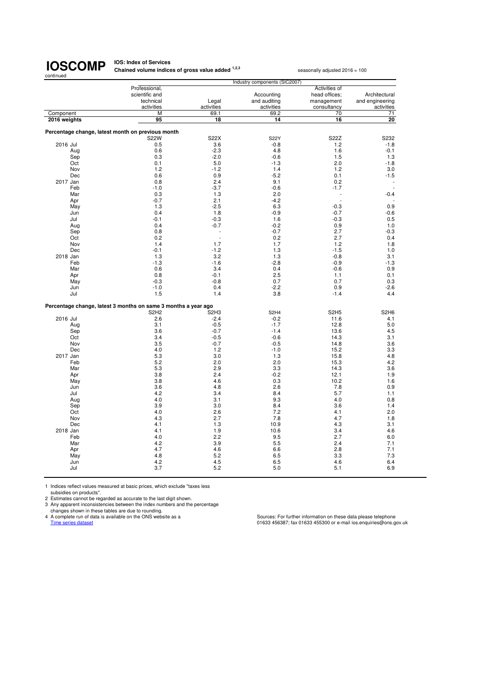**IOS: Index of Services<br>Chained volume indices of gross value added <sup>1,2,3</sup> seasonally adjusted 2016 = 100** 

| continued    |            |                                                                |                                         |                                         |                     |                                      |
|--------------|------------|----------------------------------------------------------------|-----------------------------------------|-----------------------------------------|---------------------|--------------------------------------|
|              |            | Professional,                                                  |                                         | Industry components (SIC2007)           | Activities of       |                                      |
|              |            | scientific and                                                 |                                         | Accounting                              | head offices;       | Architectural                        |
|              |            | technical                                                      | Legal                                   | and auditing                            | management          | and engineering                      |
|              |            | activities                                                     | activities                              | activities                              | consultancy         | activities                           |
| Component    |            | M                                                              | 69.1                                    | 69.2                                    | 70                  | 71                                   |
| 2016 weights |            | 95                                                             | 18                                      | 14                                      | 16                  | 20                                   |
|              |            |                                                                |                                         |                                         |                     |                                      |
|              |            | Percentage change, latest month on previous month              |                                         |                                         |                     |                                      |
|              |            | <b>S22W</b>                                                    | S22X                                    | <b>S22Y</b>                             | S22Z                | S232                                 |
| 2016 Jul     |            | 0.5                                                            | 3.6                                     | $-0.8$                                  | 1.2                 | $-1.8$                               |
|              | Aug        | 0.6<br>0.3                                                     | $-2.3$<br>$-2.0$                        | 4.8<br>$-0.6$                           | 1.6<br>1.5          | $-0.1$<br>1.3                        |
|              | Sep<br>Oct | 0.1                                                            | 5.0                                     | $-1.3$                                  | 2.0                 | $-1.8$                               |
|              | Nov        | 1.2                                                            | $-1.2$                                  | 1.4                                     | 1.2                 | 3.0                                  |
|              | Dec        | 0.6                                                            | 0.9                                     | $-5.2$                                  | 0.1                 | $-1.5$                               |
| 2017 Jan     |            | 0.8                                                            | 2.4                                     | 9.1                                     | 0.2                 |                                      |
|              | Feb        | $-1.0$                                                         | $-3.7$                                  | $-0.6$                                  | $-1.7$              |                                      |
|              | Mar        | 0.3                                                            | 1.3                                     | 2.0                                     |                     | $-0.4$                               |
|              | Apr        | $-0.7$                                                         | 2.1                                     | $-4.2$                                  |                     |                                      |
|              | May        | 1.3                                                            | $-2.5$                                  | 6.3                                     | $-0.3$              | 0.9                                  |
|              | Jun        | 0.4                                                            | 1.8                                     | $-0.9$                                  | $-0.7$              | $-0.6$                               |
|              | Jul        | $-0.1$                                                         | $-0.3$                                  | 1.6                                     | $-0.3$              | 0.5                                  |
|              | Aug        | 0.4                                                            | $-0.7$                                  | $-0.2$                                  | 0.9                 | 1.0                                  |
|              | Sep        | 0.8                                                            | J.                                      | $-0.7$                                  | 2.7                 | $-0.3$                               |
|              | Oct<br>Nov | 0.2<br>1.4                                                     | 1.7                                     | 0.2<br>1.7                              | 2.7<br>1.2          | 0.4<br>1.8                           |
|              | Dec        | $-0.1$                                                         | $-1.2$                                  | 1.3                                     | $-1.5$              | 1.0                                  |
| 2018 Jan     |            | 1.3                                                            | 3.2                                     | 1.3                                     | $-0.8$              | 3.1                                  |
|              | Feb        | $-1.3$                                                         | $-1.6$                                  | $-2.8$                                  | $-0.9$              | $-1.3$                               |
|              | Mar        | 0.6                                                            | 3.4                                     | 0.4                                     | $-0.6$              | 0.9                                  |
|              | Apr        | 0.8                                                            | $-0.1$                                  | 2.5                                     | 1.1                 | 0.1                                  |
|              | May        | $-0.3$                                                         | $-0.8$                                  | 0.7                                     | 0.7                 | 0.3                                  |
|              | Jun        | $-1.0$                                                         | 0.4                                     | $-2.2$                                  | 0.9                 | $-2.6$                               |
|              | Jul        | 1.5                                                            | 1.4                                     | 3.8                                     | $-1.4$              | 4.4                                  |
|              |            |                                                                |                                         |                                         |                     |                                      |
|              |            | Percentage change, latest 3 months on same 3 months a year ago |                                         |                                         |                     |                                      |
| 2016 Jul     |            | S <sub>2</sub> H <sub>2</sub><br>2.6                           | S <sub>2</sub> H <sub>3</sub><br>$-2.4$ | S <sub>2</sub> H <sub>4</sub><br>$-0.2$ | <b>S2H5</b><br>11.6 | S <sub>2</sub> H <sub>6</sub><br>4.1 |
|              | Aug        | 3.1                                                            | $-0.5$                                  | $-1.7$                                  | 12.8                | 5.0                                  |
|              | Sep        | 3.6                                                            | $-0.7$                                  | $-1.4$                                  | 13.6                | 4.5                                  |
|              | Oct        | 3.4                                                            | $-0.5$                                  | $-0.6$                                  | 14.3                | 3.1                                  |
|              | Nov        | 3.5                                                            | $-0.7$                                  | $-0.5$                                  | 14.8                | 3.6                                  |
|              | Dec        | 4.0                                                            | 1.2                                     | $-1.0$                                  | 15.2                | 3.3                                  |
| 2017 Jan     |            | 5.3                                                            | 3.0                                     | 1.3                                     | 15.8                | 4.8                                  |
|              | Feb        | 5.2                                                            | 2.0                                     | 2.0                                     | 15.3                | 4.2                                  |
|              | Mar        | 5.3                                                            | 2.9                                     | 3.3                                     | 14.3                | 3.6                                  |
|              | Apr        | 3.8                                                            | 2.4                                     | $-0.2$                                  | 12.1                | 1.9                                  |
|              | May        | 3.8                                                            | 4.6                                     | 0.3                                     | 10.2                | 1.6                                  |
|              | Jun<br>Jul | 3.6<br>4.2                                                     | 4.8<br>3.4                              | 2.6<br>8.4                              | 7.8<br>5.7          | 0.9<br>1.1                           |
|              | Aug        | 4.0                                                            | 3.1                                     | 9.3                                     | 4.0                 | 0.8                                  |
|              | Sep        | 3.9                                                            | 3.0                                     | 8.4                                     | 3.6                 | 1.4                                  |
|              | Oct        | 4.0                                                            | 2.6                                     | 7.2                                     | 4.1                 | 2.0                                  |
|              | Nov        | 4.3                                                            | 2.7                                     | 7.8                                     | 4.7                 | 1.8                                  |
|              | Dec        | 4.1                                                            | 1.3                                     | 10.9                                    | 4.3                 | 3.1                                  |
| 2018 Jan     |            | 4.1                                                            | 1.9                                     | 10.6                                    | 3.4                 | 4.6                                  |
|              | Feb        | 4.0                                                            | 2.2                                     | 9.5                                     | 2.7                 | 6.0                                  |
|              | Mar        | 4.2                                                            | 3.9                                     | 5.5                                     | 2.4                 | 7.1                                  |
|              | Apr        | 4.7                                                            | 4.6                                     | 6.6                                     | 2.8                 | 7.1                                  |
|              | May        | 4.8                                                            | 5.2                                     | 6.5                                     | 3.3                 | 7.3                                  |
|              | Jun        | 4.2                                                            | 4.5                                     | 6.5                                     | 4.6                 | 6.4                                  |
|              | Jul        | 3.7                                                            | 5.2                                     | 5.0                                     | 5.1                 | 6.9                                  |

1 Indices reflect values measured at basic prices, which exclude "taxes less

subsidies on products". 2 Estimates cannot be regarded as accurate to the last digit shown. 3 Any apparent inconsistencies between the index numbers and the percentage

changes shown in these tables are due to rounding.<br>4 A complete run of data is available on the ONS website as a<br>Time series dataset

4 A complete run of data is available on the ONS website as a Sources: For further information on these data please telephone<br>Time series dataset of assetsions.gov.uk and the ONS website as a series of the Sources: For fur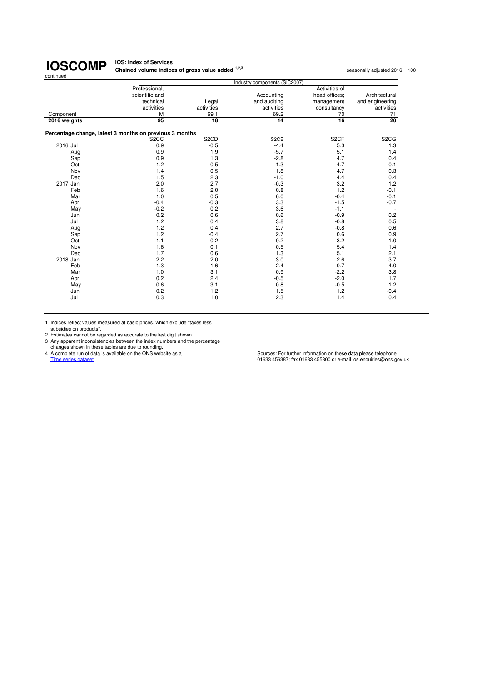**IOS: Index of Services Chained volume indices of gross value added <sup>1,2,3</sup> seasonally adjusted 2016 = 100<br>
<b>Chained volume indices of gross value added** <sup>1,2,3</sup>

|              |                                                         |                               | Industry components (SIC2007) |                   |                               |
|--------------|---------------------------------------------------------|-------------------------------|-------------------------------|-------------------|-------------------------------|
|              | Professional,                                           |                               |                               | Activities of     |                               |
|              | scientific and                                          |                               | Accounting                    | head offices:     | Architectural                 |
|              | technical                                               | Legal                         | and auditing                  | management        | and engineering               |
|              | activities                                              | activities                    | activities                    | consultancy       | activities                    |
| Component    | M                                                       | 69.1                          | 69.2                          | 70                | 71                            |
| 2016 weights | 95                                                      | $\overline{18}$               | 14                            | 16                | $\overline{20}$               |
|              | Percentage change, latest 3 months on previous 3 months |                               |                               |                   |                               |
|              | S <sub>2</sub> CC                                       | S <sub>2</sub> C <sub>D</sub> | S <sub>2</sub> CE             | S <sub>2</sub> CF | S <sub>2</sub> C <sub>G</sub> |
| 2016 Jul     | 0.9                                                     | $-0.5$                        | $-4.4$                        | 5.3               | 1.3                           |
| Aug          | 0.9                                                     | 1.9                           | $-5.7$                        | 5.1               | 1.4                           |
| Sep          | 0.9                                                     | 1.3                           | $-2.8$                        | 4.7               | 0.4                           |
| Oct          | 1.2                                                     | 0.5                           | 1.3                           | 4.7               | 0.1                           |
| Nov          | 1.4                                                     | 0.5                           | 1.8                           | 4.7               | 0.3                           |
| Dec          | 1.5                                                     | 2.3                           | $-1.0$                        | 4.4               | 0.4                           |
| 2017 Jan     | 2.0                                                     | 2.7                           | $-0.3$                        | 3.2               | 1.2                           |
| Feb          | 1.6                                                     | 2.0                           | 0.8                           | 1.2               | $-0.1$                        |
| Mar          | 1.0                                                     | 0.5                           | 6.0                           | $-0.4$            | $-0.1$                        |
| Apr          | $-0.4$                                                  | $-0.3$                        | 3.3                           | $-1.5$            | $-0.7$                        |
| May          | $-0.2$                                                  | 0.2                           | 3.6                           | $-1.1$            | $\sim$                        |
| Jun          | 0.2                                                     | 0.6                           | 0.6                           | $-0.9$            | 0.2                           |
| Jul          | 1.2                                                     | 0.4                           | 3.8                           | $-0.8$            | 0.5                           |
| Aug          | 1.2                                                     | 0.4                           | 2.7                           | $-0.8$            | 0.6                           |
| Sep          | 1.2                                                     | $-0.4$                        | 2.7                           | 0.6               | 0.9                           |
| Oct          | 1.1                                                     | $-0.2$                        | 0.2                           | 3.2               | 1.0                           |
| Nov          | 1.6                                                     | 0.1                           | 0.5                           | 5.4               | 1.4                           |
| Dec          | 1.7                                                     | 0.6                           | 1.3                           | 5.1               | 2.1                           |
| 2018 Jan     | 2.2                                                     | 2.0                           | 3.0                           | 2.6               | 3.7                           |
| Feb          | 1.3                                                     | 1.6                           | 2.4                           | $-0.7$            | 4.0                           |
| Mar          | 1.0                                                     | 3.1                           | 0.9                           | $-2.2$            | 3.8                           |
| Apr          | 0.2                                                     | 2.4                           | $-0.5$                        | $-2.0$            | 1.7                           |
| May          | 0.6                                                     | 3.1                           | 0.8                           | $-0.5$            | 1.2                           |
| Jun          | 0.2                                                     | 1.2                           | 1.5                           | 1.2               | $-0.4$                        |
| Jul          | 0.3                                                     | 1.0                           | 2.3                           | 1.4               | 0.4                           |
|              |                                                         |                               |                               |                   |                               |

1 Indices reflect values measured at basic prices, which exclude "taxes less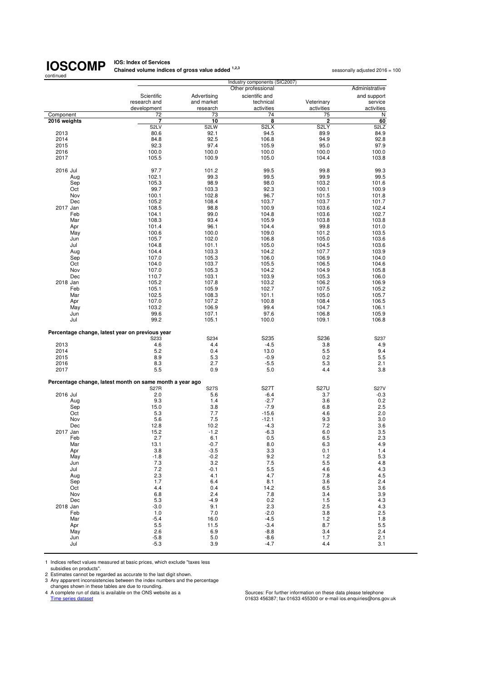**IOS: Index of Services<br>Chained volume indices of gross value added <sup>1,2,3</sup> seasonally adjusted 2016 = 100** 

| continued    |                                                          |             |                               |                   |                               |
|--------------|----------------------------------------------------------|-------------|-------------------------------|-------------------|-------------------------------|
|              |                                                          |             | Industry components (SIC2007) |                   |                               |
|              |                                                          |             | Other professional            |                   | Administrative                |
|              | Scientific                                               | Advertising | scientific and                |                   | and support                   |
|              | research and                                             | and market  | technical                     | Veterinary        | service                       |
|              | development                                              | research    | activities                    | activities        | activities                    |
| Component    | 72                                                       | 73          | 74                            | 75                | N                             |
| 2016 weights | 7                                                        | 10          | 8                             | 2                 | 60                            |
|              | S <sub>2</sub> LV                                        | S2LW        | S <sub>2</sub> LX             | S <sub>2</sub> LY | S <sub>2</sub> L <sub>Z</sub> |
| 2013         | 80.6                                                     | 92.1        | 94.5                          | 89.9              | 84.9                          |
| 2014         | 84.8                                                     | 92.5        | 106.8                         | 94.9              | 92.8                          |
| 2015         | 92.3                                                     | 97.4        | 105.9                         | 95.0              | 97.9                          |
| 2016         |                                                          | 100.0       | 100.0                         | 100.0             | 100.0                         |
|              | 100.0                                                    |             |                               |                   |                               |
| 2017         | 105.5                                                    | 100.9       | 105.0                         | 104.4             | 103.8                         |
|              |                                                          |             |                               |                   |                               |
| 2016 Jul     | 97.7                                                     | 101.2       | 99.5                          | 99.8              | 99.3                          |
| Aug          | 102.1                                                    | 99.3        | 99.5                          | 99.9              | 99.5                          |
| Sep          | 105.3                                                    | 98.9        | 98.0                          | 103.2             | 101.6                         |
| Oct          | 99.7                                                     | 103.3       | 92.3                          | 100.1             | 100.9                         |
| Nov          | 100.1                                                    | 102.8       | 96.7                          | 101.5             | 101.8                         |
| Dec          | 105.2                                                    | 108.4       | 103.7                         | 103.7             | 101.7                         |
| 2017 Jan     | 108.5                                                    | 98.8        | 100.9                         | 103.6             | 102.4                         |
| Feb          | 104.1                                                    | 99.0        | 104.8                         | 103.6             | 102.7                         |
| Mar          | 108.3                                                    | 93.4        | 105.9                         | 103.8             | 103.8                         |
| Apr          | 101.4                                                    | 96.1        | 104.4                         | 99.8              | 101.0                         |
|              |                                                          |             | 109.0                         | 101.2             | 103.5                         |
| May          | 100.6                                                    | 100.0       |                               |                   |                               |
| Jun          | 105.7                                                    | 102.0       | 106.8                         | 105.0             | 103.6                         |
| Jul          | 104.8                                                    | 101.1       | 105.0                         | 104.5             | 103.6                         |
| Aug          | 104.4                                                    | 103.3       | 104.2                         | 107.7             | 103.9                         |
| Sep          | 107.0                                                    | 105.3       | 106.0                         | 106.9             | 104.0                         |
| Oct          | 104.0                                                    | 103.7       | 105.5                         | 106.5             | 104.6                         |
| Nov          | 107.0                                                    | 105.3       | 104.2                         | 104.9             | 105.8                         |
| Dec          | 110.7                                                    | 103.1       | 103.9                         | 105.3             | 106.0                         |
| 2018 Jan     | 105.2                                                    | 107.8       | 103.2                         | 106.2             | 106.9                         |
| Feb          | 105.1                                                    | 105.9       | 102.7                         | 107.5             | 105.2                         |
| Mar          | 102.5                                                    | 108.3       | 101.1                         | 105.0             | 105.7                         |
|              |                                                          | 107.2       | 100.8                         | 108.4             | 106.5                         |
| Apr          | 107.0                                                    |             |                               |                   |                               |
| May          | 103.2                                                    | 106.9       | 99.4                          | 104.7             | 106.1                         |
| Jun          | 99.6                                                     | 107.1       | 97.6                          | 106.8             | 105.9                         |
| Jul          | 99.2                                                     | 105.1       | 100.0                         | 109.1             | 106.8                         |
|              |                                                          |             |                               |                   |                               |
|              | Percentage change, latest year on previous year          |             |                               |                   |                               |
|              | S233                                                     | S234        | S235                          | S236              | S237                          |
| 2013         | 4.6                                                      | 4.4         | $-4.5$                        | 3.8               | 4.9                           |
| 2014         | 5.2                                                      | 0.4         | 13.0                          | 5.5               | 9.4                           |
| 2015         | 8.9                                                      | 5.3         | $-0.9$                        | 0.2               | 5.5                           |
| 2016         | 8.3                                                      | 2.7         | $-5.5$                        | 5.3               | 2.1                           |
| 2017         | 5.5                                                      | 0.9         | 5.0                           | 4.4               | 3.8                           |
|              |                                                          |             |                               |                   |                               |
|              | Percentage change, latest month on same month a year ago |             |                               |                   |                               |
|              | <b>S27R</b>                                              | <b>S27S</b> | <b>S27T</b>                   | <b>S27U</b>       | <b>S27V</b>                   |
| 2016 Jul     | 2.0                                                      | 5.6         | $-6.4$                        | 3.7               | $-0.3$                        |
| Aug          | 9.3                                                      | 1.4         | $-2.7$                        | 3.6               | 0.2                           |
| Sep          | 15.0                                                     | 3.8         | $-7.9$                        | 6.8               | 2.5                           |
| Oct          | 5.3                                                      | 7.7         | $-15.6$                       | 4.6               | 2.0                           |
| Nov          | 5.6                                                      | 7.5         | $-12.1$                       | 9.3               | 3.0                           |
| Dec          | 12.8                                                     | 10.2        | $-4.3$                        | 7.2               | 3.6                           |
| 2017 Jan     | 15.2                                                     | $-1.2$      | $-6.3$                        | 6.0               | 3.5                           |
|              |                                                          |             |                               |                   |                               |
| Feb          | 2.7                                                      | 6.1         | 0.5                           | 6.5               | 2.3                           |
| Mar          | 13.1                                                     | $-0.7$      | 8.0                           | 6.3               | 4.9                           |
| Apr          | 3.8                                                      | $-3.5$      | 3.3                           | 0.1               | 1.4                           |
| May          | $-1.8$                                                   | $-0.2$      | 9.2                           | 1.2               | 5.3                           |
| Jun          | 7.3                                                      | 3.2         | 7.5                           | 5.5               | 4.8                           |
| Jul          | 7.2                                                      | -0.1        | 5.5                           | 4.6               | 4.3                           |
| Aug          | 2.3                                                      | 4.1         | 4.7                           | 7.8               | 4.5                           |
| Sep          | 1.7                                                      | 6.4         | 8.1                           | 3.6               | 2.4                           |
| Oct          | 4.4                                                      | 0.4         | 14.2                          | 6.5               | 3.6                           |
| Nov          | 6.8                                                      | 2.4         | 7.8                           | 3.4               | 3.9                           |
| Dec          | 5.3                                                      | $-4.9$      | 0.2                           | 1.5               | 4.3                           |
| 2018 Jan     | $-3.0$                                                   | 9.1         | 2.3                           | 2.5               | 4.3                           |
| Feb          |                                                          |             | $-2.0$                        |                   |                               |
|              | 1.0                                                      | 7.0         |                               | 3.8               | 2.5                           |
| Mar          | $-5.4$                                                   | 16.0        | $-4.5$                        | 1.2               | 1.8                           |
| Apr          | 5.5                                                      | 11.5        | $-3.4$                        | 8.7               | 5.5                           |
| May          | 2.6                                                      | 6.9         | $-8.8$                        | 3.4               | 2.4                           |
| Jun          | $-5.8$                                                   | 5.0         | $-8.6$                        | 1.7               | 2.1                           |
| Jul          | $-5.3$                                                   | 3.9         | $-4.7$                        | 4.4               | 3.1                           |

1 Indices reflect values measured at basic prices, which exclude "taxes less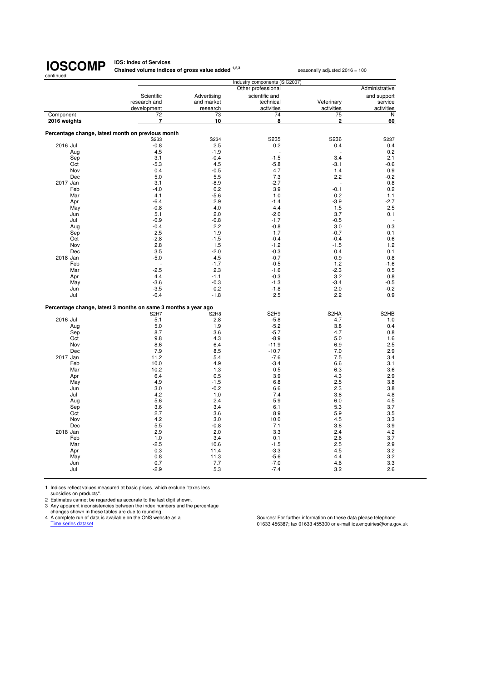**IOS: Index of Services<br>Chained volume indices of gross value added <sup>1,2,3</sup> seasonally adjusted 2016 = 100** 

| continued    |                                                                |                               |                               |                   |                   |
|--------------|----------------------------------------------------------------|-------------------------------|-------------------------------|-------------------|-------------------|
|              |                                                                |                               | Industry components (SIC2007) |                   |                   |
|              |                                                                |                               | Other professional            |                   | Administrative    |
|              | Scientific                                                     | Advertising                   | scientific and                |                   | and support       |
|              | research and                                                   | and market                    | technical                     | Veterinary        | service           |
|              | development                                                    | research                      | activities                    | activities        | activities        |
| Component    | 72                                                             | 73                            | 74                            | 75                | N                 |
| 2016 weights | 7                                                              | 10                            | 8                             | 2                 | 60                |
|              |                                                                |                               |                               |                   |                   |
|              | Percentage change, latest month on previous month              |                               |                               |                   |                   |
|              | S233                                                           | S234                          | S235                          | S236              | S237              |
| 2016 Jul     | $-0.8$<br>4.5                                                  | 2.5<br>$-1.9$                 | 0.2<br>L,                     | 0.4               | 0.4<br>0.2        |
| Aug<br>Sep   | 3.1                                                            | $-0.4$                        | $-1.5$                        | 3.4               | 2.1               |
| Oct          | $-5.3$                                                         | 4.5                           | $-5.8$                        | $-3.1$            | $-0.6$            |
| Nov          | 0.4                                                            | $-0.5$                        | 4.7                           | 1.4               | 0.9               |
| Dec          | 5.0                                                            | 5.5                           | 7.3                           | 2.2               | $-0.2$            |
| 2017 Jan     | 3.1                                                            | $-8.9$                        | $-2.7$                        | ٠                 | 0.8               |
| Feb          | $-4.0$                                                         | 0.2                           | 3.9                           | $-0.1$            | 0.2               |
| Mar          | 4.1                                                            | $-5.6$                        | 1.0                           | 0.2               | 1.1               |
| Apr          | $-6.4$                                                         | 2.9                           | $-1.4$                        | $-3.9$            | $-2.7$            |
| May          | $-0.8$                                                         | 4.0                           | 4.4                           | 1.5               | 2.5               |
| Jun          | 5.1                                                            | 2.0                           | $-2.0$                        | 3.7               | 0.1               |
| Jul          | $-0.9$                                                         | $-0.8$                        | $-1.7$                        | $-0.5$            |                   |
| Aug          | $-0.4$                                                         | 2.2                           | $-0.8$                        | 3.0               | 0.3               |
| Sep          | 2.5                                                            | 1.9                           | 1.7                           | $-0.7$            | 0.1               |
| Oct          | $-2.8$                                                         | $-1.5$                        | $-0.4$                        | $-0.4$            | 0.6               |
| Nov          | 2.8                                                            | 1.5                           | $-1.2$                        | $-1.5$            | 1.2               |
| Dec          | 3.5                                                            | $-2.0$                        | $-0.3$                        | 0.4               | 0.1               |
| 2018 Jan     | $-5.0$                                                         | 4.5                           | $-0.7$                        | 0.9               | 0.8               |
| Feb          |                                                                | $-1.7$                        | $-0.5$                        | 1.2               | $-1.6$            |
| Mar          | $-2.5$                                                         | 2.3                           | $-1.6$                        | $-2.3$            | 0.5               |
| Apr          | 4.4                                                            | $-1.1$                        | $-0.3$                        | 3.2               | 0.8               |
| May          | $-3.6$                                                         | $-0.3$                        | $-1.3$                        | $-3.4$            | $-0.5$            |
| Jun          | $-3.5$                                                         | 0.2                           | $-1.8$                        | 2.0               | $-0.2$            |
| Jul          | $-0.4$                                                         | $-1.8$                        | 2.5                           | 2.2               | 0.9               |
|              |                                                                |                               |                               |                   |                   |
|              | Percentage change, latest 3 months on same 3 months a year ago |                               |                               |                   |                   |
|              | S <sub>2</sub> H <sub>7</sub>                                  | S <sub>2</sub> H <sub>8</sub> | S <sub>2</sub> H <sub>9</sub> | S <sub>2</sub> HA | S <sub>2</sub> HB |
| 2016 Jul     | 5.1                                                            | 2.8                           | $-5.8$                        | 4.7               | 1.0               |
| Aug          | 5.0                                                            | 1.9                           | $-5.2$                        | 3.8               | 0.4               |
| Sep          | 8.7                                                            | 3.6                           | $-5.7$                        | 4.7               | 0.8               |
| Oct          | 9.8                                                            | 4.3                           | $-8.9$                        | 5.0               | 1.6               |
| Nov          | 8.6                                                            | 6.4                           | $-11.9$                       | 6.9               | 2.5               |
| Dec          | 7.9                                                            | 8.5                           | $-10.7$                       | 7.0               | 2.9               |
| 2017 Jan     | 11.2                                                           | 5.4                           | $-7.6$                        | 7.5               | 3.4               |
| Feb          | 10.0                                                           | 4.9                           | $-3.4$                        | 6.6               | 3.1               |
| Mar          | 10.2                                                           | 1.3                           | 0.5                           | 6.3               | 3.6               |
| Apr          | 6.4<br>4.9                                                     | 0.5<br>$-1.5$                 | 3.9<br>6.8                    | 4.3<br>2.5        | 2.9               |
| May          |                                                                |                               |                               |                   | 3.8               |
| Jun<br>Jul   | 3.0<br>4.2                                                     | $-0.2$<br>1.0                 | 6.6<br>7.4                    | 2.3<br>3.8        | 3.8<br>4.8        |
| Aug          | 5.6                                                            | 2.4                           | 5.9                           | 6.0               | 4.5               |
| Sep          | 3.6                                                            | 3.4                           | 6.1                           | 5.3               | 3.7               |
| Oct          | 2.7                                                            | 3.6                           | 8.9                           | 5.9               | 3.5               |
| Nov          | 4.2                                                            | 3.0                           | 10.0                          | 4.5               | 3.3               |
| Dec          | 5.5                                                            | $-0.8$                        | 7.1                           | 3.8               | 3.9               |
| 2018 Jan     | 2.9                                                            | 2.0                           | 3.3                           | 2.4               | 4.2               |
| Feb          | 1.0                                                            | 3.4                           | 0.1                           | 2.6               | 3.7               |
| Mar          | $-2.5$                                                         | 10.6                          | $-1.5$                        | 2.5               | 2.9               |
| Apr          | 0.3                                                            | 11.4                          | $-3.3$                        | 4.5               | 3.2               |
| May          | 0.8                                                            | 11.3                          | $-5.6$                        | 4.4               | 3.2               |
| Jun          | 0.7                                                            | 7.7                           | $-7.0$                        | 4.6               | 3.3               |
| Jul          | $-2.9$                                                         | 5.3                           | $-7.4$                        | 3.2               | 2.6               |
|              |                                                                |                               |                               |                   |                   |

1 Indices reflect values measured at basic prices, which exclude "taxes less subsidies on products".

2 Estimates cannot be regarded as accurate to the last digit shown.

3 Any apparent inconsistencies between the index numbers and the percentage<br>changes shown in these tables are due to rounding.<br>4 A complete run of data is available on the ONS website as a<br>Time series dataset of a same of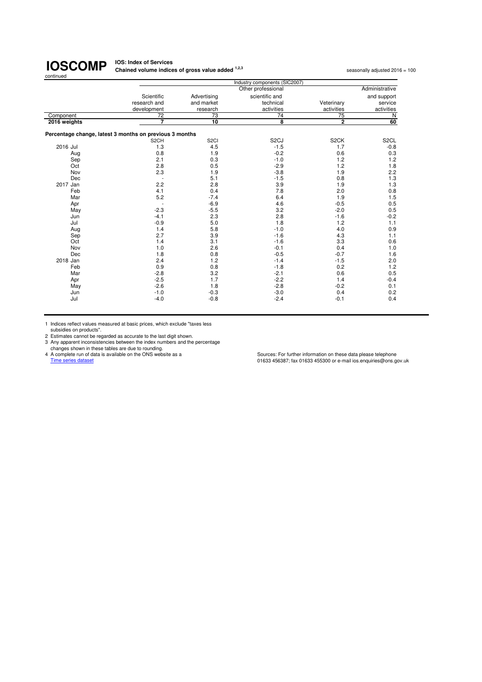#### **IOS: Index of Services Chained volume indices of gross value added <sup>1,2,3</sup> seasonally adjusted 2016 = 100<br>
<b>Chained volume indices of gross value added** <sup>1,2,3</sup>

|              |                                                         |                   | Industry components (SIC2007) |                   |                   |
|--------------|---------------------------------------------------------|-------------------|-------------------------------|-------------------|-------------------|
|              |                                                         |                   | Other professional            |                   | Administrative    |
|              | Scientific                                              | Advertising       | scientific and                |                   | and support       |
|              | research and                                            | and market        | technical                     | Veterinary        | service           |
|              | development                                             | research          | activities                    | activities        | activities        |
| Component    | $\overline{72}$                                         | 73                | 74                            | 75                | $\mathsf{N}$      |
| 2016 weights | 7                                                       | 10                | 8                             | $\overline{2}$    | 60                |
|              | Percentage change, latest 3 months on previous 3 months |                   |                               |                   |                   |
|              | S <sub>2</sub> CH                                       | S <sub>2</sub> CI | S <sub>2</sub> CJ             | S <sub>2</sub> CK | S <sub>2</sub> CL |
| 2016 Jul     | 1.3                                                     | 4.5               | $-1.5$                        | 1.7               | $-0.8$            |
| Aug          | 0.8                                                     | 1.9               | $-0.2$                        | 0.6               | 0.3               |
| Sep          | 2.1                                                     | 0.3               | $-1.0$                        | 1.2               | 1.2               |
| Oct          | 2.8                                                     | 0.5               | $-2.9$                        | 1.2               | 1.8               |
| Nov          | 2.3                                                     | 1.9               | $-3.8$                        | 1.9               | 2.2               |
| Dec          |                                                         | 5.1               | $-1.5$                        | 0.8               | 1.3               |
| 2017 Jan     | 2.2                                                     | 2.8               | 3.9                           | 1.9               | 1.3               |
| Feb          | 4.1                                                     | 0.4               | 7.8                           | 2.0               | 0.8               |
| Mar          | 5.2                                                     | $-7.4$            | 6.4                           | 1.9               | 1.5               |
| Apr          |                                                         | $-6.9$            | 4.6                           | $-0.5$            | 0.5               |
| May          | $-2.3$                                                  | $-5.5$            | 3.2                           | $-2.0$            | 0.5               |
| Jun          | $-4.1$                                                  | 2.3               | 2.8                           | $-1.6$            | $-0.2$            |
| Jul          | $-0.9$                                                  | 5.0               | 1.8                           | 1.2               | 1.1               |
| Aug          | 1.4                                                     | 5.8               | $-1.0$                        | 4.0               | 0.9               |
| Sep          | 2.7                                                     | 3.9               | $-1.6$                        | 4.3               | 1.1               |
| Oct          | 1.4                                                     | 3.1               | $-1.6$                        | 3.3               | 0.6               |
| Nov          | 1.0                                                     | 2.6               | $-0.1$                        | 0.4               | 1.0               |
| Dec          | 1.8                                                     | 0.8               | $-0.5$                        | $-0.7$            | 1.6               |
| 2018 Jan     | 2.4                                                     | 1.2               | $-1.4$                        | $-1.5$            | 2.0               |
| Feb          | 0.9                                                     | 0.8               | $-1.8$                        | 0.2               | 1.2               |
| Mar          | $-2.8$                                                  | 3.2               | $-2.1$                        | 0.6               | 0.5               |
| Apr          | $-2.5$                                                  | 1.7               | $-2.2$                        | 1.4               | $-0.4$            |
| May          | $-2.6$                                                  | 1.8               | $-2.8$                        | $-0.2$            | 0.1               |
| Jun          | $-1.0$                                                  | $-0.3$            | $-3.0$                        | 0.4               | 0.2               |
| Jul          | $-4.0$                                                  | $-0.8$            | $-2.4$                        | $-0.1$            | 0.4               |

1 Indices reflect values measured at basic prices, which exclude "taxes less subsidies on products".

2 Estimates cannot be regarded as accurate to the last digit shown.<br>
2 Any apparent inconsistencies between the index numbers and the percentage<br>
changes shown in these tables are due to rounding.<br>
4 A complete run of data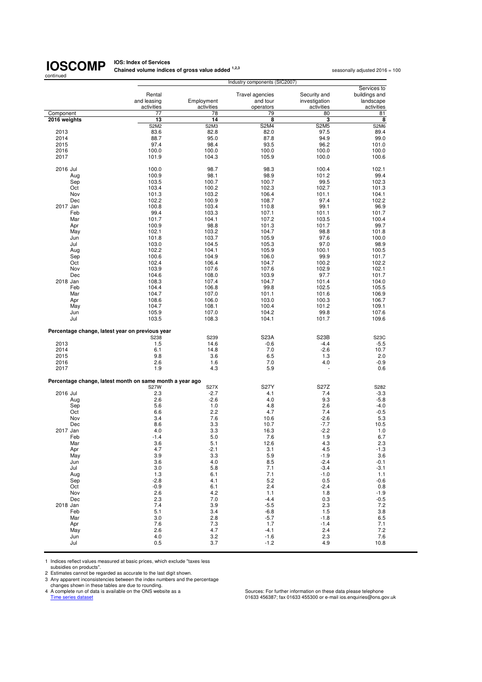**IOS: Index of Services<br>Chained volume indices of gross value added <sup>1,2,3</sup> seasonally adjusted 2016 = 100** 

| continued    | Industry components (SIC2007)                            |                          |                                                 |                                             |                                                         |  |
|--------------|----------------------------------------------------------|--------------------------|-------------------------------------------------|---------------------------------------------|---------------------------------------------------------|--|
|              | Rental<br>and leasing<br>activities                      | Employment<br>activities | <b>Travel agencies</b><br>and tour<br>operators | Security and<br>investigation<br>activities | Services to<br>buildings and<br>landscape<br>activities |  |
| Component    | 77                                                       | 78                       | 79                                              | 80                                          | 81                                                      |  |
| 2016 weights | 13                                                       | 14                       | 8                                               | з                                           | 8                                                       |  |
|              | <b>S2M2</b>                                              | S2M3                     | <b>S2M4</b>                                     | <b>S2M5</b>                                 | <b>S2M6</b>                                             |  |
| 2013         | 83.6                                                     | 82.8                     | 82.0                                            | 97.5                                        | 89.4                                                    |  |
| 2014         | 88.7                                                     | 95.0                     | 87.8                                            | 94.9                                        | 99.0                                                    |  |
| 2015         | 97.4                                                     | 98.4                     | 93.5                                            | 96.2                                        | 101.0                                                   |  |
| 2016         | 100.0                                                    | 100.0                    | 100.0                                           | 100.0                                       | 100.0                                                   |  |
| 2017         | 101.9                                                    | 104.3                    | 105.9                                           | 100.0                                       | 100.6                                                   |  |
|              |                                                          |                          |                                                 |                                             |                                                         |  |
| 2016 Jul     | 100.0                                                    | 98.7                     | 98.3                                            | 100.4                                       | 102.1                                                   |  |
| Aug          | 100.9                                                    | 98.1                     | 98.9                                            | 101.2                                       | 99.4                                                    |  |
| Sep          | 103.5                                                    | 100.7                    | 100.7                                           | 99.5                                        | 102.3                                                   |  |
| Oct          | 103.4                                                    | 100.2                    | 102.3                                           | 102.7                                       | 101.3                                                   |  |
| Nov          | 101.3                                                    | 103.2                    | 106.4                                           | 101.1                                       | 104.1                                                   |  |
| Dec          | 102.2                                                    | 100.9                    | 108.7                                           | 97.4                                        | 102.2                                                   |  |
| 2017 Jan     | 100.8                                                    | 103.4                    | 110.8                                           | 99.1                                        | 96.9                                                    |  |
| Feb          | 99.4                                                     | 103.3                    | 107.1                                           | 101.1                                       | 101.7                                                   |  |
| Mar          | 101.7                                                    | 104.1                    | 107.2                                           | 103.5                                       | 100.4                                                   |  |
| Apr          | 100.9                                                    | 98.8                     | 101.3                                           | 101.7                                       | 99.7                                                    |  |
| May          | 102.1                                                    | 103.2                    | 104.7                                           | 98.8                                        | 101.8                                                   |  |
| Jun          | 101.8                                                    | 103.7                    | 105.9                                           | 97.6                                        | 100.0                                                   |  |
| Jul          | 103.0                                                    | 104.5                    | 105.3                                           | 97.0                                        | 98.9                                                    |  |
| Aug          | 102.2                                                    | 104.1                    | 105.9                                           | 100.1                                       | 100.5                                                   |  |
| Sep          | 100.6                                                    | 104.9                    | 106.0                                           | 99.9                                        | 101.7                                                   |  |
| Oct          | 102.4                                                    | 106.4                    | 104.7                                           | 100.2                                       | 102.2                                                   |  |
| Nov          | 103.9                                                    | 107.6                    | 107.6                                           | 102.9                                       | 102.1                                                   |  |
| Dec          | 104.6                                                    | 108.0                    | 103.9                                           | 97.7                                        | 101.7                                                   |  |
| 2018 Jan     | 108.3                                                    | 107.4                    | 104.7                                           | 101.4                                       | 104.0                                                   |  |
|              |                                                          |                          |                                                 |                                             |                                                         |  |
| Feb          | 104.4                                                    | 106.8                    | 99.8                                            | 102.5                                       | 105.5                                                   |  |
| Mar          | 104.7                                                    | 107.0                    | 101.1                                           | 101.6                                       | 106.9                                                   |  |
| Apr          | 108.6                                                    | 106.0                    | 103.0                                           | 100.3                                       | 106.7                                                   |  |
| May          | 104.7                                                    | 108.1                    | 100.4                                           | 101.2                                       | 109.1                                                   |  |
| Jun          | 105.9                                                    | 107.0                    | 104.2                                           | 99.8                                        | 107.6                                                   |  |
| Jul          | 103.5                                                    | 108.3                    | 104.1                                           | 101.7                                       | 109.6                                                   |  |
|              | Percentage change, latest year on previous year          |                          |                                                 |                                             |                                                         |  |
|              | S238                                                     | S239                     | <b>S23A</b>                                     | S <sub>23</sub> B                           | S23C                                                    |  |
| 2013         | 1.5                                                      | 14.6                     | $-0.6$                                          | $-4.4$                                      | $-5.5$                                                  |  |
| 2014         | 6.1                                                      | 14.8                     | 7.0                                             | $-2.6$                                      | 10.7                                                    |  |
| 2015         | 9.8                                                      | 3.6                      | 6.5                                             | 1.3                                         | 2.0                                                     |  |
| 2016         | 2.6                                                      | 1.6                      | 7.0                                             | 4.0                                         | $-0.9$                                                  |  |
| 2017         | 1.9                                                      | 4.3                      | 5.9                                             |                                             | 0.6                                                     |  |
|              | Percentage change, latest month on same month a year ago |                          |                                                 |                                             |                                                         |  |
|              | <b>S27W</b>                                              | <b>S27X</b>              | <b>S27Y</b>                                     | S27Z                                        | S282                                                    |  |
| 2016 Jul     | 2.3                                                      | $-2.7$                   | 4.1                                             | 7.4                                         | $-3.3$                                                  |  |
| Aug          | 2.6                                                      | $-2.6$                   | 4.0                                             | 9.3                                         | $-5.8$                                                  |  |
| Sep          | 5.6                                                      | 1.0                      | 4.8                                             | 2.6                                         | $-4.0$                                                  |  |
| Oct          | 6.6                                                      | 2.2                      | 4.7                                             | 7.4                                         | $-0.5$                                                  |  |
| Nov          | 3.4                                                      | 7.6                      | 10.6                                            | $-2.6$                                      | 5.3                                                     |  |
| Dec          | 8.6                                                      | 3.3                      | 10.7                                            | $-7.7$                                      | 10.5                                                    |  |
| 2017 Jan     | 4.0                                                      | 3.3                      | 16.3                                            | $-2.2$                                      | 1.0                                                     |  |
| Feb          | $-1.4$                                                   | 5.0                      | 7.6                                             | 1.9                                         | 6.7                                                     |  |
| Mar          | 3.6                                                      | 5.1                      | 12.6                                            | 4.3                                         | 2.3                                                     |  |
| Apr          | 4.7                                                      | -2.1                     | 3.1                                             | 4.5                                         | $-1.3$                                                  |  |
| May          | 3.9                                                      | 3.3                      | 5.9                                             | $-1.9$                                      | 3.6                                                     |  |
| Jun          | 3.6                                                      | 4.0                      | 8.5                                             | $-2.4$                                      | $-0.1$                                                  |  |
| Jul          | 3.0                                                      | 5.8                      | 7.1                                             | $-3.4$                                      | $-3.1$                                                  |  |
| Aug          | 1.3                                                      | 6.1                      | 7.1                                             | $-1.0$                                      | 1.1                                                     |  |
| Sep          | $-2.8$                                                   | 4.1                      | 5.2                                             | 0.5                                         | $-0.6$                                                  |  |
| Oct          | $-0.9$                                                   | 6.1                      | 2.4                                             | $-2.4$                                      | 0.8                                                     |  |
| Nov          | 2.6                                                      | 4.2                      | 1.1                                             | 1.8                                         | $-1.9$                                                  |  |
| Dec          | 2.3                                                      | 7.0                      | $-4.4$                                          | 0.3                                         | $-0.5$                                                  |  |
| 2018 Jan     | 7.4                                                      | 3.9                      | $-5.5$                                          | 2.3                                         | 7.2                                                     |  |
|              |                                                          |                          |                                                 |                                             |                                                         |  |
| Feb          | 5.1                                                      | 3.4                      | $-6.8$                                          | 1.5                                         | 3.8                                                     |  |
| Mar          | 3.0                                                      | 2.8                      | $-5.7$                                          | $-1.8$                                      | 6.5                                                     |  |
| Apr          | 7.6                                                      | 7.3                      | 1.7                                             | $-1.4$                                      | 7.1                                                     |  |
| May          | 2.6                                                      | 4.7                      | $-4.1$                                          | 2.4                                         | 7.2                                                     |  |
| Jun          | 4.0                                                      | 3.2                      | $-1.6$                                          | 2.3                                         | 7.6                                                     |  |
| Jul          | 0.5                                                      | 3.7                      | $-1.2$                                          | 4.9                                         | 10.8                                                    |  |

1 Indices reflect values measured at basic prices, which exclude "taxes less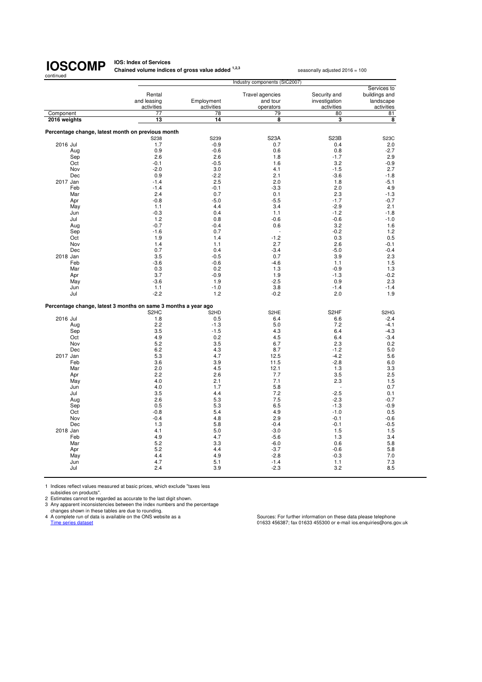**IOS: Index of Services<br>Chained volume indices of gross value added <sup>1,2,3</sup> seasonally adjusted 2016 = 100** 

| continued    |     |                                                                |                               | Industry components (SIC2007) |                   |                               |
|--------------|-----|----------------------------------------------------------------|-------------------------------|-------------------------------|-------------------|-------------------------------|
|              |     |                                                                |                               |                               |                   | Services to                   |
|              |     | Rental                                                         |                               | Travel agencies               | Security and      | buildings and                 |
|              |     | and leasing                                                    | Employment                    | and tour                      | investigation     | landscape                     |
|              |     | activities                                                     | activities                    | operators                     | activities        | activities                    |
| Component    |     | 77                                                             | 78                            | 79                            | 80                | 81                            |
| 2016 weights |     | 13                                                             | 14                            | 8                             | 3                 | 8                             |
|              |     |                                                                |                               |                               |                   |                               |
|              |     | Percentage change, latest month on previous month              |                               |                               |                   |                               |
|              |     | S238                                                           | S239                          | <b>S23A</b>                   | S <sub>23</sub> B | S23C                          |
| 2016 Jul     |     | 1.7                                                            | $-0.9$                        | 0.7                           | 0.4               | 2.0                           |
|              | Aug | 0.9                                                            | $-0.6$                        | 0.6                           | 0.8               | $-2.7$                        |
|              | Sep | 2.6                                                            | 2.6                           | 1.8                           | $-1.7$            | 2.9                           |
|              | Oct | $-0.1$                                                         | $-0.5$                        | 1.6                           | 3.2               | $-0.9$                        |
|              | Nov | $-2.0$                                                         | 3.0                           | 4.1                           | $-1.5$            | 2.7                           |
|              | Dec | 0.9                                                            | $-2.2$                        | 2.1                           | $-3.6$            | $-1.8$                        |
| 2017 Jan     |     | $-1.4$                                                         | 2.5                           | 2.0                           | 1.8               | $-5.1$                        |
|              | Feb | $-1.4$                                                         | $-0.1$                        | $-3.3$                        | 2.0               | 4.9                           |
|              | Mar | 2.4                                                            | 0.7                           | 0.1                           | 2.3               | $-1.3$                        |
|              | Apr | $-0.8$                                                         | $-5.0$                        | $-5.5$                        | $-1.7$            | $-0.7$                        |
|              | May | 1.1                                                            | 4.4                           | 3.4                           | $-2.9$            | 2.1                           |
|              | Jun | $-0.3$                                                         | 0.4                           | 1.1                           | $-1.2$            | $-1.8$                        |
|              | Jul | 1.2                                                            | 0.8                           | $-0.6$                        | $-0.6$            | $-1.0$                        |
|              | Aug | $-0.7$                                                         | $-0.4$                        | 0.6                           | 3.2               | 1.6                           |
|              | Sep | $-1.6$                                                         | 0.7                           | L,                            | $-0.2$            | 1.2                           |
|              | Oct | 1.9                                                            | 1.4                           | $-1.2$                        | 0.3               | 0.5                           |
|              | Nov | 1.4                                                            | 1.1                           | 2.7                           | 2.6               | $-0.1$                        |
|              | Dec | 0.7                                                            | 0.4                           | $-3.4$                        | $-5.0$            | $-0.4$                        |
| 2018 Jan     |     | 3.5                                                            | $-0.5$                        | 0.7                           | 3.9               | 2.3                           |
|              | Feb | $-3.6$                                                         | $-0.6$                        | $-4.6$                        | 1.1               | 1.5                           |
|              | Mar | 0.3                                                            | 0.2                           | 1.3                           | $-0.9$            | 1.3                           |
|              | Apr | 3.7                                                            | $-0.9$                        | 1.9                           | $-1.3$            | $-0.2$                        |
|              | May | $-3.6$                                                         | 1.9                           | $-2.5$                        | 0.9               | 2.3                           |
|              | Jun | 1.1                                                            | $-1.0$                        | 3.8                           | $-1.4$            | $-1.4$                        |
|              | Jul | $-2.2$                                                         | 1.2                           | $-0.2$                        | 2.0               | 1.9                           |
|              |     | Percentage change, latest 3 months on same 3 months a year ago |                               |                               |                   |                               |
|              |     | S <sub>2</sub> H <sub>C</sub>                                  | S <sub>2</sub> H <sub>D</sub> | S <sub>2</sub> HE             | S <sub>2</sub> HF | S <sub>2</sub> H <sub>G</sub> |
| 2016 Jul     |     | 1.8                                                            | 0.5                           | 6.4                           | 6.6               | $-2.4$                        |
|              | Aug | 2.2                                                            | $-1.3$                        | 5.0                           | 7.2               | $-4.1$                        |
|              | Sep | 3.5                                                            | $-1.5$                        | 4.3                           | 6.4               | $-4.3$                        |
|              | Oct | 4.9                                                            | 0.2                           | 4.5                           | 6.4               | $-3.4$                        |
|              | Nov | 5.2                                                            | 3.5                           | 6.7                           | 2.3               | 0.2                           |
|              | Dec | 6.2                                                            | 4.3                           | 8.7                           | $-1.2$            | 5.0                           |
| 2017 Jan     |     | 5.3                                                            | 4.7                           | 12.5                          | $-4.2$            | 5.6                           |
|              | Feb | 3.6                                                            | 3.9                           | 11.5                          | $-2.8$            | 6.0                           |
|              | Mar | 2.0                                                            | 4.5                           | 12.1                          | 1.3               | 3.3                           |
|              | Apr | 2.2                                                            | 2.6                           | 7.7                           | 3.5               | 2.5                           |
|              | May | 4.0                                                            | 2.1                           | 7.1                           | 2.3               | 1.5                           |
|              | Jun | 4.0                                                            | 1.7                           | 5.8                           |                   | 0.7                           |
|              | Jul | 3.5                                                            | 4.4                           | 7.2                           | $-2.5$            | 0.1                           |
|              | Aug | 2.6                                                            | 5.3                           | 7.5                           | $-2.3$            | $-0.7$                        |
|              | Sep | 0.5                                                            | 5.3                           | 6.5                           | $-1.3$            | $-0.9$                        |
|              | Oct | $-0.8$                                                         | 5.4                           | 4.9                           | $-1.0$            | 0.5                           |
|              | Nov | $-0.4$                                                         | 4.8                           | 2.9                           | $-0.1$            | $-0.6$                        |
|              | Dec | 1.3                                                            | 5.8                           | $-0.4$                        | $-0.1$            | $-0.5$                        |
| 2018 Jan     |     | 4.1                                                            | 5.0                           | $-3.0$                        | 1.5               | 1.5                           |
|              | Feb | 4.9                                                            | 4.7                           | $-5.6$                        | 1.3               | 3.4                           |
|              | Mar | 5.2                                                            | 3.3                           | $-6.0$                        | 0.6               | 5.8                           |
|              | Apr | 5.2                                                            | 4.4                           | $-3.7$                        | $-0.6$            | 5.8                           |
|              | May | 4.4                                                            | 4.9                           | $-2.8$                        | $-0.3$            | 7.0                           |
|              | Jun | 4.7                                                            | 5.1                           | $-1.4$                        | 1.1               | 7.3                           |
|              | Jul | 2.4                                                            | 3.9                           | $-2.3$                        | 3.2               | 8.5                           |
|              |     |                                                                |                               |                               |                   |                               |

1 Indices reflect values measured at basic prices, which exclude "taxes less

subsidies on products". 2 Estimates cannot be regarded as accurate to the last digit shown. 3 Any apparent inconsistencies between the index numbers and the percentage

changes shown in these tables are due to rounding.<br>4 A complete run of data is available on the ONS website as a<br>Time series dataset

4 A complete run of data is available on the ONS website as a Sources: For further information on these data please telephone<br>Time series dataset of assetsions.gov.uk and the ONS website as a series of the Sources: For fur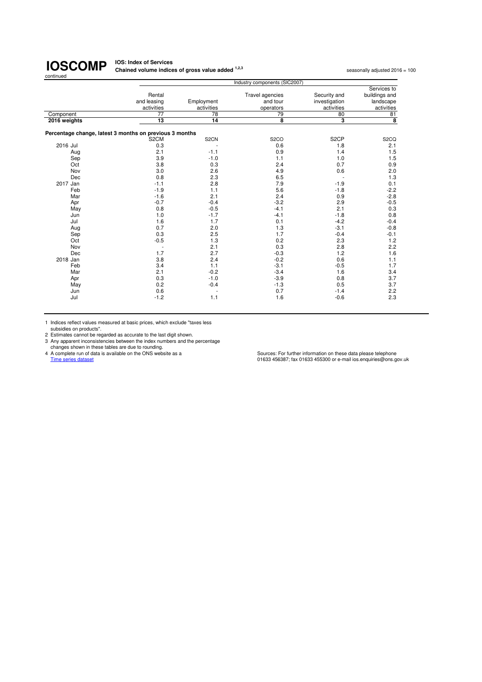#### **IOS: Index of Services Chained volume indices of gross value added <sup>1,2,3</sup> seasonally adjusted 2016 = 100<br>
<b>Chained volume indices of gross value added** <sup>1,2,3</sup>

| <b>Travel agencies</b><br>Security and<br>Rental<br>Employment<br>and leasing<br>and tour<br>investigation<br>activities<br>activities<br>activities<br>operators<br>78<br>77<br>79<br>80<br>Component<br>14<br>3<br>13<br>8<br>2016 weights<br>Percentage change, latest 3 months on previous 3 months<br>S <sub>2</sub> CP<br>S <sub>2</sub> CN<br>S <sub>2</sub> CO<br>S <sub>2</sub> CM<br>2016 Jul<br>0.3<br>0.6<br>1.8<br>2.1<br>0.9<br>$-1.1$<br>1.4<br>Aug<br>$-1.0$<br>3.9<br>1.1<br>1.0<br>Sep<br>0.3<br>0.7<br>3.8<br>2.4<br>Oct<br>2.6<br>3.0<br>4.9<br>0.6<br>Nov<br>0.8<br>2.3<br>6.5<br>Dec<br>2.8<br>7.9<br>$-1.9$<br>2017 Jan<br>$-1.1$<br>5.6<br>$-1.9$<br>1.1<br>$-1.8$<br>Feb<br>$-1.6$<br>2.1<br>2.4<br>0.9<br>Mar<br>$-3.2$<br>$-0.7$<br>$-0.4$<br>2.9<br>Apr<br>$-0.5$<br>0.8<br>$-4.1$<br>2.1<br>May<br>$-1.7$<br>$-4.1$<br>$-1.8$<br>1.0<br>Jun | Services to             |
|--------------------------------------------------------------------------------------------------------------------------------------------------------------------------------------------------------------------------------------------------------------------------------------------------------------------------------------------------------------------------------------------------------------------------------------------------------------------------------------------------------------------------------------------------------------------------------------------------------------------------------------------------------------------------------------------------------------------------------------------------------------------------------------------------------------------------------------------------------------------------|-------------------------|
|                                                                                                                                                                                                                                                                                                                                                                                                                                                                                                                                                                                                                                                                                                                                                                                                                                                                          |                         |
|                                                                                                                                                                                                                                                                                                                                                                                                                                                                                                                                                                                                                                                                                                                                                                                                                                                                          | buildings and           |
|                                                                                                                                                                                                                                                                                                                                                                                                                                                                                                                                                                                                                                                                                                                                                                                                                                                                          | landscape               |
|                                                                                                                                                                                                                                                                                                                                                                                                                                                                                                                                                                                                                                                                                                                                                                                                                                                                          | activities              |
|                                                                                                                                                                                                                                                                                                                                                                                                                                                                                                                                                                                                                                                                                                                                                                                                                                                                          | 81                      |
|                                                                                                                                                                                                                                                                                                                                                                                                                                                                                                                                                                                                                                                                                                                                                                                                                                                                          | $\overline{\mathbf{8}}$ |
|                                                                                                                                                                                                                                                                                                                                                                                                                                                                                                                                                                                                                                                                                                                                                                                                                                                                          |                         |
|                                                                                                                                                                                                                                                                                                                                                                                                                                                                                                                                                                                                                                                                                                                                                                                                                                                                          |                         |
|                                                                                                                                                                                                                                                                                                                                                                                                                                                                                                                                                                                                                                                                                                                                                                                                                                                                          | S <sub>2</sub> CQ       |
|                                                                                                                                                                                                                                                                                                                                                                                                                                                                                                                                                                                                                                                                                                                                                                                                                                                                          | 2.1                     |
|                                                                                                                                                                                                                                                                                                                                                                                                                                                                                                                                                                                                                                                                                                                                                                                                                                                                          | 1.5                     |
|                                                                                                                                                                                                                                                                                                                                                                                                                                                                                                                                                                                                                                                                                                                                                                                                                                                                          | 1.5                     |
|                                                                                                                                                                                                                                                                                                                                                                                                                                                                                                                                                                                                                                                                                                                                                                                                                                                                          | 0.9                     |
|                                                                                                                                                                                                                                                                                                                                                                                                                                                                                                                                                                                                                                                                                                                                                                                                                                                                          | 2.0                     |
|                                                                                                                                                                                                                                                                                                                                                                                                                                                                                                                                                                                                                                                                                                                                                                                                                                                                          | 1.3                     |
|                                                                                                                                                                                                                                                                                                                                                                                                                                                                                                                                                                                                                                                                                                                                                                                                                                                                          | 0.1                     |
|                                                                                                                                                                                                                                                                                                                                                                                                                                                                                                                                                                                                                                                                                                                                                                                                                                                                          | $-2.2$                  |
|                                                                                                                                                                                                                                                                                                                                                                                                                                                                                                                                                                                                                                                                                                                                                                                                                                                                          | $-2.8$                  |
|                                                                                                                                                                                                                                                                                                                                                                                                                                                                                                                                                                                                                                                                                                                                                                                                                                                                          | $-0.5$                  |
|                                                                                                                                                                                                                                                                                                                                                                                                                                                                                                                                                                                                                                                                                                                                                                                                                                                                          | 0.3                     |
|                                                                                                                                                                                                                                                                                                                                                                                                                                                                                                                                                                                                                                                                                                                                                                                                                                                                          | 0.8                     |
| 1.7<br>0.1<br>$-4.2$<br>1.6<br>Jul                                                                                                                                                                                                                                                                                                                                                                                                                                                                                                                                                                                                                                                                                                                                                                                                                                       | $-0.4$                  |
| 1.3<br>0.7<br>2.0<br>$-3.1$<br>Aug                                                                                                                                                                                                                                                                                                                                                                                                                                                                                                                                                                                                                                                                                                                                                                                                                                       | $-0.8$                  |
| 2.5<br>0.3<br>1.7<br>$-0.4$<br>Sep                                                                                                                                                                                                                                                                                                                                                                                                                                                                                                                                                                                                                                                                                                                                                                                                                                       | $-0.1$                  |
| 1.3<br>0.2<br>2.3<br>$-0.5$<br>Oct                                                                                                                                                                                                                                                                                                                                                                                                                                                                                                                                                                                                                                                                                                                                                                                                                                       | 1.2                     |
| 0.3<br>2.1<br>2.8<br>Nov<br>٠                                                                                                                                                                                                                                                                                                                                                                                                                                                                                                                                                                                                                                                                                                                                                                                                                                            | 2.2                     |
| 1.7<br>2.7<br>$-0.3$<br>1.2<br>Dec                                                                                                                                                                                                                                                                                                                                                                                                                                                                                                                                                                                                                                                                                                                                                                                                                                       | 1.6                     |
| 2.4<br>$-0.2$<br>0.6<br>3.8<br>2018 Jan                                                                                                                                                                                                                                                                                                                                                                                                                                                                                                                                                                                                                                                                                                                                                                                                                                  | 1.1                     |
| $-0.5$<br>1.1<br>$-3.1$<br>3.4<br>Feb                                                                                                                                                                                                                                                                                                                                                                                                                                                                                                                                                                                                                                                                                                                                                                                                                                    | 1.7                     |
| 2.1<br>$-0.2$<br>$-3.4$<br>1.6<br>Mar                                                                                                                                                                                                                                                                                                                                                                                                                                                                                                                                                                                                                                                                                                                                                                                                                                    | 3.4                     |
| 0.3<br>$-1.0$<br>$-3.9$<br>0.8                                                                                                                                                                                                                                                                                                                                                                                                                                                                                                                                                                                                                                                                                                                                                                                                                                           | 3.7                     |
| Apr                                                                                                                                                                                                                                                                                                                                                                                                                                                                                                                                                                                                                                                                                                                                                                                                                                                                      |                         |
| 0.2<br>$-0.4$<br>$-1.3$<br>0.5<br>May                                                                                                                                                                                                                                                                                                                                                                                                                                                                                                                                                                                                                                                                                                                                                                                                                                    | 3.7                     |
| 0.7<br>0.6<br>$-1.4$<br>Jun                                                                                                                                                                                                                                                                                                                                                                                                                                                                                                                                                                                                                                                                                                                                                                                                                                              | 2.2                     |
| 1.6<br>$-0.6$<br>$-1.2$<br>1.1<br>Jul                                                                                                                                                                                                                                                                                                                                                                                                                                                                                                                                                                                                                                                                                                                                                                                                                                    | 2.3                     |

1 Indices reflect values measured at basic prices, which exclude "taxes less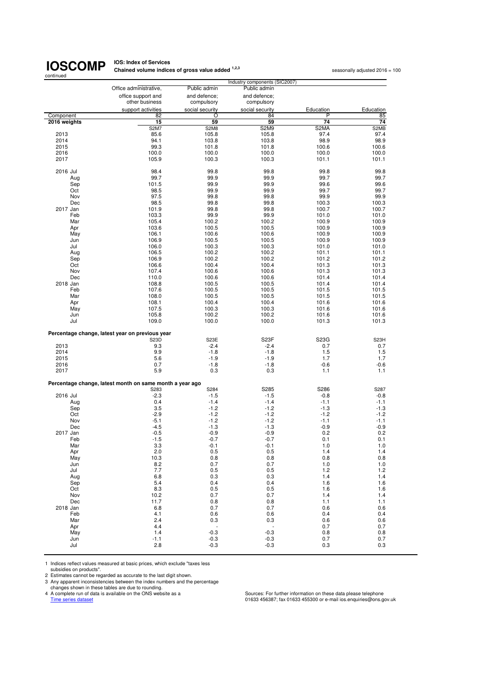## **IOS: Index of Services<br>Chained volume indices of gross value added <sup>1,2,3</sup> seasonally adjusted 2016 = 100**

| continued    |                                                          |                          |                               |           |                   |
|--------------|----------------------------------------------------------|--------------------------|-------------------------------|-----------|-------------------|
|              |                                                          |                          | Industry components (SIC2007) |           |                   |
|              | Office administrative,                                   | Public admin             | Public admin                  |           |                   |
|              | office support and                                       | and defence;             | and defence:                  |           |                   |
|              | other business                                           | compulsory               | compulsory                    |           |                   |
|              | support activities                                       | social security          | social security               | Education | Education         |
| Component    | 82                                                       | O                        | 84                            | Ρ         | 85                |
| 2016 weights | 15                                                       | 59                       | 59                            | 74        | 74                |
|              | <b>S2M7</b>                                              | S2M8                     | S <sub>2</sub> M <sub>9</sub> | S2MA      | S2MB              |
| 2013         | 85.6                                                     | 105.8                    | 105.8                         | 97.4      | 97.4              |
| 2014         | 94.1                                                     | 103.8                    | 103.8                         | 98.9      | 98.9              |
| 2015         | 99.3                                                     | 101.8                    | 101.8                         | 100.6     | 100.6             |
| 2016         | 100.0                                                    | 100.0                    | 100.0                         | 100.0     | 100.0             |
| 2017         | 105.9                                                    | 100.3                    | 100.3                         | 101.1     | 101.1             |
|              |                                                          |                          |                               |           |                   |
| 2016 Jul     | 98.4                                                     | 99.8                     | 99.8                          | 99.8      | 99.8              |
| Aug          | 99.7                                                     | 99.9                     | 99.9                          | 99.7      | 99.7              |
| Sep          | 101.5                                                    | 99.9                     | 99.9                          | 99.6      | 99.6              |
| Oct          | 98.5                                                     | 99.9                     | 99.9                          | 99.7      | 99.7              |
| Nov          | 97.5                                                     | 99.8                     | 99.8                          | 99.9      | 99.9              |
| Dec          | 98.5                                                     | 99.8                     | 99.8                          | 100.3     | 100.3             |
| 2017 Jan     | 101.9                                                    | 99.8                     | 99.8                          | 100.7     | 100.7             |
| Feb          | 103.3                                                    | 99.9                     | 99.9                          | 101.0     | 101.0             |
| Mar          | 105.4                                                    | 100.2                    | 100.2                         | 100.9     | 100.9             |
| Apr          | 103.6                                                    | 100.5                    | 100.5                         | 100.9     | 100.9             |
| May          | 106.1                                                    | 100.6                    | 100.6                         | 100.9     | 100.9             |
| Jun          | 106.9                                                    | 100.5                    | 100.5                         | 100.9     | 100.9             |
| Jul          | 106.0                                                    | 100.3                    | 100.3                         | 101.0     | 101.0             |
| Aug          | 106.5                                                    | 100.2                    | 100.2                         | 101.1     | 101.1             |
| Sep          | 106.9                                                    | 100.2                    | 100.2                         | 101.2     | 101.2             |
| Oct          | 106.6                                                    | 100.4                    | 100.4                         | 101.3     | 101.3             |
| Nov          | 107.4                                                    | 100.6                    | 100.6                         | 101.3     | 101.3             |
| Dec          | 110.0                                                    | 100.6                    | 100.6                         | 101.4     | 101.4             |
| 2018 Jan     | 108.8                                                    | 100.5                    | 100.5                         | 101.4     | 101.4             |
| Feb          | 107.6                                                    | 100.5                    | 100.5                         | 101.5     | 101.5             |
| Mar          | 108.0                                                    | 100.5                    | 100.5                         | 101.5     | 101.5             |
|              | 108.1                                                    | 100.4                    | 100.4                         | 101.6     | 101.6             |
| Apr          |                                                          |                          |                               |           | 101.6             |
| May          | 107.5                                                    | 100.3                    | 100.3                         | 101.6     |                   |
| Jun          | 105.8                                                    | 100.2                    | 100.2                         | 101.6     | 101.6             |
| Jul          | 109.0                                                    | 100.0                    | 100.0                         | 101.3     | 101.3             |
|              | Percentage change, latest year on previous year          |                          |                               |           |                   |
|              | S23D                                                     | S23E                     | S <sub>23</sub> F             | S23G      | S <sub>23</sub> H |
| 2013         | 9.3                                                      | $-2.4$                   | $-2.4$                        | 0.7       | 0.7               |
| 2014         | 9.9                                                      | $-1.8$                   | $-1.8$                        | 1.5       | 1.5               |
| 2015         | 5.6                                                      | $-1.9$                   | $-1.9$                        | 1.7       | 1.7               |
| 2016         | 0.7                                                      | $-1.8$                   | $-1.8$                        | $-0.6$    | $-0.6$            |
| 2017         | 5.9                                                      | 0.3                      | 0.3                           | 1.1       | 1.1               |
|              | Percentage change, latest month on same month a year ago |                          |                               |           |                   |
|              | S283                                                     | S284                     | S285                          | S286      | S287              |
| 2016 Jul     | $-2.3$                                                   | $-1.5$                   | $-1.5$                        | $-0.8$    | $-0.8$            |
| Aug          | 0.4                                                      | $-1.4$                   | $-1.4$                        | $-1.1$    | $-1.1$            |
| Sep          | 3.5                                                      | $-1.2$                   | $-1.2$                        | $-1.3$    | -1.3              |
| Oct          | $-2.9$                                                   | $-1.2$                   | $-1.2$                        | $-1.2$    | $-1.2$            |
| Nov          | $-5.1$                                                   | $-1.2$                   | $-1.2$                        | $-1.1$    | $-1.1$            |
| Dec          | $-4.5$                                                   | $-1.3$                   | $-1.3$                        | $-0.9$    | $-0.9$            |
| 2017 Jan     | $-0.5$                                                   | $-0.9$                   | $-0.9$                        | 0.2       | 0.2               |
| ⊢eb          | -1.5                                                     | -0.7                     | -0.7                          | 0.1       | 0.1               |
| Mar          | 3.3                                                      | $-0.1$                   | $-0.1$                        | 1.0       | 1.0               |
| Apr          | 2.0                                                      | 0.5                      | 0.5                           | 1.4       | 1.4               |
| May          | 10.3                                                     | 0.8                      | 0.8                           | 0.8       | 0.8               |
| Jun          | 8.2                                                      | 0.7                      | 0.7                           | 1.0       | 1.0               |
| Jul          | 7.7                                                      | 0.5                      | 0.5                           | 1.2       | 1.2               |
| Aug          | 6.8                                                      | 0.3                      | 0.3                           | 1.4       | 1.4               |
| Sep          | 5.4                                                      | 0.4                      | 0.4                           | 1.6       | 1.6               |
| Oct          | 8.3                                                      | 0.5                      | 0.5                           | 1.6       | 1.6               |
| Nov          | 10.2                                                     | 0.7                      | 0.7                           | 1.4       | 1.4               |
| Dec          | 11.7                                                     | 0.8                      | 0.8                           | 1.1       | 1.1               |
| 2018 Jan     | 6.8                                                      | 0.7                      | 0.7                           | 0.6       | 0.6               |
| Feb          | 4.1                                                      | 0.6                      | 0.6                           | 0.4       | 0.4               |
| Mar          | 2.4                                                      | 0.3                      | 0.3                           | 0.6       | 0.6               |
| Apr          | 4.4                                                      | $\overline{\phantom{a}}$ | $\overline{\phantom{a}}$      | 0.7       | 0.7               |
| May          | 1.4                                                      | $-0.3$                   | $-0.3$                        | 0.8       | 0.8               |
| Jun          | $-1.1$                                                   | -0.3                     | $-0.3$                        | 0.7       | 0.7               |
| Jul          | 2.8                                                      | $-0.3$                   | $-0.3$                        | 0.3       | 0.3               |

1 Indices reflect values measured at basic prices, which exclude "taxes less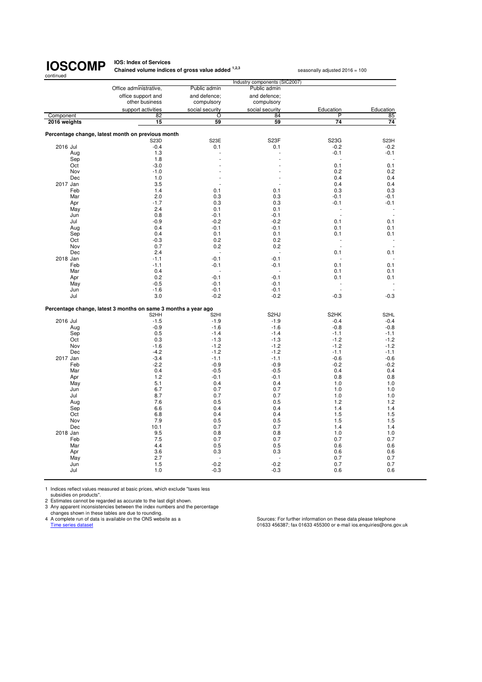## **IOS: Index of Services<br>Chained volume indices of gross value added <sup>1,2,3</sup> seasonally adjusted 2016 = 100**

|                 |                                                                |                            | Industry components (SIC2007) |                   |                   |
|-----------------|----------------------------------------------------------------|----------------------------|-------------------------------|-------------------|-------------------|
|                 | Office administrative.                                         | Public admin               | Public admin                  |                   |                   |
|                 | office support and<br>other business                           | and defence;<br>compulsory | and defence;<br>compulsory    |                   |                   |
|                 | support activities                                             | social security            | social security               | Education         | Education         |
| Component       | 82                                                             | O                          | 84                            | P                 | 85                |
| 2016 weights    | $\overline{15}$                                                | 59                         | 59                            | $\overline{74}$   | $\overline{74}$   |
|                 |                                                                |                            |                               |                   |                   |
|                 | Percentage change, latest month on previous month              |                            |                               |                   |                   |
|                 | <b>S23D</b>                                                    | S23E                       | S <sub>23</sub> F             | S23G              | S <sub>23</sub> H |
| 2016 Jul        | $-0.4$                                                         | 0.1                        | 0.1                           | $-0.2$            | $-0.2$            |
| Aug             | 1.3                                                            |                            |                               | $-0.1$            | $-0.1$            |
| Sep             | 1.8                                                            |                            |                               | Ĭ.                |                   |
| Oct             | $-3.0$                                                         |                            |                               | 0.1               | 0.1               |
| Nov             | $-1.0$                                                         |                            |                               | 0.2               | 0.2               |
| Dec             | 1.0                                                            |                            |                               | 0.4               | 0.4               |
| 2017 Jan<br>Feb | 3.5<br>1.4                                                     | 0.1                        | 0.1                           | 0.4<br>0.3        | 0.4<br>0.3        |
| Mar             | 2.0                                                            | 0.3                        | 0.3                           | $-0.1$            | $-0.1$            |
| Apr             | $-1.7$                                                         | 0.3                        | 0.3                           | $-0.1$            | $-0.1$            |
| May             | 2.4                                                            | 0.1                        | 0.1                           |                   |                   |
| Jun             | 0.8                                                            | $-0.1$                     | $-0.1$                        | L,                |                   |
| Jul             | $-0.9$                                                         | $-0.2$                     | $-0.2$                        | 0.1               | 0.1               |
| Aug             | 0.4                                                            | $-0.1$                     | $-0.1$                        | 0.1               | 0.1               |
| Sep             | 0.4                                                            | 0.1                        | 0.1                           | 0.1               | 0.1               |
| Oct             | $-0.3$                                                         | 0.2                        | 0.2                           |                   |                   |
| Nov             | 0.7                                                            | 0.2                        | 0.2                           |                   |                   |
| Dec             | 2.4                                                            |                            |                               | 0.1               | 0.1               |
| 2018 Jan        | $-1.1$                                                         | $-0.1$                     | $-0.1$                        |                   |                   |
| Feb             | $-1.1$                                                         | $-0.1$                     | $-0.1$                        | 0.1               | 0.1               |
| Mar             | 0.4                                                            | Ĭ.                         |                               | 0.1               | 0.1               |
| Apr             | 0.2<br>$-0.5$                                                  | $-0.1$<br>$-0.1$           | $-0.1$<br>$-0.1$              | 0.1               | 0.1               |
| May<br>Jun      | $-1.6$                                                         | $-0.1$                     | $-0.1$                        |                   |                   |
| Jul             | 3.0                                                            | $-0.2$                     | $-0.2$                        | $-0.3$            | $-0.3$            |
|                 |                                                                |                            |                               |                   |                   |
|                 | Percentage change, latest 3 months on same 3 months a year ago |                            |                               |                   |                   |
|                 | S <sub>2</sub> HH                                              | S <sub>2HI</sub>           | S <sub>2HJ</sub>              | S <sub>2</sub> HK | S <sub>2HL</sub>  |
| 2016 Jul        | $-1.5$                                                         | $-1.9$                     | $-1.9$                        | $-0.4$            | $-0.4$            |
| Aug             | $-0.9$                                                         | $-1.6$                     | $-1.6$                        | $-0.8$            | $-0.8$            |
| Sep             | 0.5                                                            | $-1.4$                     | $-1.4$                        | $-1.1$            | $-1.1$            |
| Oct             | 0.3                                                            | $-1.3$                     | $-1.3$                        | $-1.2$            | $-1.2$            |
| Nov             | $-1.6$                                                         | $-1.2$                     | $-1.2$                        | $-1.2$            | $-1.2$            |
| Dec             | $-4.2$                                                         | $-1.2$                     | $-1.2$                        | $-1.1$            | $-1.1$            |
| 2017 Jan        | $-3.4$                                                         | $-1.1$                     | $-1.1$                        | $-0.6$            | $-0.6$            |
| Feb             | $-2.2$<br>0.4                                                  | $-0.9$<br>$-0.5$           | $-0.9$                        | $-0.2$<br>0.4     | $-0.2$<br>0.4     |
| Mar<br>Apr      | 1.2                                                            | $-0.1$                     | $-0.5$<br>$-0.1$              | 0.8               | 0.8               |
| May             | 5.1                                                            | 0.4                        | 0.4                           | 1.0               | 1.0               |
| Jun             | 6.7                                                            | 0.7                        | 0.7                           | 1.0               | 1.0               |
| Jul             | 8.7                                                            | 0.7                        | 0.7                           | 1.0               | 1.0               |
| Aug             | 7.6                                                            | 0.5                        | 0.5                           | 1.2               | 1.2               |
| Sep             | 6.6                                                            | 0.4                        | 0.4                           | 1.4               | 1.4               |
| Oct             | 6.8                                                            | 0.4                        | 0.4                           | 1.5               | 1.5               |
| Nov             | 7.9                                                            | 0.5                        | 0.5                           | 1.5               | 1.5               |
| Dec             | 10.1                                                           | 0.7                        | 0.7                           | 1.4               | 1.4               |
| 2018 Jan        | 9.5                                                            | 0.8                        | 0.8                           | 1.0               | 1.0               |
| Feb             | 7.5                                                            | 0.7                        | 0.7                           | 0.7               | 0.7               |
| Mar             | 4.4                                                            | 0.5                        | 0.5                           | 0.6               | 0.6               |
| Apr             | 3.6                                                            | 0.3                        | 0.3                           | 0.6               | 0.6               |
| May             | 2.7                                                            |                            |                               | 0.7               | 0.7               |
| Jun             | 1.5<br>1.0                                                     | $-0.2$<br>$-0.3$           | $-0.2$<br>$-0.3$              | 0.7<br>0.6        | 0.7               |
| Jul             |                                                                |                            |                               |                   | 0.6               |

1 Indices reflect values measured at basic prices, which exclude "taxes less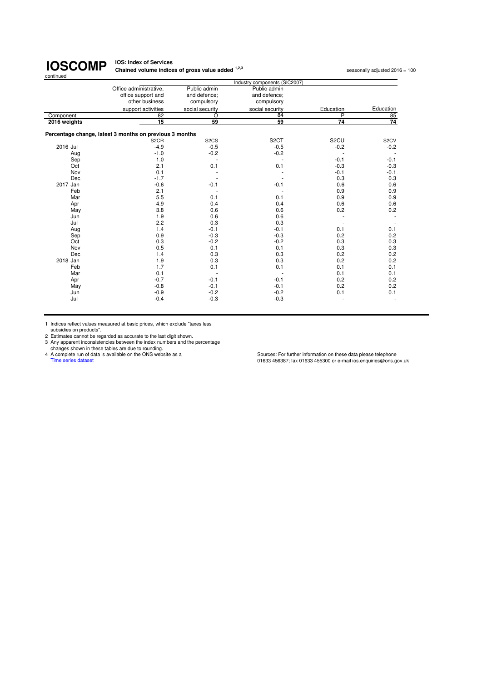#### **IOS: Index of Services Chained volume indices of gross value added <sup>1,2,3</sup> seasonally adjusted 2016 = 100<br>
<b>Chained volume indices of gross value added** <sup>1,2,3</sup>

|              |                                                         |                   | Industry components (SIC2007) |                   |                   |
|--------------|---------------------------------------------------------|-------------------|-------------------------------|-------------------|-------------------|
|              | Office administrative,                                  | Public admin      | Public admin                  |                   |                   |
|              | office support and                                      | and defence:      | and defence;                  |                   |                   |
|              | other business                                          | compulsory        | compulsory                    |                   |                   |
|              | support activities                                      | social security   | social security               | Education         | Education         |
| Component    | 82                                                      | $\overline{O}$    | 84                            | $\overline{P}$    | 85                |
| 2016 weights | $\overline{15}$                                         | 59                | 59                            | 74                | $\overline{74}$   |
|              | Percentage change, latest 3 months on previous 3 months |                   |                               |                   |                   |
|              | S <sub>2</sub> CR                                       | S <sub>2</sub> CS | S <sub>2</sub> CT             | S <sub>2</sub> CU | S <sub>2</sub> CV |
| 2016 Jul     | $-4.9$                                                  | $-0.5$            | $-0.5$                        | $-0.2$            | $-0.2$            |
| Aug          | $-1.0$                                                  | $-0.2$            | $-0.2$                        |                   |                   |
| Sep          | 1.0                                                     |                   |                               | $-0.1$            | $-0.1$            |
| Oct          | 2.1                                                     | 0.1               | 0.1                           | $-0.3$            | $-0.3$            |
| Nov          | 0.1                                                     |                   |                               | $-0.1$            | $-0.1$            |
| Dec          | $-1.7$                                                  |                   |                               | 0.3               | 0.3               |
| 2017 Jan     | $-0.6$                                                  | $-0.1$            | $-0.1$                        | 0.6               | 0.6               |
| Feb          | 2.1                                                     |                   |                               | 0.9               | 0.9               |
| Mar          | 5.5                                                     | 0.1               | 0.1                           | 0.9               | 0.9               |
| Apr          | 4.9                                                     | 0.4               | 0.4                           | 0.6               | 0.6               |
| May          | 3.8                                                     | 0.6               | 0.6                           | 0.2               | 0.2               |
| Jun          | 1.9                                                     | 0.6               | 0.6                           |                   |                   |
| Jul          | 2.2                                                     | 0.3               | 0.3                           |                   |                   |
| Aug          | 1.4                                                     | $-0.1$            | $-0.1$                        | 0.1               | 0.1               |
| Sep          | 0.9                                                     | $-0.3$            | $-0.3$                        | 0.2               | 0.2               |
| Oct          | 0.3                                                     | $-0.2$            | $-0.2$                        | 0.3               | 0.3               |
| Nov          | 0.5                                                     | 0.1               | 0.1                           | 0.3               | 0.3               |
| Dec          | 1.4                                                     | 0.3               | 0.3                           | 0.2               | 0.2               |
| 2018 Jan     | 1.9                                                     | 0.3               | 0.3                           | 0.2               | 0.2               |
| Feb          | 1.7                                                     | 0.1               | 0.1                           | 0.1               | 0.1               |
| Mar          | 0.1                                                     |                   |                               | 0.1               | 0.1               |
| Apr          | $-0.7$                                                  | $-0.1$            | $-0.1$                        | 0.2               | 0.2               |
| May          | $-0.8$                                                  | $-0.1$            | $-0.1$                        | 0.2               | 0.2               |
| Jun          | $-0.9$                                                  | $-0.2$            | $-0.2$                        | 0.1               | 0.1               |
| Jul          | $-0.4$                                                  | $-0.3$            | $-0.3$                        |                   |                   |

1 Indices reflect values measured at basic prices, which exclude "taxes less subsidies on products".

2 Estimates cannot be regarded as accurate to the last digit shown.<br>
2 Any apparent inconsistencies between the index numbers and the percentage<br>
changes shown in these tables are due to rounding.<br>
4 A complete run of data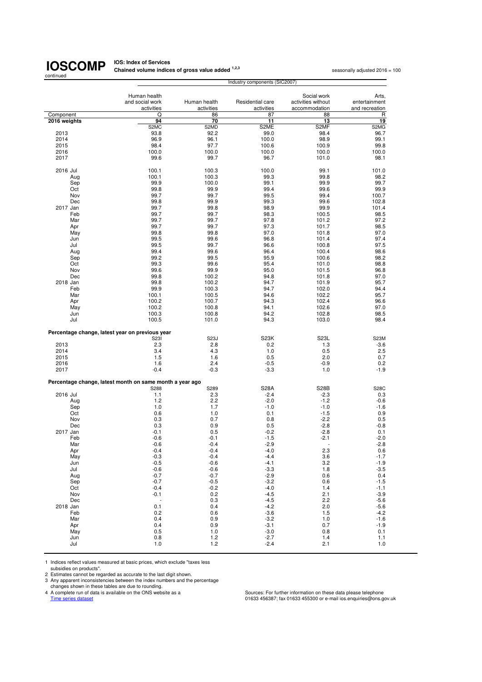**IOS: Index of Services<br>Chained volume indices of gross value added <sup>1,2,3</sup> seasonally adjusted 2016 = 100** 

|                                                          |                          |                | Industry components (SIC2007) |                          |                  |
|----------------------------------------------------------|--------------------------|----------------|-------------------------------|--------------------------|------------------|
|                                                          |                          |                |                               |                          |                  |
|                                                          | Human health             |                |                               | Social work              | Arts.            |
|                                                          | and social work          | Human health   | Residential care              | activities without       | entertainment    |
|                                                          | activities               | activities     | activities                    | accommodation            | and recreation   |
| Component                                                | Q                        | 86             | 87                            | 88                       | R                |
| 2016 weights                                             | 94                       | 70             | 11                            | 13                       | 19               |
| 2013                                                     | S2MC<br>93.8             | S2MD<br>92.2   | S2ME<br>99.0                  | S2MF<br>98.4             | S2MG<br>96.7     |
| 2014                                                     | 96.9                     | 96.1           | 100.0                         | 98.9                     | 99.1             |
| 2015                                                     | 98.4                     | 97.7           | 100.6                         | 100.9                    | 99.8             |
| 2016                                                     | 100.0                    | 100.0          | 100.0                         | 100.0                    | 100.0            |
| 2017                                                     | 99.6                     | 99.7           | 96.7                          | 101.0                    | 98.1             |
|                                                          |                          |                |                               |                          |                  |
| 2016 Jul                                                 | 100.1                    | 100.3          | 100.0                         | 99.1                     | 101.0            |
| Aug                                                      | 100.1                    | 100.3          | 99.3                          | 99.8                     | 98.2             |
| Sep                                                      | 99.9                     | 100.0          | 99.1                          | 99.9                     | 99.7             |
| Oct                                                      | 99.8                     | 99.9           | 99.4                          | 99.6                     | 99.9             |
| Nov                                                      | 99.7                     | 99.7           | 99.5                          | 99.4                     | 100.7            |
| Dec                                                      | 99.8                     | 99.9           | 99.3                          | 99.6                     | 102.8            |
| 2017 Jan                                                 | 99.7                     | 99.8           | 98.9                          | 99.9                     | 101.4            |
| Feb                                                      | 99.7<br>99.7             | 99.7<br>99.7   | 98.3                          | 100.5<br>101.2           | 98.5<br>97.2     |
| Mar<br>Apr                                               | 99.7                     | 99.7           | 97.8<br>97.3                  | 101.7                    | 98.5             |
| May                                                      | 99.8                     | 99.8           | 97.0                          | 101.8                    | 97.0             |
| Jun                                                      | 99.5                     | 99.6           | 96.8                          | 101.4                    | 97.4             |
| Jul                                                      | 99.5                     | 99.7           | 96.6                          | 100.8                    | 97.5             |
| Aug                                                      | 99.4                     | 99.6           | 96.4                          | 100.4                    | 98.6             |
| Sep                                                      | 99.2                     | 99.5           | 95.9                          | 100.6                    | 98.2             |
| Oct                                                      | 99.3                     | 99.6           | 95.4                          | 101.0                    | 98.8             |
| Nov                                                      | 99.6                     | 99.9           | 95.0                          | 101.5                    | 96.8             |
| Dec                                                      | 99.8                     | 100.2          | 94.8                          | 101.8                    | 97.0             |
| 2018 Jan                                                 | 99.8                     | 100.2          | 94.7                          | 101.9                    | 95.7             |
| Feb                                                      | 99.9                     | 100.3          | 94.7                          | 102.0                    | 94.4             |
| Mar                                                      | 100.1                    | 100.5          | 94.6                          | 102.2<br>102.4           | 95.7<br>96.6     |
| Apr<br>May                                               | 100.2<br>100.2           | 100.7<br>100.8 | 94.3<br>94.1                  | 102.6                    | 97.0             |
| Jun                                                      | 100.3                    | 100.8          | 94.2                          | 102.8                    | 98.5             |
| Jul                                                      | 100.5                    | 101.0          | 94.3                          | 103.0                    | 98.4             |
|                                                          |                          |                |                               |                          |                  |
| Percentage change, latest year on previous year          |                          |                |                               |                          |                  |
|                                                          | S231                     | S23J           | S <sub>23</sub> K             | S <sub>23</sub> L        | <b>S23M</b>      |
| 2013                                                     | 2.3                      | 2.8            | 0.2                           | 1.3                      | $-3.6$           |
| 2014                                                     | 3.4                      | 4.3            | 1.0                           | 0.5                      | 2.5              |
| 2015                                                     | 1.5                      | 1.6            | 0.5                           | 2.0                      | 0.7              |
| 2016<br>2017                                             | 1.6<br>$-0.4$            | 2.4<br>$-0.3$  | $-0.5$<br>$-3.3$              | $-0.9$<br>1.0            | 0.2<br>$-1.9$    |
|                                                          |                          |                |                               |                          |                  |
| Percentage change, latest month on same month a year ago |                          |                |                               |                          |                  |
|                                                          | S288                     | S289           | <b>S28A</b>                   | <b>S28B</b>              | S28C             |
| 2016 Jul                                                 | 1.1                      | 2.3            | $-2.4$                        | $-2.3$                   | 0.3              |
| Aug                                                      | 1.2                      | 2.2            | $-2.0$                        | $-1.2$                   | $-0.6$           |
| Sep                                                      | 1.0                      | 1.7            | $-1.0$                        | $-1.0$                   | -1.6             |
| Oct                                                      | 0.6                      | 1.0            | 0.1                           | $-1.5$                   | 0.9              |
| Nov                                                      | 0.3                      | 0.7            | 0.8                           | $-2.2$                   | 0.5              |
| Dec<br>2017 Jan                                          | 0.3<br>$-0.1$            | 0.9<br>0.5     | 0.5<br>$-0.2$                 | $-2.8$<br>$-2.8$         | $-0.8$<br>0.1    |
| Feb                                                      | $-0.6$                   | $-0.1$         | $-1.5$                        | $-2.1$                   | $-2.0$           |
| Mar                                                      | -0.6                     | -0.4           | -2.9                          | $\overline{\phantom{a}}$ | $-2.8$           |
| Apr                                                      | $-0.4$                   | $-0.4$         | $-4.0$                        | 2.3                      | 0.6              |
| May                                                      | $-0.3$                   | $-0.4$         | $-4.4$                        | 3.6                      | $-1.7$           |
| Jun                                                      | $-0.5$                   | $-0.6$         | $-4.1$                        | 3.2                      | $-1.9$           |
| Jul                                                      | $-0.6$                   | $-0.6$         | $-3.3$                        | 1.8                      | $-3.5$           |
| Aug                                                      | $-0.7$                   | $-0.7$         | $-2.9$                        | 0.6                      | 0.4              |
| Sep                                                      | $-0.7$                   | $-0.5$         | $-3.2$                        | 0.6                      | $-1.5$           |
| Oct                                                      | $-0.4$                   | $-0.2$         | $-4.0$                        | 1.4                      | $-1.1$           |
| Nov                                                      | $-0.1$                   | 0.2            | $-4.5$                        | 2.1                      | $-3.9$           |
| Dec                                                      | $\overline{\phantom{a}}$ | 0.3            | $-4.5$                        | 2.2                      | $-5.6$           |
| 2018 Jan<br>Feb                                          | 0.1<br>0.2               | 0.4<br>0.6     | $-4.2$<br>$-3.6$              | 2.0<br>1.5               | $-5.6$<br>$-4.2$ |
| Mar                                                      | 0.4                      | 0.9            | $-3.2$                        | 1.0                      | $-1.6$           |
| Apr                                                      | 0.4                      | 0.9            | $-3.1$                        | 0.7                      | $-1.9$           |
| May                                                      | 0.5                      | 1.0            | $-3.0$                        | 0.8                      | 0.1              |
| Jun                                                      | 0.8                      | 1.2            | $-2.7$                        | 1.4                      | 1.1              |
| Jul                                                      | 1.0                      | 1.2            | $-2.4$                        | 2.1                      | 1.0              |

1 Indices reflect values measured at basic prices, which exclude "taxes less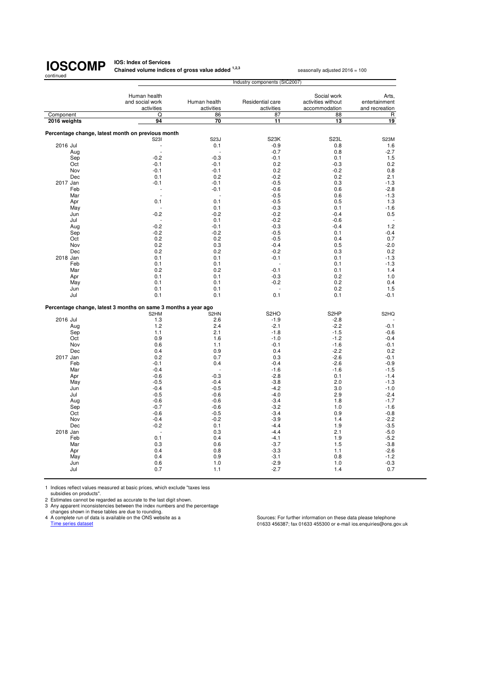#### **IOS: Index of Services Chained volume indices of gross value added <sup>1,2,3</sup> seasonally adjusted 2016 = 100**

Human health **Arts,**<br>and social work **Human health** Residential care activities without entertainment cial work Human health Residential care activities without entertainment activities activities accommodation and recreation accommodation Component Q 86 87 88 R  **2016 weights 94 70 11 13 19 Percentage change, latest month on previous month** S23I S23J S23K S23L S23M 2016 Jul - 2016 Jul - 0.1 - 0.9 0.8 1.6 Aug - - -0.7 0.8 -2.7 Sep -0.2 -0.3 -0.3 -0.1 0.1 1.5 Oct -0.1 -0.1 0.2 -0.3 0.2 Nov -0.1 -0.1 0.2 -0.2 0.8 Dec 0.1 0.2 -0.2 0.2 2.1 2017 Jan -0.1 -0.1 -0.1 -0.5 -0.5 0.3 -1.3 Feb - -0.1 -0.6 0.6 -2.8 Mar - - -0.5 0.6 -1.3 Apr 0.1 0.1 -0.5 0.5 1.3 May - 0.1 -0.3 0.1 -1.6 Jun -0.2 -0.2 -0.2 -0.2 -0.2 -0.4 0.5 Jul - 0.1 -0.2 -0.6 - Aug -0.2 -0.1 -0.3 -0.4 1.2 Sep -0.2 -0.2 -0.2 -0.5 -0.5 0.1 -0.4 Oct 0.2 0.2 -0.5 0.4 0.7 Nov 6.2 0.3 5 -2.0 -0.4 0.5 -2.0 Dec 0.2 0.2 -0.2 0.3 0.2 2018 Jan 0.1 0.1 -0.1 0.1 -1.3 Feb 0.1 0.1 - 0.1 -1.3 Mar 0.2 0.2 -0.1 0.1 1.4 Apr 6.1 0.1 0.1 0.1 0.2 0.2 1.0 May 0.1 0.1 -0.2 0.2 0.4 Jun 0.1 0.1 - 0.2 1.5 Jul 0.1 0.1 0.1 0.1 -0.1 **Percentage change, latest 3 months on same 3 months a year ago** S2HM S2HN S2HO S2HP S2HQ 2016 Jul 2016 Jul 2016 Jul 2016 Jul 2016 Jul 2016 Jul 2016 Jul 2016 Jul 2016 Jul 2016 Jul 2016 Jul 2016 Jul 20 Aug 1.2 2.4 -2.1 -2.2 -0.1 Sep 1.1 2.1 -1.8 -1.5 -0.6 Oct 0.9 1.6 -1.0 -1.2 -0.4 Nov 0.6 1.1 -0.1 -1.6 -0.1 Dec 0.4 0.9 0.4 -2.2 0.2 2017 Jan 0.2 0.7 0.3 -2.6 -0.1 Feb -0.1 0.4 -0.4 -2.6 -0.9 0.4 - -0.4 - -0.4 - -1.6 - -1.6 - -1.6 - -1.5 - -1.5 - -1.5 - -1.5 - -1.5 - -1.5 Apr -0.6 -0.3 -0.3 -2.8 0.1 -1.4 May -0.5 -0.4 -3.8 2.0 -1.3 Jun -0.4 -0.5 -4.2 3.0 -1.0 Jul -0.5 -0.6 -4.0 2.9 -2.4 Aug -0.6 -0.6 -3.4 1.8 -1.7 Sep -0.7 -0.6 -3.2 -0.0 -1.6 -3.2 -0.6 -3.2 -1.6 -1.6 Oct -0.6 -0.5 -3.4 0.9 -0.8 Nov -0.4 -0.2 -3.9 1.4 -2.2 Dec -0.2 0.1 -4.4 1.9 -3.5 2018 Jan - 2018 Jan - 2.1 - 2.1 - 2.1 - 2.1 - 2.1 - 2.1 - 2.1 - 2.1 - 2.1 - 2.1 - 2.1 - 2.1 - 2.1 - 2.1 - 2.1 Feb 0.1 0.4 -4.1 1.9 -5.2 Mar 0.3 0.6 -3.7 1.5 -3.8 Apr 0.4 0.8 -3.3 1.1 -2.6 May 0.4 0.9 -3.1 0.8 -1.2 Jun 0.6 1.0 -2.9 1.0 -0.3 Jul 0.7 1.1 -2.7 1.4 0.7 Industry components (SIC2007)

1 Indices reflect values measured at basic prices, which exclude "taxes less subsidies on products".

2 Estimates cannot be regarded as accurate to the last digit shown.

3 Any apparent inconsistencies between the index numbers and the percentage changes shown in these tables are due to rounding.

4 A complete run of data is available on the ONS website as a Sources: For further information on these data please telephone

Time series dataset dataset contract the contract of the contract of the contract of the contract of the contract of the contract of the contract of the contract of the contract of the contract of the contract of the contr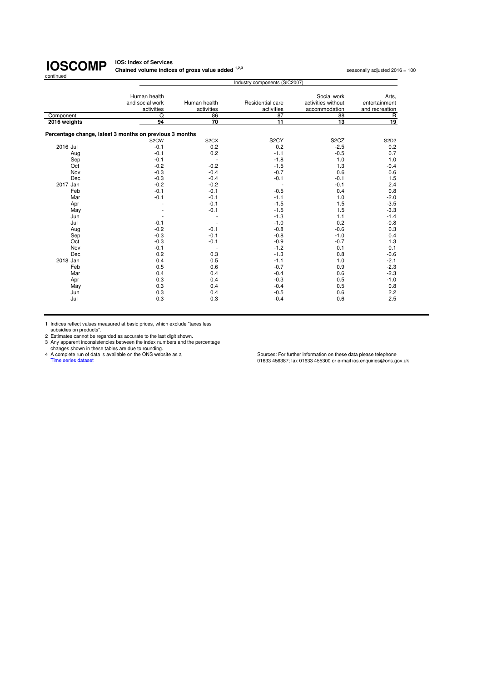#### **IOS: Index of Services Chained volume indices of gross value added <sup>1,2,3</sup> seasonally adjusted 2016 = 100<br>
<b>Chained volume indices of gross value added** <sup>1,2,3</sup>

|                           | Industry components (SIC2007)                           |                            |                                |                                                    |                                          |  |
|---------------------------|---------------------------------------------------------|----------------------------|--------------------------------|----------------------------------------------------|------------------------------------------|--|
|                           | Human health<br>and social work<br>activities           | Human health<br>activities | Residential care<br>activities | Social work<br>activities without<br>accommodation | Arts,<br>entertainment<br>and recreation |  |
|                           |                                                         |                            |                                |                                                    |                                          |  |
| Component<br>2016 weights | Q<br>94                                                 | 86<br>70                   | 87<br>$\overline{11}$          | 88<br>$\overline{13}$                              | $\mathsf{R}$<br>19                       |  |
|                           |                                                         |                            |                                |                                                    |                                          |  |
|                           | Percentage change, latest 3 months on previous 3 months |                            |                                |                                                    |                                          |  |
|                           | S <sub>2</sub> CW                                       | S <sub>2</sub> CX          | S <sub>2</sub> CY              | S <sub>2</sub> CZ                                  | S2D2                                     |  |
| 2016 Jul                  | $-0.1$                                                  | 0.2                        | 0.2                            | $-2.5$                                             | 0.2                                      |  |
| Aug                       | $-0.1$                                                  | 0.2                        | $-1.1$                         | $-0.5$                                             | 0.7                                      |  |
| Sep                       | $-0.1$                                                  | $\overline{\phantom{a}}$   | $-1.8$                         | 1.0                                                | 1.0                                      |  |
| Oct                       | $-0.2$                                                  | $-0.2$                     | $-1.5$                         | 1.3                                                | $-0.4$                                   |  |
| Nov                       | $-0.3$                                                  | $-0.4$                     | $-0.7$                         | 0.6                                                | 0.6                                      |  |
| Dec                       | $-0.3$                                                  | $-0.4$                     | $-0.1$                         | $-0.1$                                             | 1.5                                      |  |
| 2017 Jan                  | $-0.2$                                                  | $-0.2$                     |                                | $-0.1$                                             | 2.4                                      |  |
| Feb                       | $-0.1$                                                  | $-0.1$                     | $-0.5$                         | 0.4                                                | 0.8                                      |  |
| Mar                       | $-0.1$                                                  | $-0.1$                     | $-1.1$                         | 1.0                                                | $-2.0$                                   |  |
| Apr                       |                                                         | $-0.1$                     | $-1.5$                         | 1.5                                                | $-3.5$                                   |  |
| May                       |                                                         | $-0.1$                     | $-1.5$                         | 1.5                                                | $-3.3$                                   |  |
| Jun                       |                                                         |                            | $-1.3$                         | 1.1                                                | $-1.4$                                   |  |
| Jul                       | $-0.1$                                                  |                            | $-1.0$                         | 0.2                                                | $-0.8$                                   |  |
| Aug                       | $-0.2$                                                  | $-0.1$                     | $-0.8$                         | $-0.6$                                             | 0.3                                      |  |
| Sep                       | $-0.3$                                                  | $-0.1$                     | $-0.8$                         | $-1.0$                                             | 0.4                                      |  |
| Oct                       | $-0.3$                                                  | $-0.1$                     | $-0.9$                         | $-0.7$                                             | 1.3                                      |  |
| Nov                       | $-0.1$                                                  | ٠.                         | $-1.2$                         | 0.1                                                | 0.1                                      |  |
| Dec                       | 0.2                                                     | 0.3                        | $-1.3$                         | 0.8                                                | $-0.6$                                   |  |
| 2018 Jan                  | 0.4                                                     | 0.5                        | $-1.1$                         | 1.0                                                | $-2.1$                                   |  |
| Feb                       | 0.5                                                     | 0.6                        | $-0.7$                         | 0.9                                                | $-2.3$                                   |  |
| Mar                       | 0.4                                                     | 0.4                        | $-0.4$                         | 0.6                                                | $-2.3$                                   |  |
| Apr                       | 0.3                                                     | 0.4                        | $-0.3$                         | 0.5                                                | $-1.0$                                   |  |
| May                       | 0.3                                                     | 0.4                        | $-0.4$                         | 0.5                                                | 0.8                                      |  |
| Jun                       | 0.3                                                     | 0.4                        | $-0.5$                         | 0.6                                                | 2.2                                      |  |
| Jul                       | 0.3                                                     | 0.3                        | $-0.4$                         | 0.6                                                | 2.5                                      |  |

1 Indices reflect values measured at basic prices, which exclude "taxes less subsidies on products".

2 Estimates cannot be regarded as accurate to the last digit shown.<br>
2 Any apparent inconsistencies between the index numbers and the percentage<br>
changes shown in these tables are due to rounding.<br>
4 A complete run of data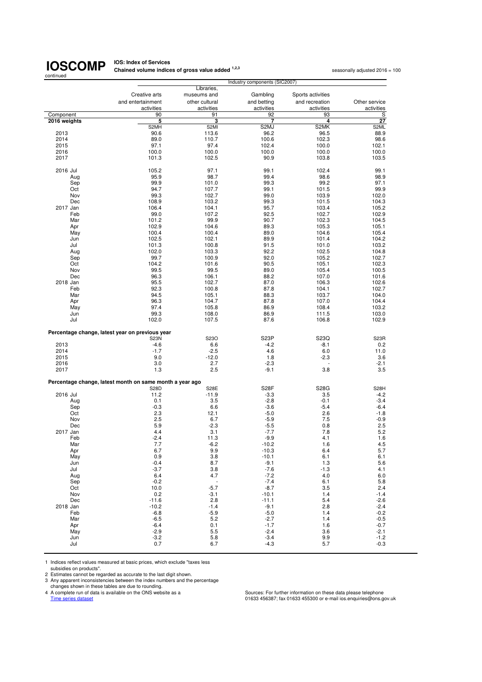**IOS: Index of Services<br>Chained volume indices of gross value added <sup>1,2,3</sup> seasonally adjusted 2016 = 100** 

| continued    | Industry components (SIC2007)                            |                           |                   |                   |                   |
|--------------|----------------------------------------------------------|---------------------------|-------------------|-------------------|-------------------|
|              |                                                          | Libraries,                |                   |                   |                   |
|              | Creative arts                                            | museums and               | Gambling          | Sports activities |                   |
|              | and entertainment                                        | other cultural            | and betting       | and recreation    | Other service     |
|              | activities                                               | activities                | activities        | activities        | activities        |
| Component    | 90                                                       | 91                        | 92                | 93                | S                 |
| 2016 weights | 5                                                        | 3                         | 7<br>S2MJ         | 4<br>S2MK         | 27                |
| 2013         | S2MH<br>90.6                                             | S <sub>2MI</sub><br>113.6 | 96.2              | 96.5              | S2ML<br>88.9      |
| 2014         | 89.0                                                     | 110.7                     | 100.6             | 102.3             | 98.6              |
| 2015         | 97.1                                                     | 97.4                      | 102.4             | 100.0             | 102.1             |
| 2016         | 100.0                                                    | 100.0                     | 100.0             | 100.0             | 100.0             |
| 2017         | 101.3                                                    | 102.5                     | 90.9              | 103.8             | 103.5             |
|              |                                                          |                           |                   |                   |                   |
| 2016 Jul     | 105.2                                                    | 97.1                      | 99.1              | 102.4             | 99.1              |
| Aug          | 95.9<br>99.9                                             | 98.7<br>101.0             | 99.4<br>99.3      | 98.6<br>99.2      | 98.9<br>97.1      |
| Sep<br>Oct   | 94.7                                                     | 107.7                     | 99.1              | 101.5             | 99.9              |
| Nov          | 99.3                                                     | 102.7                     | 99.0              | 103.9             | 102.0             |
| Dec          | 108.9                                                    | 103.2                     | 99.3              | 101.5             | 104.3             |
| 2017 Jan     | 106.4                                                    | 104.1                     | 95.7              | 103.4             | 105.2             |
| Feb          | 99.0                                                     | 107.2                     | 92.5              | 102.7             | 102.9             |
| Mar          | 101.2                                                    | 99.9                      | 90.7              | 102.3             | 104.5             |
| Apr          | 102.9                                                    | 104.6                     | 89.3              | 105.3             | 105.1             |
| May          | 100.4                                                    | 100.4                     | 89.0              | 104.6             | 105.4             |
| Jun          | 102.5                                                    | 102.1                     | 89.9              | 101.4             | 104.2             |
| Jul          | 101.3                                                    | 100.8                     | 91.5              | 101.0             | 103.2             |
| Aug          | 102.0                                                    | 103.3                     | 92.2              | 102.5             | 104.8             |
| Sep          | 99.7                                                     | 100.9                     | 92.0              | 105.2             | 102.7             |
| Oct          | 104.2                                                    | 101.6                     | 90.5              | 105.1             | 102.3             |
| Nov          | 99.5                                                     | 99.5                      | 89.0              | 105.4             | 100.5             |
| Dec          | 96.3                                                     | 106.1                     | 88.2              | 107.0             | 101.6             |
| 2018 Jan     | 95.5                                                     | 102.7                     | 87.0              | 106.3             | 102.6             |
| Feb          | 92.3                                                     | 100.8                     | 87.8              | 104.1             | 102.7             |
| Mar          | 94.5                                                     | 105.1                     | 88.3              | 103.7             | 104.0             |
| Apr          | 96.3                                                     | 104.7                     | 87.8              | 107.0             | 104.4             |
| May          | 97.4                                                     | 105.8                     | 86.9              | 108.4             | 103.2             |
| Jun          | 99.3                                                     | 108.0                     | 86.9              | 111.5             | 103.0             |
| Jul          | 102.0                                                    | 107.5                     | 87.6              | 106.8             | 102.9             |
|              | Percentage change, latest year on previous year          |                           |                   |                   |                   |
|              | <b>S23N</b>                                              | S23O                      | S <sub>23</sub> P | S23Q              | S <sub>23</sub> R |
| 2013         | $-4.6$                                                   | 6.6                       | $-4.2$            | -8.1              | 0.2               |
| 2014         | $-1.7$                                                   | $-2.5$                    | 4.6               | 6.0               | 11.0              |
| 2015         | 9.0                                                      | $-12.0$                   | 1.8               | $-2.3$            | 3.6               |
| 2016<br>2017 | 3.0<br>1.3                                               | 2.7<br>2.5                | $-2.3$<br>$-9.1$  | 3.8               | $-2.1$<br>3.5     |
|              |                                                          |                           |                   |                   |                   |
|              | Percentage change, latest month on same month a year ago |                           |                   |                   |                   |
|              | <b>S28D</b>                                              | <b>S28E</b>               | <b>S28F</b>       | S28G              | S28H              |
| 2016 Jul     | 11.2                                                     | $-11.9$                   | $-3.3$            | 3.5               | $-4.2$            |
| Aug<br>Sep   | 0.1<br>$-0.3$                                            | 3.5<br>6.6                | $-2.8$<br>$-3.6$  | $-0.1$<br>$-5.4$  | $-3.4$<br>$-6.4$  |
| Oct          | 2.3                                                      | 12.1                      | $-5.0$            | 2.6               | $-1.8$            |
| Nov          | 2.5                                                      | 6.7                       | $-5.9$            | 7.5               | $-0.9$            |
| Dec          | 5.9                                                      | $-2.3$                    | $-5.5$            | 0.8               | 2.5               |
| 2017 Jan     | 4.4                                                      | 3.1                       | $-7.7$            | 7.8               | 5.2               |
| Feb          | $-2.4$                                                   | 11.3                      | $-9.9$            | 4.1               | 1.6               |
| Mar          | 7.7                                                      | $-6.2$                    | $-10.2$           | 1.6               | 4.5               |
| Apr          | 6.7                                                      | 9.9                       | $-10.3$           | 6.4               | 5.7               |
| May          | 0.9                                                      | 3.8                       | $-10.1$           | 6.1               | 6.1               |
| Jun          | $-0.4$                                                   | 8.7                       | $-9.1$            | 1.3               | 5.6               |
| Jul          | $-3.7$                                                   | 3.8                       | $-7.6$            | $-1.3$            | 4.1               |
| Aug          | 6.4                                                      | 4.7                       | $-7.2$            | 4.0               | 6.0               |
| Sep          | $-0.2$                                                   | $\sim$                    | $-7.4$            | 6.1               | 5.8               |
| Oct          | 10.0                                                     | $-5.7$                    | $-8.7$            | 3.5               | 2.4               |
| Nov          | 0.2                                                      | $-3.1$                    | $-10.1$           | 1.4               | $-1.4$            |
| Dec          | $-11.6$                                                  | 2.8                       | $-11.1$           | 5.4               | $-2.6$            |
| 2018 Jan     | $-10.2$                                                  | $-1.4$                    | $-9.1$            | 2.8               | $-2.4$            |
| Feb          | $-6.8$                                                   | $-5.9$                    | $-5.0$            | 1.4               | $-0.2$            |
| Mar          | $-6.5$                                                   | 5.2                       | $-2.7$            | 1.4               | $-0.5$            |
| Apr          | $-6.4$                                                   | 0.1                       | $-1.7$            | 1.6               | $-0.7$            |
| May<br>Jun   | $-2.9$                                                   | 5.5<br>5.8                | $-2.4$<br>$-3.4$  | 3.6<br>9.9        | $-2.1$<br>$-1.2$  |
| Jul          | $-3.2$<br>0.7                                            | 6.7                       | $-4.3$            | 5.7               | $-0.3$            |
|              |                                                          |                           |                   |                   |                   |

1 Indices reflect values measured at basic prices, which exclude "taxes less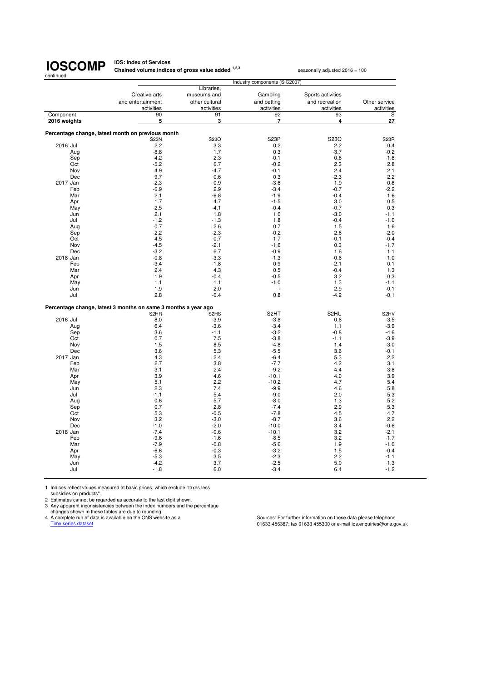#### **IOS: Index of Services Chained volume indices of gross value added <sup>1,2,3</sup> seasonally adjusted 2016 = 100**

| Creative arts<br>museums and<br>Gambling<br>Sports activities<br>and entertainment<br>other cultural<br>and betting<br>and recreation<br>Other service<br>activities<br>activities<br>activities<br>activities<br>activities<br>Component<br>S<br>90<br>91<br>92<br>93<br>27<br>3<br>5<br>7<br>$\overline{4}$<br>2016 weights<br>Percentage change, latest month on previous month<br>S23O<br>S <sub>23</sub> P<br>S23Q<br><b>S23N</b><br>S <sub>23</sub> R<br>2.2<br>2.2<br>2016 Jul<br>3.3<br>0.2<br>0.4<br>1.7<br>$-8.8$<br>0.3<br>$-3.7$<br>$-0.2$<br>Aug<br>4.2<br>2.3<br>$-0.1$<br>0.6<br>Sep<br>$-1.8$<br>$-5.2$<br>Oct<br>6.7<br>$-0.2$<br>2.3<br>2.8<br>4.9<br>$-4.7$<br>2.4<br>$-0.1$<br>2.1<br>Nov<br>9.7<br>$-2.3$<br>Dec<br>0.6<br>0.3<br>2.2<br>2017 Jan<br>$-2.3$<br>0.9<br>$-3.6$<br>1.9<br>0.8<br>2.9<br>$-6.9$<br>$-0.7$<br>Feb<br>$-3.4$<br>$-2.2$<br>$-0.4$<br>Mar<br>2.1<br>$-6.8$<br>$-1.9$<br>1.6<br>1.7<br>4.7<br>3.0<br>Apr<br>$-1.5$<br>0.5<br>$-2.5$<br>$-0.7$<br>May<br>$-4.1$<br>$-0.4$<br>0.3<br>2.1<br>1.8<br>$-3.0$<br>Jun<br>1.0<br>$-1.1$<br>$-1.2$<br>Jul<br>$-1.3$<br>1.8<br>$-0.4$<br>$-1.0$<br>0.7<br>2.6<br>0.7<br>1.5<br>1.6<br>Aug<br>$-2.2$<br>$-2.3$<br>$-0.2$<br>2.6<br>Sep<br>$-2.0$<br>4.5<br>0.7<br>$-1.7$<br>Oct<br>$-0.1$<br>$-0.4$<br>$-4.5$<br>Nov<br>$-2.1$<br>$-1.6$<br>0.3<br>$-1.7$<br>$-3.2$<br>1.6<br>Dec<br>6.7<br>$-0.9$<br>1.1<br>$-3.3$<br>$-0.6$<br>2018 Jan<br>$-0.8$<br>$-1.3$<br>1.0<br>Feb<br>$-3.4$<br>$-1.8$<br>0.9<br>$-2.1$<br>0.1<br>2.4<br>4.3<br>$-0.4$<br>Mar<br>0.5<br>1.3<br>3.2<br>1.9<br>$-0.4$<br>$-0.5$<br>0.3<br>Apr<br>1.1<br>$-1.0$<br>1.3<br>May<br>1.1<br>$-1.1$<br>2.9<br>1.9<br>2.0<br>$-0.1$<br>Jun<br>2.8<br>$-0.4$<br>0.8<br>$-4.2$<br>$-0.1$<br>Jul<br>Percentage change, latest 3 months on same 3 months a year ago<br>S <sub>2</sub> HT<br>S <sub>2</sub> HU<br>S <sub>2</sub> HV<br>S <sub>2</sub> HR<br>S <sub>2</sub> H <sub>S</sub><br>2016 Jul<br>8.0<br>$-3.9$<br>$-3.8$<br>0.6<br>$-3.5$<br>$-3.6$<br>1.1<br>6.4<br>$-3.4$<br>$-3.9$<br>Aug<br>3.6<br>$-0.8$<br>Sep<br>$-1.1$<br>$-3.2$<br>$-4.6$<br>7.5<br>Oct<br>0.7<br>$-3.8$<br>$-1.1$<br>$-3.9$<br>8.5<br>1.5<br>1.4<br>Nov<br>$-4.8$<br>$-3.0$<br>3.6<br>5.3<br>$-5.5$<br>3.6<br>Dec<br>$-0.1$<br>2017 Jan<br>4.3<br>2.4<br>$-6.4$<br>5.3<br>2.2<br>2.7<br>3.8<br>$-7.7$<br>4.2<br>Feb<br>3.1<br>2.4<br>Mar<br>3.1<br>$-9.2$<br>4.4<br>3.8<br>3.9<br>4.6<br>$-10.1$<br>4.0<br>3.9<br>Apr<br>5.1<br>4.7<br>2.2<br>$-10.2$<br>5.4<br>May<br>7.4<br>2.3<br>$-9.9$<br>4.6<br>5.8<br>Jun<br>$-1.1$<br>5.4<br>$-9.0$<br>2.0<br>5.3<br>Jul<br>5.7<br>0.6<br>$-8.0$<br>1.3<br>5.2<br>Aug<br>2.8<br>2.9<br>Sep<br>0.7<br>$-7.4$<br>5.3<br>5.3<br>$-0.5$<br>$-7.8$<br>4.5<br>4.7<br>Oct<br>Nov<br>3.2<br>$-3.0$<br>$-8.7$<br>3.6<br>2.2<br>$-1.0$<br>$-2.0$<br>$-10.0$<br>3.4<br>Dec<br>$-0.6$<br>3.2<br>2018 Jan<br>$-7.4$<br>$-0.6$<br>$-10.1$<br>$-2.1$<br>Feb<br>$-9.6$<br>$-1.6$<br>$-8.5$<br>3.2<br>$-1.7$<br>Mar<br>$-7.9$<br>$-0.8$<br>$-5.6$<br>1.9<br>$-1.0$<br>Apr<br>$-6.6$<br>$-0.3$<br>$-3.2$<br>1.5<br>$-0.4$<br>$-5.3$<br>2.2<br>3.5<br>$-2.3$<br>May<br>$-1.1$<br>$-4.2$<br>3.7<br>$-2.5$<br>5.0<br>$-1.3$<br>Jun<br>6.0<br>$-3.4$<br>6.4<br>$-1.2$<br>Jul<br>$-1.8$ |  | Industry components (SIC2007) |            |  |  |  |
|----------------------------------------------------------------------------------------------------------------------------------------------------------------------------------------------------------------------------------------------------------------------------------------------------------------------------------------------------------------------------------------------------------------------------------------------------------------------------------------------------------------------------------------------------------------------------------------------------------------------------------------------------------------------------------------------------------------------------------------------------------------------------------------------------------------------------------------------------------------------------------------------------------------------------------------------------------------------------------------------------------------------------------------------------------------------------------------------------------------------------------------------------------------------------------------------------------------------------------------------------------------------------------------------------------------------------------------------------------------------------------------------------------------------------------------------------------------------------------------------------------------------------------------------------------------------------------------------------------------------------------------------------------------------------------------------------------------------------------------------------------------------------------------------------------------------------------------------------------------------------------------------------------------------------------------------------------------------------------------------------------------------------------------------------------------------------------------------------------------------------------------------------------------------------------------------------------------------------------------------------------------------------------------------------------------------------------------------------------------------------------------------------------------------------------------------------------------------------------------------------------------------------------------------------------------------------------------------------------------------------------------------------------------------------------------------------------------------------------------------------------------------------------------------------------------------------------------------------------------------------------------------------------------------------------------------------------------------------------------------------------------------------------------------------------------------------------------------------------------------------------------------------------------------------------------------------------------------------------------|--|-------------------------------|------------|--|--|--|
|                                                                                                                                                                                                                                                                                                                                                                                                                                                                                                                                                                                                                                                                                                                                                                                                                                                                                                                                                                                                                                                                                                                                                                                                                                                                                                                                                                                                                                                                                                                                                                                                                                                                                                                                                                                                                                                                                                                                                                                                                                                                                                                                                                                                                                                                                                                                                                                                                                                                                                                                                                                                                                                                                                                                                                                                                                                                                                                                                                                                                                                                                                                                                                                                                                        |  |                               | Libraries, |  |  |  |
|                                                                                                                                                                                                                                                                                                                                                                                                                                                                                                                                                                                                                                                                                                                                                                                                                                                                                                                                                                                                                                                                                                                                                                                                                                                                                                                                                                                                                                                                                                                                                                                                                                                                                                                                                                                                                                                                                                                                                                                                                                                                                                                                                                                                                                                                                                                                                                                                                                                                                                                                                                                                                                                                                                                                                                                                                                                                                                                                                                                                                                                                                                                                                                                                                                        |  |                               |            |  |  |  |
|                                                                                                                                                                                                                                                                                                                                                                                                                                                                                                                                                                                                                                                                                                                                                                                                                                                                                                                                                                                                                                                                                                                                                                                                                                                                                                                                                                                                                                                                                                                                                                                                                                                                                                                                                                                                                                                                                                                                                                                                                                                                                                                                                                                                                                                                                                                                                                                                                                                                                                                                                                                                                                                                                                                                                                                                                                                                                                                                                                                                                                                                                                                                                                                                                                        |  |                               |            |  |  |  |
|                                                                                                                                                                                                                                                                                                                                                                                                                                                                                                                                                                                                                                                                                                                                                                                                                                                                                                                                                                                                                                                                                                                                                                                                                                                                                                                                                                                                                                                                                                                                                                                                                                                                                                                                                                                                                                                                                                                                                                                                                                                                                                                                                                                                                                                                                                                                                                                                                                                                                                                                                                                                                                                                                                                                                                                                                                                                                                                                                                                                                                                                                                                                                                                                                                        |  |                               |            |  |  |  |
|                                                                                                                                                                                                                                                                                                                                                                                                                                                                                                                                                                                                                                                                                                                                                                                                                                                                                                                                                                                                                                                                                                                                                                                                                                                                                                                                                                                                                                                                                                                                                                                                                                                                                                                                                                                                                                                                                                                                                                                                                                                                                                                                                                                                                                                                                                                                                                                                                                                                                                                                                                                                                                                                                                                                                                                                                                                                                                                                                                                                                                                                                                                                                                                                                                        |  |                               |            |  |  |  |
|                                                                                                                                                                                                                                                                                                                                                                                                                                                                                                                                                                                                                                                                                                                                                                                                                                                                                                                                                                                                                                                                                                                                                                                                                                                                                                                                                                                                                                                                                                                                                                                                                                                                                                                                                                                                                                                                                                                                                                                                                                                                                                                                                                                                                                                                                                                                                                                                                                                                                                                                                                                                                                                                                                                                                                                                                                                                                                                                                                                                                                                                                                                                                                                                                                        |  |                               |            |  |  |  |
|                                                                                                                                                                                                                                                                                                                                                                                                                                                                                                                                                                                                                                                                                                                                                                                                                                                                                                                                                                                                                                                                                                                                                                                                                                                                                                                                                                                                                                                                                                                                                                                                                                                                                                                                                                                                                                                                                                                                                                                                                                                                                                                                                                                                                                                                                                                                                                                                                                                                                                                                                                                                                                                                                                                                                                                                                                                                                                                                                                                                                                                                                                                                                                                                                                        |  |                               |            |  |  |  |
|                                                                                                                                                                                                                                                                                                                                                                                                                                                                                                                                                                                                                                                                                                                                                                                                                                                                                                                                                                                                                                                                                                                                                                                                                                                                                                                                                                                                                                                                                                                                                                                                                                                                                                                                                                                                                                                                                                                                                                                                                                                                                                                                                                                                                                                                                                                                                                                                                                                                                                                                                                                                                                                                                                                                                                                                                                                                                                                                                                                                                                                                                                                                                                                                                                        |  |                               |            |  |  |  |
|                                                                                                                                                                                                                                                                                                                                                                                                                                                                                                                                                                                                                                                                                                                                                                                                                                                                                                                                                                                                                                                                                                                                                                                                                                                                                                                                                                                                                                                                                                                                                                                                                                                                                                                                                                                                                                                                                                                                                                                                                                                                                                                                                                                                                                                                                                                                                                                                                                                                                                                                                                                                                                                                                                                                                                                                                                                                                                                                                                                                                                                                                                                                                                                                                                        |  |                               |            |  |  |  |
|                                                                                                                                                                                                                                                                                                                                                                                                                                                                                                                                                                                                                                                                                                                                                                                                                                                                                                                                                                                                                                                                                                                                                                                                                                                                                                                                                                                                                                                                                                                                                                                                                                                                                                                                                                                                                                                                                                                                                                                                                                                                                                                                                                                                                                                                                                                                                                                                                                                                                                                                                                                                                                                                                                                                                                                                                                                                                                                                                                                                                                                                                                                                                                                                                                        |  |                               |            |  |  |  |
|                                                                                                                                                                                                                                                                                                                                                                                                                                                                                                                                                                                                                                                                                                                                                                                                                                                                                                                                                                                                                                                                                                                                                                                                                                                                                                                                                                                                                                                                                                                                                                                                                                                                                                                                                                                                                                                                                                                                                                                                                                                                                                                                                                                                                                                                                                                                                                                                                                                                                                                                                                                                                                                                                                                                                                                                                                                                                                                                                                                                                                                                                                                                                                                                                                        |  |                               |            |  |  |  |
|                                                                                                                                                                                                                                                                                                                                                                                                                                                                                                                                                                                                                                                                                                                                                                                                                                                                                                                                                                                                                                                                                                                                                                                                                                                                                                                                                                                                                                                                                                                                                                                                                                                                                                                                                                                                                                                                                                                                                                                                                                                                                                                                                                                                                                                                                                                                                                                                                                                                                                                                                                                                                                                                                                                                                                                                                                                                                                                                                                                                                                                                                                                                                                                                                                        |  |                               |            |  |  |  |
|                                                                                                                                                                                                                                                                                                                                                                                                                                                                                                                                                                                                                                                                                                                                                                                                                                                                                                                                                                                                                                                                                                                                                                                                                                                                                                                                                                                                                                                                                                                                                                                                                                                                                                                                                                                                                                                                                                                                                                                                                                                                                                                                                                                                                                                                                                                                                                                                                                                                                                                                                                                                                                                                                                                                                                                                                                                                                                                                                                                                                                                                                                                                                                                                                                        |  |                               |            |  |  |  |
|                                                                                                                                                                                                                                                                                                                                                                                                                                                                                                                                                                                                                                                                                                                                                                                                                                                                                                                                                                                                                                                                                                                                                                                                                                                                                                                                                                                                                                                                                                                                                                                                                                                                                                                                                                                                                                                                                                                                                                                                                                                                                                                                                                                                                                                                                                                                                                                                                                                                                                                                                                                                                                                                                                                                                                                                                                                                                                                                                                                                                                                                                                                                                                                                                                        |  |                               |            |  |  |  |
|                                                                                                                                                                                                                                                                                                                                                                                                                                                                                                                                                                                                                                                                                                                                                                                                                                                                                                                                                                                                                                                                                                                                                                                                                                                                                                                                                                                                                                                                                                                                                                                                                                                                                                                                                                                                                                                                                                                                                                                                                                                                                                                                                                                                                                                                                                                                                                                                                                                                                                                                                                                                                                                                                                                                                                                                                                                                                                                                                                                                                                                                                                                                                                                                                                        |  |                               |            |  |  |  |
|                                                                                                                                                                                                                                                                                                                                                                                                                                                                                                                                                                                                                                                                                                                                                                                                                                                                                                                                                                                                                                                                                                                                                                                                                                                                                                                                                                                                                                                                                                                                                                                                                                                                                                                                                                                                                                                                                                                                                                                                                                                                                                                                                                                                                                                                                                                                                                                                                                                                                                                                                                                                                                                                                                                                                                                                                                                                                                                                                                                                                                                                                                                                                                                                                                        |  |                               |            |  |  |  |
|                                                                                                                                                                                                                                                                                                                                                                                                                                                                                                                                                                                                                                                                                                                                                                                                                                                                                                                                                                                                                                                                                                                                                                                                                                                                                                                                                                                                                                                                                                                                                                                                                                                                                                                                                                                                                                                                                                                                                                                                                                                                                                                                                                                                                                                                                                                                                                                                                                                                                                                                                                                                                                                                                                                                                                                                                                                                                                                                                                                                                                                                                                                                                                                                                                        |  |                               |            |  |  |  |
|                                                                                                                                                                                                                                                                                                                                                                                                                                                                                                                                                                                                                                                                                                                                                                                                                                                                                                                                                                                                                                                                                                                                                                                                                                                                                                                                                                                                                                                                                                                                                                                                                                                                                                                                                                                                                                                                                                                                                                                                                                                                                                                                                                                                                                                                                                                                                                                                                                                                                                                                                                                                                                                                                                                                                                                                                                                                                                                                                                                                                                                                                                                                                                                                                                        |  |                               |            |  |  |  |
|                                                                                                                                                                                                                                                                                                                                                                                                                                                                                                                                                                                                                                                                                                                                                                                                                                                                                                                                                                                                                                                                                                                                                                                                                                                                                                                                                                                                                                                                                                                                                                                                                                                                                                                                                                                                                                                                                                                                                                                                                                                                                                                                                                                                                                                                                                                                                                                                                                                                                                                                                                                                                                                                                                                                                                                                                                                                                                                                                                                                                                                                                                                                                                                                                                        |  |                               |            |  |  |  |
|                                                                                                                                                                                                                                                                                                                                                                                                                                                                                                                                                                                                                                                                                                                                                                                                                                                                                                                                                                                                                                                                                                                                                                                                                                                                                                                                                                                                                                                                                                                                                                                                                                                                                                                                                                                                                                                                                                                                                                                                                                                                                                                                                                                                                                                                                                                                                                                                                                                                                                                                                                                                                                                                                                                                                                                                                                                                                                                                                                                                                                                                                                                                                                                                                                        |  |                               |            |  |  |  |
|                                                                                                                                                                                                                                                                                                                                                                                                                                                                                                                                                                                                                                                                                                                                                                                                                                                                                                                                                                                                                                                                                                                                                                                                                                                                                                                                                                                                                                                                                                                                                                                                                                                                                                                                                                                                                                                                                                                                                                                                                                                                                                                                                                                                                                                                                                                                                                                                                                                                                                                                                                                                                                                                                                                                                                                                                                                                                                                                                                                                                                                                                                                                                                                                                                        |  |                               |            |  |  |  |
|                                                                                                                                                                                                                                                                                                                                                                                                                                                                                                                                                                                                                                                                                                                                                                                                                                                                                                                                                                                                                                                                                                                                                                                                                                                                                                                                                                                                                                                                                                                                                                                                                                                                                                                                                                                                                                                                                                                                                                                                                                                                                                                                                                                                                                                                                                                                                                                                                                                                                                                                                                                                                                                                                                                                                                                                                                                                                                                                                                                                                                                                                                                                                                                                                                        |  |                               |            |  |  |  |
|                                                                                                                                                                                                                                                                                                                                                                                                                                                                                                                                                                                                                                                                                                                                                                                                                                                                                                                                                                                                                                                                                                                                                                                                                                                                                                                                                                                                                                                                                                                                                                                                                                                                                                                                                                                                                                                                                                                                                                                                                                                                                                                                                                                                                                                                                                                                                                                                                                                                                                                                                                                                                                                                                                                                                                                                                                                                                                                                                                                                                                                                                                                                                                                                                                        |  |                               |            |  |  |  |
|                                                                                                                                                                                                                                                                                                                                                                                                                                                                                                                                                                                                                                                                                                                                                                                                                                                                                                                                                                                                                                                                                                                                                                                                                                                                                                                                                                                                                                                                                                                                                                                                                                                                                                                                                                                                                                                                                                                                                                                                                                                                                                                                                                                                                                                                                                                                                                                                                                                                                                                                                                                                                                                                                                                                                                                                                                                                                                                                                                                                                                                                                                                                                                                                                                        |  |                               |            |  |  |  |
|                                                                                                                                                                                                                                                                                                                                                                                                                                                                                                                                                                                                                                                                                                                                                                                                                                                                                                                                                                                                                                                                                                                                                                                                                                                                                                                                                                                                                                                                                                                                                                                                                                                                                                                                                                                                                                                                                                                                                                                                                                                                                                                                                                                                                                                                                                                                                                                                                                                                                                                                                                                                                                                                                                                                                                                                                                                                                                                                                                                                                                                                                                                                                                                                                                        |  |                               |            |  |  |  |
|                                                                                                                                                                                                                                                                                                                                                                                                                                                                                                                                                                                                                                                                                                                                                                                                                                                                                                                                                                                                                                                                                                                                                                                                                                                                                                                                                                                                                                                                                                                                                                                                                                                                                                                                                                                                                                                                                                                                                                                                                                                                                                                                                                                                                                                                                                                                                                                                                                                                                                                                                                                                                                                                                                                                                                                                                                                                                                                                                                                                                                                                                                                                                                                                                                        |  |                               |            |  |  |  |
|                                                                                                                                                                                                                                                                                                                                                                                                                                                                                                                                                                                                                                                                                                                                                                                                                                                                                                                                                                                                                                                                                                                                                                                                                                                                                                                                                                                                                                                                                                                                                                                                                                                                                                                                                                                                                                                                                                                                                                                                                                                                                                                                                                                                                                                                                                                                                                                                                                                                                                                                                                                                                                                                                                                                                                                                                                                                                                                                                                                                                                                                                                                                                                                                                                        |  |                               |            |  |  |  |
|                                                                                                                                                                                                                                                                                                                                                                                                                                                                                                                                                                                                                                                                                                                                                                                                                                                                                                                                                                                                                                                                                                                                                                                                                                                                                                                                                                                                                                                                                                                                                                                                                                                                                                                                                                                                                                                                                                                                                                                                                                                                                                                                                                                                                                                                                                                                                                                                                                                                                                                                                                                                                                                                                                                                                                                                                                                                                                                                                                                                                                                                                                                                                                                                                                        |  |                               |            |  |  |  |
|                                                                                                                                                                                                                                                                                                                                                                                                                                                                                                                                                                                                                                                                                                                                                                                                                                                                                                                                                                                                                                                                                                                                                                                                                                                                                                                                                                                                                                                                                                                                                                                                                                                                                                                                                                                                                                                                                                                                                                                                                                                                                                                                                                                                                                                                                                                                                                                                                                                                                                                                                                                                                                                                                                                                                                                                                                                                                                                                                                                                                                                                                                                                                                                                                                        |  |                               |            |  |  |  |
|                                                                                                                                                                                                                                                                                                                                                                                                                                                                                                                                                                                                                                                                                                                                                                                                                                                                                                                                                                                                                                                                                                                                                                                                                                                                                                                                                                                                                                                                                                                                                                                                                                                                                                                                                                                                                                                                                                                                                                                                                                                                                                                                                                                                                                                                                                                                                                                                                                                                                                                                                                                                                                                                                                                                                                                                                                                                                                                                                                                                                                                                                                                                                                                                                                        |  |                               |            |  |  |  |
|                                                                                                                                                                                                                                                                                                                                                                                                                                                                                                                                                                                                                                                                                                                                                                                                                                                                                                                                                                                                                                                                                                                                                                                                                                                                                                                                                                                                                                                                                                                                                                                                                                                                                                                                                                                                                                                                                                                                                                                                                                                                                                                                                                                                                                                                                                                                                                                                                                                                                                                                                                                                                                                                                                                                                                                                                                                                                                                                                                                                                                                                                                                                                                                                                                        |  |                               |            |  |  |  |
|                                                                                                                                                                                                                                                                                                                                                                                                                                                                                                                                                                                                                                                                                                                                                                                                                                                                                                                                                                                                                                                                                                                                                                                                                                                                                                                                                                                                                                                                                                                                                                                                                                                                                                                                                                                                                                                                                                                                                                                                                                                                                                                                                                                                                                                                                                                                                                                                                                                                                                                                                                                                                                                                                                                                                                                                                                                                                                                                                                                                                                                                                                                                                                                                                                        |  |                               |            |  |  |  |
|                                                                                                                                                                                                                                                                                                                                                                                                                                                                                                                                                                                                                                                                                                                                                                                                                                                                                                                                                                                                                                                                                                                                                                                                                                                                                                                                                                                                                                                                                                                                                                                                                                                                                                                                                                                                                                                                                                                                                                                                                                                                                                                                                                                                                                                                                                                                                                                                                                                                                                                                                                                                                                                                                                                                                                                                                                                                                                                                                                                                                                                                                                                                                                                                                                        |  |                               |            |  |  |  |
|                                                                                                                                                                                                                                                                                                                                                                                                                                                                                                                                                                                                                                                                                                                                                                                                                                                                                                                                                                                                                                                                                                                                                                                                                                                                                                                                                                                                                                                                                                                                                                                                                                                                                                                                                                                                                                                                                                                                                                                                                                                                                                                                                                                                                                                                                                                                                                                                                                                                                                                                                                                                                                                                                                                                                                                                                                                                                                                                                                                                                                                                                                                                                                                                                                        |  |                               |            |  |  |  |
|                                                                                                                                                                                                                                                                                                                                                                                                                                                                                                                                                                                                                                                                                                                                                                                                                                                                                                                                                                                                                                                                                                                                                                                                                                                                                                                                                                                                                                                                                                                                                                                                                                                                                                                                                                                                                                                                                                                                                                                                                                                                                                                                                                                                                                                                                                                                                                                                                                                                                                                                                                                                                                                                                                                                                                                                                                                                                                                                                                                                                                                                                                                                                                                                                                        |  |                               |            |  |  |  |
|                                                                                                                                                                                                                                                                                                                                                                                                                                                                                                                                                                                                                                                                                                                                                                                                                                                                                                                                                                                                                                                                                                                                                                                                                                                                                                                                                                                                                                                                                                                                                                                                                                                                                                                                                                                                                                                                                                                                                                                                                                                                                                                                                                                                                                                                                                                                                                                                                                                                                                                                                                                                                                                                                                                                                                                                                                                                                                                                                                                                                                                                                                                                                                                                                                        |  |                               |            |  |  |  |
|                                                                                                                                                                                                                                                                                                                                                                                                                                                                                                                                                                                                                                                                                                                                                                                                                                                                                                                                                                                                                                                                                                                                                                                                                                                                                                                                                                                                                                                                                                                                                                                                                                                                                                                                                                                                                                                                                                                                                                                                                                                                                                                                                                                                                                                                                                                                                                                                                                                                                                                                                                                                                                                                                                                                                                                                                                                                                                                                                                                                                                                                                                                                                                                                                                        |  |                               |            |  |  |  |
|                                                                                                                                                                                                                                                                                                                                                                                                                                                                                                                                                                                                                                                                                                                                                                                                                                                                                                                                                                                                                                                                                                                                                                                                                                                                                                                                                                                                                                                                                                                                                                                                                                                                                                                                                                                                                                                                                                                                                                                                                                                                                                                                                                                                                                                                                                                                                                                                                                                                                                                                                                                                                                                                                                                                                                                                                                                                                                                                                                                                                                                                                                                                                                                                                                        |  |                               |            |  |  |  |
|                                                                                                                                                                                                                                                                                                                                                                                                                                                                                                                                                                                                                                                                                                                                                                                                                                                                                                                                                                                                                                                                                                                                                                                                                                                                                                                                                                                                                                                                                                                                                                                                                                                                                                                                                                                                                                                                                                                                                                                                                                                                                                                                                                                                                                                                                                                                                                                                                                                                                                                                                                                                                                                                                                                                                                                                                                                                                                                                                                                                                                                                                                                                                                                                                                        |  |                               |            |  |  |  |
|                                                                                                                                                                                                                                                                                                                                                                                                                                                                                                                                                                                                                                                                                                                                                                                                                                                                                                                                                                                                                                                                                                                                                                                                                                                                                                                                                                                                                                                                                                                                                                                                                                                                                                                                                                                                                                                                                                                                                                                                                                                                                                                                                                                                                                                                                                                                                                                                                                                                                                                                                                                                                                                                                                                                                                                                                                                                                                                                                                                                                                                                                                                                                                                                                                        |  |                               |            |  |  |  |
|                                                                                                                                                                                                                                                                                                                                                                                                                                                                                                                                                                                                                                                                                                                                                                                                                                                                                                                                                                                                                                                                                                                                                                                                                                                                                                                                                                                                                                                                                                                                                                                                                                                                                                                                                                                                                                                                                                                                                                                                                                                                                                                                                                                                                                                                                                                                                                                                                                                                                                                                                                                                                                                                                                                                                                                                                                                                                                                                                                                                                                                                                                                                                                                                                                        |  |                               |            |  |  |  |
|                                                                                                                                                                                                                                                                                                                                                                                                                                                                                                                                                                                                                                                                                                                                                                                                                                                                                                                                                                                                                                                                                                                                                                                                                                                                                                                                                                                                                                                                                                                                                                                                                                                                                                                                                                                                                                                                                                                                                                                                                                                                                                                                                                                                                                                                                                                                                                                                                                                                                                                                                                                                                                                                                                                                                                                                                                                                                                                                                                                                                                                                                                                                                                                                                                        |  |                               |            |  |  |  |
|                                                                                                                                                                                                                                                                                                                                                                                                                                                                                                                                                                                                                                                                                                                                                                                                                                                                                                                                                                                                                                                                                                                                                                                                                                                                                                                                                                                                                                                                                                                                                                                                                                                                                                                                                                                                                                                                                                                                                                                                                                                                                                                                                                                                                                                                                                                                                                                                                                                                                                                                                                                                                                                                                                                                                                                                                                                                                                                                                                                                                                                                                                                                                                                                                                        |  |                               |            |  |  |  |
|                                                                                                                                                                                                                                                                                                                                                                                                                                                                                                                                                                                                                                                                                                                                                                                                                                                                                                                                                                                                                                                                                                                                                                                                                                                                                                                                                                                                                                                                                                                                                                                                                                                                                                                                                                                                                                                                                                                                                                                                                                                                                                                                                                                                                                                                                                                                                                                                                                                                                                                                                                                                                                                                                                                                                                                                                                                                                                                                                                                                                                                                                                                                                                                                                                        |  |                               |            |  |  |  |
|                                                                                                                                                                                                                                                                                                                                                                                                                                                                                                                                                                                                                                                                                                                                                                                                                                                                                                                                                                                                                                                                                                                                                                                                                                                                                                                                                                                                                                                                                                                                                                                                                                                                                                                                                                                                                                                                                                                                                                                                                                                                                                                                                                                                                                                                                                                                                                                                                                                                                                                                                                                                                                                                                                                                                                                                                                                                                                                                                                                                                                                                                                                                                                                                                                        |  |                               |            |  |  |  |
|                                                                                                                                                                                                                                                                                                                                                                                                                                                                                                                                                                                                                                                                                                                                                                                                                                                                                                                                                                                                                                                                                                                                                                                                                                                                                                                                                                                                                                                                                                                                                                                                                                                                                                                                                                                                                                                                                                                                                                                                                                                                                                                                                                                                                                                                                                                                                                                                                                                                                                                                                                                                                                                                                                                                                                                                                                                                                                                                                                                                                                                                                                                                                                                                                                        |  |                               |            |  |  |  |
|                                                                                                                                                                                                                                                                                                                                                                                                                                                                                                                                                                                                                                                                                                                                                                                                                                                                                                                                                                                                                                                                                                                                                                                                                                                                                                                                                                                                                                                                                                                                                                                                                                                                                                                                                                                                                                                                                                                                                                                                                                                                                                                                                                                                                                                                                                                                                                                                                                                                                                                                                                                                                                                                                                                                                                                                                                                                                                                                                                                                                                                                                                                                                                                                                                        |  |                               |            |  |  |  |
|                                                                                                                                                                                                                                                                                                                                                                                                                                                                                                                                                                                                                                                                                                                                                                                                                                                                                                                                                                                                                                                                                                                                                                                                                                                                                                                                                                                                                                                                                                                                                                                                                                                                                                                                                                                                                                                                                                                                                                                                                                                                                                                                                                                                                                                                                                                                                                                                                                                                                                                                                                                                                                                                                                                                                                                                                                                                                                                                                                                                                                                                                                                                                                                                                                        |  |                               |            |  |  |  |
|                                                                                                                                                                                                                                                                                                                                                                                                                                                                                                                                                                                                                                                                                                                                                                                                                                                                                                                                                                                                                                                                                                                                                                                                                                                                                                                                                                                                                                                                                                                                                                                                                                                                                                                                                                                                                                                                                                                                                                                                                                                                                                                                                                                                                                                                                                                                                                                                                                                                                                                                                                                                                                                                                                                                                                                                                                                                                                                                                                                                                                                                                                                                                                                                                                        |  |                               |            |  |  |  |
|                                                                                                                                                                                                                                                                                                                                                                                                                                                                                                                                                                                                                                                                                                                                                                                                                                                                                                                                                                                                                                                                                                                                                                                                                                                                                                                                                                                                                                                                                                                                                                                                                                                                                                                                                                                                                                                                                                                                                                                                                                                                                                                                                                                                                                                                                                                                                                                                                                                                                                                                                                                                                                                                                                                                                                                                                                                                                                                                                                                                                                                                                                                                                                                                                                        |  |                               |            |  |  |  |
|                                                                                                                                                                                                                                                                                                                                                                                                                                                                                                                                                                                                                                                                                                                                                                                                                                                                                                                                                                                                                                                                                                                                                                                                                                                                                                                                                                                                                                                                                                                                                                                                                                                                                                                                                                                                                                                                                                                                                                                                                                                                                                                                                                                                                                                                                                                                                                                                                                                                                                                                                                                                                                                                                                                                                                                                                                                                                                                                                                                                                                                                                                                                                                                                                                        |  |                               |            |  |  |  |
|                                                                                                                                                                                                                                                                                                                                                                                                                                                                                                                                                                                                                                                                                                                                                                                                                                                                                                                                                                                                                                                                                                                                                                                                                                                                                                                                                                                                                                                                                                                                                                                                                                                                                                                                                                                                                                                                                                                                                                                                                                                                                                                                                                                                                                                                                                                                                                                                                                                                                                                                                                                                                                                                                                                                                                                                                                                                                                                                                                                                                                                                                                                                                                                                                                        |  |                               |            |  |  |  |
|                                                                                                                                                                                                                                                                                                                                                                                                                                                                                                                                                                                                                                                                                                                                                                                                                                                                                                                                                                                                                                                                                                                                                                                                                                                                                                                                                                                                                                                                                                                                                                                                                                                                                                                                                                                                                                                                                                                                                                                                                                                                                                                                                                                                                                                                                                                                                                                                                                                                                                                                                                                                                                                                                                                                                                                                                                                                                                                                                                                                                                                                                                                                                                                                                                        |  |                               |            |  |  |  |
|                                                                                                                                                                                                                                                                                                                                                                                                                                                                                                                                                                                                                                                                                                                                                                                                                                                                                                                                                                                                                                                                                                                                                                                                                                                                                                                                                                                                                                                                                                                                                                                                                                                                                                                                                                                                                                                                                                                                                                                                                                                                                                                                                                                                                                                                                                                                                                                                                                                                                                                                                                                                                                                                                                                                                                                                                                                                                                                                                                                                                                                                                                                                                                                                                                        |  |                               |            |  |  |  |
|                                                                                                                                                                                                                                                                                                                                                                                                                                                                                                                                                                                                                                                                                                                                                                                                                                                                                                                                                                                                                                                                                                                                                                                                                                                                                                                                                                                                                                                                                                                                                                                                                                                                                                                                                                                                                                                                                                                                                                                                                                                                                                                                                                                                                                                                                                                                                                                                                                                                                                                                                                                                                                                                                                                                                                                                                                                                                                                                                                                                                                                                                                                                                                                                                                        |  |                               |            |  |  |  |
|                                                                                                                                                                                                                                                                                                                                                                                                                                                                                                                                                                                                                                                                                                                                                                                                                                                                                                                                                                                                                                                                                                                                                                                                                                                                                                                                                                                                                                                                                                                                                                                                                                                                                                                                                                                                                                                                                                                                                                                                                                                                                                                                                                                                                                                                                                                                                                                                                                                                                                                                                                                                                                                                                                                                                                                                                                                                                                                                                                                                                                                                                                                                                                                                                                        |  |                               |            |  |  |  |
|                                                                                                                                                                                                                                                                                                                                                                                                                                                                                                                                                                                                                                                                                                                                                                                                                                                                                                                                                                                                                                                                                                                                                                                                                                                                                                                                                                                                                                                                                                                                                                                                                                                                                                                                                                                                                                                                                                                                                                                                                                                                                                                                                                                                                                                                                                                                                                                                                                                                                                                                                                                                                                                                                                                                                                                                                                                                                                                                                                                                                                                                                                                                                                                                                                        |  |                               |            |  |  |  |
|                                                                                                                                                                                                                                                                                                                                                                                                                                                                                                                                                                                                                                                                                                                                                                                                                                                                                                                                                                                                                                                                                                                                                                                                                                                                                                                                                                                                                                                                                                                                                                                                                                                                                                                                                                                                                                                                                                                                                                                                                                                                                                                                                                                                                                                                                                                                                                                                                                                                                                                                                                                                                                                                                                                                                                                                                                                                                                                                                                                                                                                                                                                                                                                                                                        |  |                               |            |  |  |  |
|                                                                                                                                                                                                                                                                                                                                                                                                                                                                                                                                                                                                                                                                                                                                                                                                                                                                                                                                                                                                                                                                                                                                                                                                                                                                                                                                                                                                                                                                                                                                                                                                                                                                                                                                                                                                                                                                                                                                                                                                                                                                                                                                                                                                                                                                                                                                                                                                                                                                                                                                                                                                                                                                                                                                                                                                                                                                                                                                                                                                                                                                                                                                                                                                                                        |  |                               |            |  |  |  |
|                                                                                                                                                                                                                                                                                                                                                                                                                                                                                                                                                                                                                                                                                                                                                                                                                                                                                                                                                                                                                                                                                                                                                                                                                                                                                                                                                                                                                                                                                                                                                                                                                                                                                                                                                                                                                                                                                                                                                                                                                                                                                                                                                                                                                                                                                                                                                                                                                                                                                                                                                                                                                                                                                                                                                                                                                                                                                                                                                                                                                                                                                                                                                                                                                                        |  |                               |            |  |  |  |
|                                                                                                                                                                                                                                                                                                                                                                                                                                                                                                                                                                                                                                                                                                                                                                                                                                                                                                                                                                                                                                                                                                                                                                                                                                                                                                                                                                                                                                                                                                                                                                                                                                                                                                                                                                                                                                                                                                                                                                                                                                                                                                                                                                                                                                                                                                                                                                                                                                                                                                                                                                                                                                                                                                                                                                                                                                                                                                                                                                                                                                                                                                                                                                                                                                        |  |                               |            |  |  |  |
|                                                                                                                                                                                                                                                                                                                                                                                                                                                                                                                                                                                                                                                                                                                                                                                                                                                                                                                                                                                                                                                                                                                                                                                                                                                                                                                                                                                                                                                                                                                                                                                                                                                                                                                                                                                                                                                                                                                                                                                                                                                                                                                                                                                                                                                                                                                                                                                                                                                                                                                                                                                                                                                                                                                                                                                                                                                                                                                                                                                                                                                                                                                                                                                                                                        |  |                               |            |  |  |  |

1 Indices reflect values measured at basic prices, which exclude "taxes less subsidies on products". 2 Estimates cannot be regarded as accurate to the last digit shown.

3 Any apparent inconsistencies between the index numbers and the percentage<br>changes shown in these tables are due to rounding.<br>4 A complete run of data is available on the ONS website as a<br>Time series dataset of a same of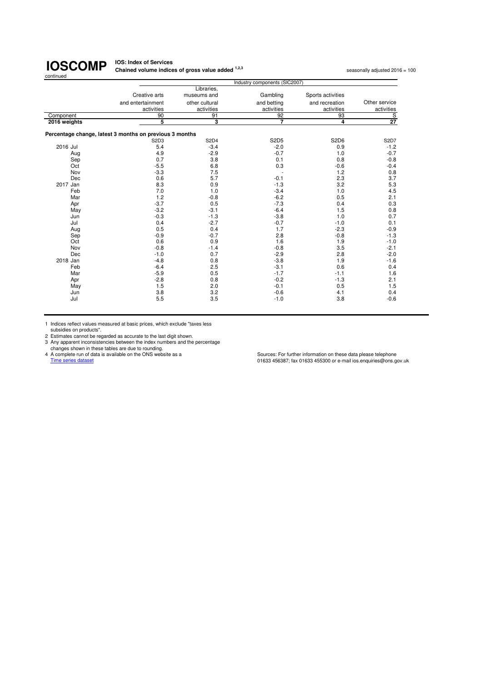#### **IOS: Index of Services Chained volume indices of gross value added <sup>1,2,3</sup> seasonally adjusted 2016 = 100<br>
<b>Chained volume indices of gross value added** <sup>1,2,3</sup>

|              | Industry components (SIC2007)                           |                |             |                               |               |  |
|--------------|---------------------------------------------------------|----------------|-------------|-------------------------------|---------------|--|
|              |                                                         | Libraries,     |             |                               |               |  |
|              | Creative arts                                           | museums and    | Gambling    | Sports activities             |               |  |
|              | and entertainment                                       | other cultural | and betting | and recreation                | Other service |  |
|              | activities                                              | activities     | activities  | activities                    | activities    |  |
| Component    | 90                                                      | 91             | 92          | 93                            | $rac{S}{27}$  |  |
| 2016 weights | 5                                                       | 3              | 7           | 4                             |               |  |
|              | Percentage change, latest 3 months on previous 3 months |                |             |                               |               |  |
|              | S <sub>2</sub> D <sub>3</sub>                           | <b>S2D4</b>    | <b>S2D5</b> | S <sub>2</sub> D <sub>6</sub> | S2D7          |  |
| 2016 Jul     | 5.4                                                     | $-3.4$         | $-2.0$      | 0.9                           | $-1.2$        |  |
| Aug          | 4.9                                                     | $-2.9$         | $-0.7$      | 1.0                           | $-0.7$        |  |
| Sep          | 0.7                                                     | 3.8            | 0.1         | 0.8                           | $-0.8$        |  |
| Oct          | $-5.5$                                                  | 6.8            | 0.3         | $-0.6$                        | $-0.4$        |  |
| Nov          | $-3.3$                                                  | 7.5            |             | 1.2                           | 0.8           |  |
| Dec          | 0.6                                                     | 5.7            | $-0.1$      | 2.3                           | 3.7           |  |
| 2017 Jan     | 8.3                                                     | 0.9            | $-1.3$      | 3.2                           | 5.3           |  |
| Feb          | 7.0                                                     | 1.0            | $-3.4$      | 1.0                           | 4.5           |  |
| Mar          | 1.2                                                     | $-0.8$         | $-6.2$      | 0.5                           | 2.1           |  |
| Apr          | $-3.7$                                                  | 0.5            | $-7.3$      | 0.4                           | 0.3           |  |
| May          | $-3.2$                                                  | $-3.1$         | $-6.4$      | 1.5                           | 0.8           |  |
| Jun          | $-0.3$                                                  | $-1.3$         | $-3.8$      | 1.0                           | 0.7           |  |
| Jul          | 0.4                                                     | $-2.7$         | $-0.7$      | $-1.0$                        | 0.1           |  |
| Aug          | 0.5                                                     | 0.4            | 1.7         | $-2.3$                        | $-0.9$        |  |
| Sep          | $-0.9$                                                  | $-0.7$         | 2.8         | $-0.8$                        | $-1.3$        |  |
| Oct          | 0.6                                                     | 0.9            | 1.6         | 1.9                           | $-1.0$        |  |
| Nov          | $-0.8$                                                  | $-1.4$         | $-0.8$      | 3.5                           | $-2.1$        |  |
| Dec          | $-1.0$                                                  | 0.7            | $-2.9$      | 2.8                           | $-2.0$        |  |
| 2018 Jan     | $-4.8$                                                  | 0.8            | $-3.8$      | 1.9                           | $-1.6$        |  |
| Feb          | $-6.4$                                                  | 2.5            | $-3.1$      | 0.6                           | 0.4           |  |
| Mar          | $-5.9$                                                  | 0.5            | $-1.7$      | $-1.1$                        | 1.6           |  |
| Apr          | $-2.8$                                                  | 0.8            | $-0.2$      | $-1.3$                        | 2.1           |  |
| May          | 1.5                                                     | 2.0            | $-0.1$      | 0.5                           | 1.5           |  |
| Jun          | 3.8                                                     | 3.2            | $-0.6$      | 4.1                           | 0.4           |  |
| Jul          | 5.5                                                     | 3.5            | $-1.0$      | 3.8                           | $-0.6$        |  |
|              |                                                         |                |             |                               |               |  |

1 Indices reflect values measured at basic prices, which exclude "taxes less subsidies on products".

2 Estimates cannot be regarded as accurate to the last digit shown.<br>
2 Any apparent inconsistencies between the index numbers and the percentage<br>
changes shown in these tables are due to rounding.<br>
4 A complete run of data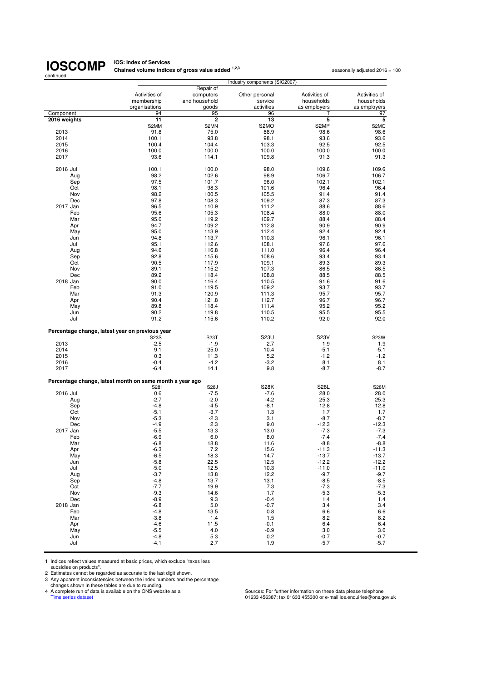**IOS: Index of Services<br>Chained volume indices of gross value added <sup>1,2,3</sup> seasonally adjusted 2016 = 100** 

| continued    |                                                          | volume indices of gross value added | Industry components (SIC2007) |               | scasunany aujusicu zu ru |
|--------------|----------------------------------------------------------|-------------------------------------|-------------------------------|---------------|--------------------------|
|              |                                                          | Repair of                           |                               |               |                          |
|              | Activities of                                            | computers                           | Other personal                | Activities of | Activities of            |
|              | membership                                               | and household                       | service                       | households    | households               |
|              | organisations                                            | goods                               | activities                    | as employers  | as employers             |
| Component    | 94                                                       | 95                                  | 96                            |               | 97                       |
| 2016 weights | 11                                                       | 2                                   | 13                            | 5             | 5                        |
|              | S2MM                                                     | S2MN                                | S <sub>2</sub> MO             | S2MP          | S2MQ                     |
| 2013         | 91.8                                                     | 75.0                                | 88.9                          | 98.6          | 98.6                     |
| 2014         | 100.1                                                    | 93.8                                | 98.1                          | 93.6          | 93.6                     |
| 2015         | 100.4                                                    | 104.4                               | 103.3                         | 92.5          | 92.5                     |
| 2016         | 100.0                                                    | 100.0                               | 100.0                         | 100.0         | 100.0                    |
| 2017         | 93.6                                                     | 114.1                               | 109.8                         | 91.3          | 91.3                     |
|              |                                                          |                                     |                               |               |                          |
| 2016 Jul     | 100.1                                                    | 100.0                               | 98.0                          | 109.6         | 109.6                    |
| Aug          | 98.2                                                     | 102.6                               | 98.9                          | 106.7         | 106.7                    |
| Sep          | 97.5                                                     | 101.7                               | 96.0                          | 102.1         | 102.1                    |
| Oct          | 98.1                                                     | 98.3                                | 101.6                         | 96.4          | 96.4                     |
| Nov          | 98.2                                                     | 100.5                               | 105.5                         | 91.4          | 91.4                     |
| Dec          | 97.8                                                     | 108.3                               | 109.2                         | 87.3          | 87.3                     |
| 2017 Jan     | 96.5                                                     | 110.9                               | 111.2                         | 88.6          | 88.6                     |
| Feb          | 95.6                                                     | 105.3                               | 108.4                         | 88.0          | 88.0                     |
| Mar          | 95.0                                                     | 119.2                               | 109.7                         | 88.4          | 88.4                     |
| Apr          | 94.7                                                     | 109.2                               | 112.8                         | 90.9          | 90.9                     |
| May          | 95.0                                                     | 113.9                               | 112.4                         | 92.4          | 92.4                     |
| Jun          | 94.8                                                     | 113.7                               | 110.3                         | 96.1          | 96.1                     |
| Jul          | 95.1                                                     | 112.6                               | 108.1                         | 97.6          | 97.6                     |
| Aug          | 94.6                                                     | 116.8                               | 111.0                         | 96.4          | 96.4                     |
| Sep          | 92.8                                                     | 115.6                               | 108.6                         | 93.4          | 93.4                     |
| Oct          | 90.5                                                     | 117.9                               | 109.1                         | 89.3          | 89.3                     |
| Nov          | 89.1                                                     | 115.2                               | 107.3                         | 86.5          | 86.5                     |
| Dec          | 89.2                                                     | 118.4                               | 108.8                         | 88.5          | 88.5                     |
| 2018 Jan     | 90.0                                                     | 116.4                               | 110.5                         | 91.6          | 91.6                     |
| Feb          | 91.0                                                     | 119.5                               | 109.2                         | 93.7          | 93.7                     |
| Mar          | 91.3                                                     | 120.9                               | 111.3                         | 95.7          | 95.7                     |
| Apr          | 90.4                                                     | 121.8                               | 112.7                         | 96.7          | 96.7                     |
| May          | 89.8                                                     | 118.4                               | 111.4                         | 95.2          | 95.2                     |
| Jun          | 90.2                                                     | 119.8                               | 110.5                         | 95.5          | 95.5                     |
| Jul          | 91.2                                                     | 115.6                               | 110.2                         | 92.0          | 92.0                     |
|              | Percentage change, latest year on previous year          |                                     |                               |               |                          |
|              | S23S                                                     | S <sub>23</sub> T                   | <b>S23U</b>                   | S23V          | S23W                     |
| 2013         | $-2.5$                                                   | $-1.9$                              | 2.7                           | 1.9           | 1.9                      |
| 2014         | 9.1                                                      | 25.0                                | 10.4                          | $-5.1$        | $-5.1$                   |
| 2015         | 0.3                                                      | 11.3                                | 5.2                           | $-1.2$        | $-1.2$                   |
| 2016         | $-0.4$                                                   | $-4.2$                              | $-3.2$                        | 8.1           | 8.1                      |
| 2017         | $-6.4$                                                   | 14.1                                | 9.8                           | $-8.7$        | $-8.7$                   |
|              | Percentage change, latest month on same month a year ago |                                     |                               |               |                          |
|              | <b>S281</b>                                              | S28J                                | <b>S28K</b>                   | <b>S28L</b>   | <b>S28M</b>              |
| 2016 Jul     | 0.6                                                      | $-7.5$                              | $-7.6$                        | 28.0          | 28.0                     |
| Aug          | $-2.7$                                                   | $-2.0$                              | $-4.2$                        | 25.3          | 25.3                     |
| Sep          | $-4.8$                                                   | $-4.5$                              | $-8.1$                        | 12.8          | 12.8                     |
| Oct          | $-5.1$                                                   | $-3.7$                              | 1.3                           | 1.7           | 1.7                      |
| Nov          | $-5.3$                                                   | $-2.3$                              | 3.1                           | $-8.7$        | $-8.7$                   |
| Dec          | $-4.9$                                                   | 2.3                                 | 9.0                           | $-12.3$       | $-12.3$                  |
| 2017 Jan     | $-5.5$                                                   | 13.3                                | 13.0                          | $-7.3$        | $-7.3$                   |
| Feb          | $-6.9$                                                   | 6.0                                 | 8.0                           | $-7.4$        | $-7.4$                   |
| Mar          | $-6.8$                                                   | 18.8                                | 11.6                          | $-8.8$        | $-8.8$                   |
| Apr          | $-6.3$                                                   | 7.2                                 | 15.6                          | $-11.3$       | $-11.3$                  |
| May          | $-6.5$                                                   | 18.3                                | 14.7                          | $-13.7$       | $-13.7$                  |
| Jun          | $-5.8$                                                   | 22.5                                | 12.5                          | $-12.2$       | $-12.2$                  |
| Jul          | $-5.0$                                                   | 12.5                                | 10.3                          | $-11.0$       | $-11.0$                  |
| Aug          | $-3.7$                                                   | 13.8                                | 12.2                          | $-9.7$        | $-9.7$                   |
| Sep          | $-4.8$                                                   | 13.7                                | 13.1                          | $-8.5$        | $-8.5$                   |
| Oct          | $-7.7$                                                   | 19.9                                | 7.3                           | $-7.3$        | $-7.3$                   |
| Nov          | $-9.3$                                                   | 14.6                                | 1.7                           | $-5.3$        | $-5.3$                   |
| Dec          | $-8.9$                                                   | 9.3                                 | $-0.4$                        | 1.4           | 1.4                      |
| 2018 Jan     | $-6.8$                                                   | 5.0                                 | $-0.7$                        | 3.4           | 3.4                      |
| Feb          | $-4.8$                                                   | 13.5                                | 0.8                           | 6.6           | 6.6                      |
| Mar          | $-3.8$                                                   | 1.4                                 | 1.5                           | 8.2           | 8.2                      |
| Apr          | $-4.6$                                                   | 11.5                                | $-0.1$                        | 6.4           | 6.4                      |
| May          | $-5.5$                                                   | 4.0                                 | $-0.9$                        | 3.0           | 3.0                      |
| Jun          | $-4.8$                                                   | 5.3                                 | 0.2                           | $-0.7$        | $-0.7$                   |
| Jul          | $-4.1$                                                   | 2.7                                 | 1.9                           | $-5.7$        | $-5.7$                   |
|              |                                                          |                                     |                               |               |                          |

1 Indices reflect values measured at basic prices, which exclude "taxes less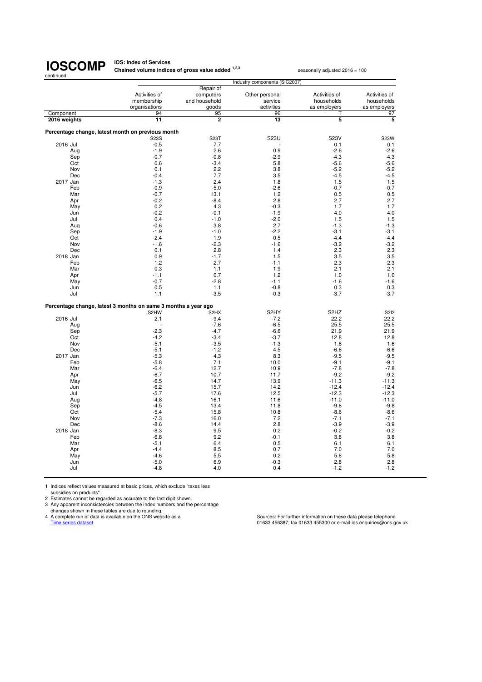**IOS: Index of Services Chained volume indices of gross value added <sup>1,2,3</sup> seasonally adjusted 2016 = 100** 

|              |     | Industry components (SIC2007)                                  |                   |                   |                               |               |
|--------------|-----|----------------------------------------------------------------|-------------------|-------------------|-------------------------------|---------------|
|              |     |                                                                | Repair of         |                   |                               |               |
|              |     | Activities of                                                  | computers         | Other personal    | Activities of                 | Activities of |
|              |     | membership                                                     | and household     | service           | households                    | households    |
|              |     | organisations                                                  | goods             | activities        | as employers                  | as employers  |
| Component    |     | 94                                                             | 95                | 96                | Τ                             | 97            |
| 2016 weights |     | 11                                                             | $\overline{2}$    | 13                | 5                             | 5             |
|              |     |                                                                |                   |                   |                               |               |
|              |     | Percentage change, latest month on previous month              |                   |                   |                               |               |
|              |     | <b>S23S</b>                                                    | S23T              | S23U              | <b>S23V</b>                   | <b>S23W</b>   |
| 2016 Jul     |     | $-0.5$                                                         | 7.7               |                   | 0.1                           | 0.1           |
|              | Aug | $-1.9$                                                         | 2.6               | 0.9               | $-2.6$                        | $-2.6$        |
|              | Sep | $-0.7$                                                         | $-0.8$            | $-2.9$            | $-4.3$                        | $-4.3$        |
|              | Oct | 0.6                                                            | $-3.4$            | 5.8               | $-5.6$                        | $-5.6$        |
|              | Nov | 0.1                                                            | 2.2               | 3.8               | $-5.2$                        | $-5.2$        |
|              | Dec | $-0.4$                                                         | 7.7               | 3.5               | $-4.5$                        | $-4.5$        |
| 2017 Jan     |     | $-1.3$                                                         | 2.4               | 1.8               | 1.5                           | 1.5           |
|              | Feb | $-0.9$                                                         | $-5.0$            | $-2.6$            | $-0.7$                        | $-0.7$        |
|              | Mar | $-0.7$                                                         | 13.1              | 1.2               | 0.5                           | 0.5           |
|              | Apr | $-0.2$                                                         | $-8.4$            | 2.8               | 2.7                           | 2.7           |
|              | May | 0.2                                                            | 4.3               | $-0.3$            | 1.7                           | 1.7           |
|              | Jun | $-0.2$                                                         | $-0.1$            | $-1.9$            | 4.0                           | 4.0           |
|              | Jul | 0.4                                                            | $-1.0$            | $-2.0$            | 1.5                           | 1.5           |
|              | Aug | $-0.6$                                                         | 3.8               | 2.7               | $-1.3$                        | $-1.3$        |
|              | Sep | $-1.9$                                                         | $-1.0$            | $-2.2$            | $-3.1$                        | $-3.1$        |
|              | Oct | $-2.4$                                                         | 1.9               | 0.5               | $-4.4$                        | $-4.4$        |
|              | Nov | $-1.6$                                                         | $-2.3$            | $-1.6$            | $-3.2$                        | $-3.2$        |
|              | Dec | 0.1                                                            | 2.8               | 1.4               | 2.3                           | 2.3           |
| 2018 Jan     |     | 0.9                                                            | $-1.7$            | 1.5               | 3.5                           | 3.5           |
|              | Feb | 1.2                                                            | 2.7               | $-1.1$            | 2.3                           | 2.3           |
|              | Mar | 0.3                                                            | 1.1               | 1.9               | 2.1                           | 2.1           |
|              | Apr | $-1.1$                                                         | 0.7               | 1.2               | 1.0                           | 1.0           |
|              | May | $-0.7$                                                         | $-2.8$            | $-1.1$<br>$-0.8$  | $-1.6$                        | $-1.6$        |
|              | Jun | 0.5                                                            | 1.1               |                   | 0.3<br>$-3.7$                 | 0.3           |
|              | Jul | 1.1                                                            | $-3.5$            | $-0.3$            |                               | $-3.7$        |
|              |     | Percentage change, latest 3 months on same 3 months a year ago |                   |                   |                               |               |
|              |     | S <sub>2</sub> HW                                              | S <sub>2</sub> HX | S <sub>2</sub> HY | S <sub>2</sub> H <sub>Z</sub> | <b>S2I2</b>   |
| 2016 Jul     |     | 2.1                                                            | $-9.4$            | $-7.2$            | 22.2                          | 22.2          |
|              | Aug | ÷                                                              | $-7.6$            | $-6.5$            | 25.5                          | 25.5          |
|              | Sep | $-2.3$                                                         | $-4.7$            | $-6.6$            | 21.9                          | 21.9          |
|              | Oct | $-4.2$                                                         | $-3.4$            | $-3.7$            | 12.8                          | 12.8          |
|              | Nov | $-5.1$                                                         | $-3.5$            | $-1.3$            | 1.6                           | 1.6           |
|              | Dec | $-5.1$                                                         | $-1.2$            | 4.5               | $-6.6$                        | $-6.6$        |
| 2017 Jan     |     | $-5.3$                                                         | 4.3               | 8.3               | $-9.5$                        | $-9.5$        |
|              | Feb | $-5.8$                                                         | 7.1               | 10.0              | $-9.1$                        | $-9.1$        |
|              | Mar | $-6.4$                                                         | 12.7              | 10.9              | $-7.8$                        | $-7.8$        |
|              | Apr | $-6.7$                                                         | 10.7              | 11.7              | $-9.2$                        | $-9.2$        |
|              | May | $-6.5$                                                         | 14.7              | 13.9              | $-11.3$                       | $-11.3$       |
|              | Jun | $-6.2$                                                         | 15.7              | 14.2              | $-12.4$                       | $-12.4$       |
|              | Jul | $-5.7$                                                         | 17.6              | 12.5              | $-12.3$                       | $-12.3$       |
|              | Aug | $-4.8$                                                         | 16.1              | 11.6              | $-11.0$                       | $-11.0$       |
|              | Sep | $-4.5$                                                         | 13.4              | 11.8              | $-9.8$                        | $-9.8$        |
|              | Oct | $-5.4$                                                         | 15.8              | 10.8              | $-8.6$                        | $-8.6$        |
|              | Nov | $-7.3$                                                         | 16.0              | 7.2               | $-7.1$                        | $-7.1$        |
|              | Dec | $-8.6$                                                         | 14.4              | 2.8               | $-3.9$                        | $-3.9$        |
| 2018 Jan     |     | $-8.3$                                                         | 9.5               | 0.2               | $-0.2$                        | $-0.2$        |
|              | Feb | $-6.8$                                                         | 9.2               | $-0.1$            | 3.8                           | 3.8           |
|              | Mar | $-5.1$                                                         | 6.4               | 0.5               | 6.1                           | 6.1           |
|              | Apr | $-4.4$                                                         | 8.5               | 0.7               | 7.0                           | 7.0           |
|              | May | $-4.6$                                                         | 5.5               | 0.2               | 5.8                           | 5.8           |
|              | Jun | $-5.0$                                                         | 6.9               | $-0.3$            | 2.8                           | 2.8           |
|              | Jul | $-4.8$                                                         | 4.0               | 0.4               | $-1.2$                        | $-1.2$        |
|              |     |                                                                |                   |                   |                               |               |

1 Indices reflect values measured at basic prices, which exclude "taxes less

subsidies on products". 2 Estimates cannot be regarded as accurate to the last digit shown. 3 Any apparent inconsistencies between the index numbers and the percentage

changes shown in these tables are due to rounding.<br>4 A complete run of data is available on the ONS website as a<br>Time series dataset

4 A complete run of data is available on the ONS website as a Sources: For further information on these data please telephone<br>Time series dataset of assetsions.gov.uk and the ONS website as a series of the Sources: For fur